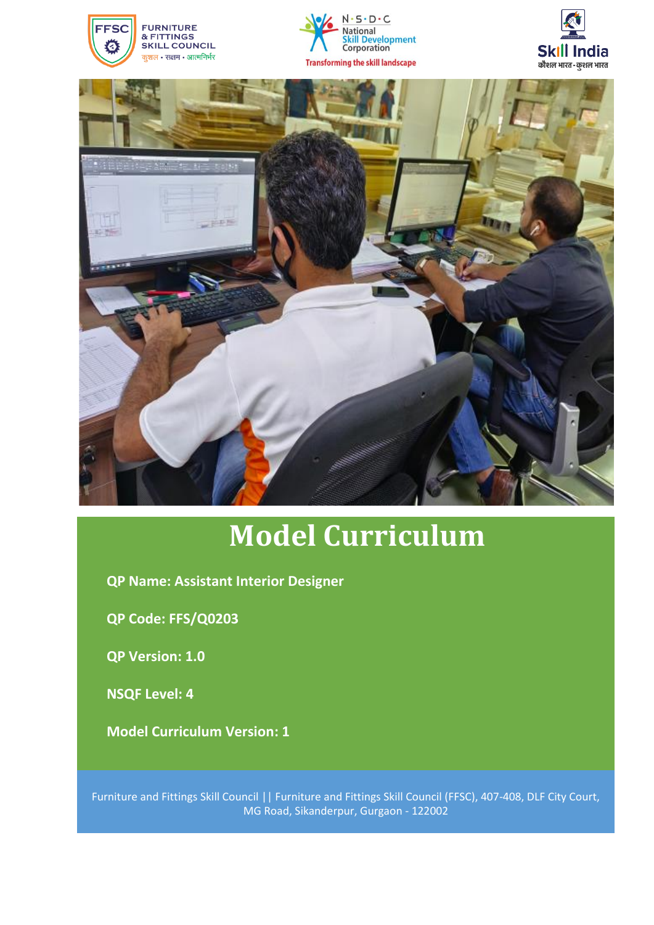







# **Model Curriculum**

**QP Name: Assistant Interior Designer**

**QP Code: FFS/Q0203**

**QP Version: 1.0**

**NSQF Level: 4**

**Model Curriculum Version: 1**

Furniture and Fittings Skill Council || Furniture and Fittings Skill Council (FFSC), 407-408, DLF City Court, MG Road, Sikanderpur, Gurgaon - 122002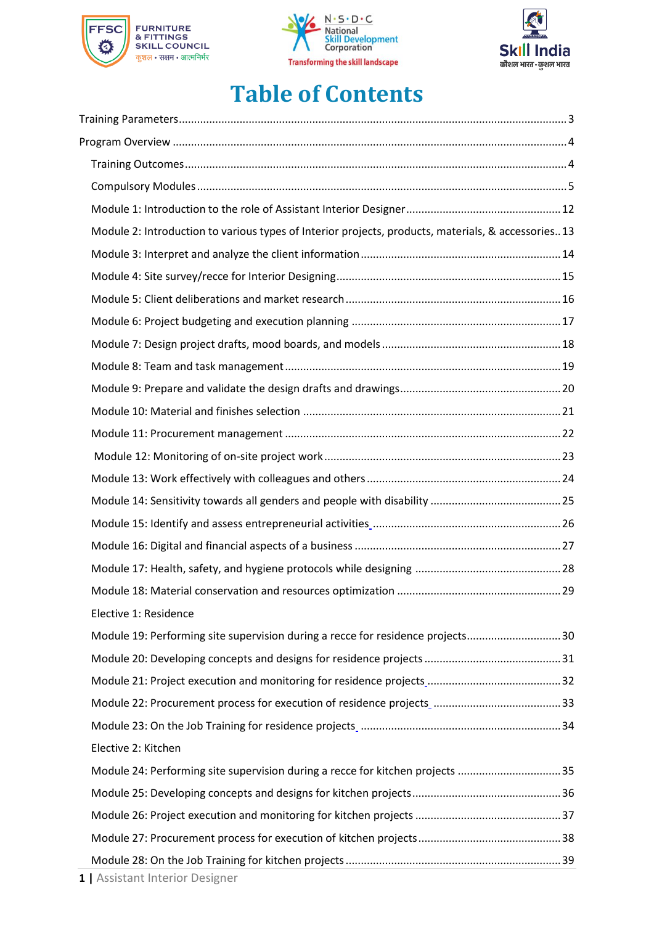





## **Table of Contents**

| Module 2: Introduction to various types of Interior projects, products, materials, & accessories 13 |  |
|-----------------------------------------------------------------------------------------------------|--|
|                                                                                                     |  |
|                                                                                                     |  |
|                                                                                                     |  |
|                                                                                                     |  |
|                                                                                                     |  |
|                                                                                                     |  |
|                                                                                                     |  |
|                                                                                                     |  |
|                                                                                                     |  |
|                                                                                                     |  |
|                                                                                                     |  |
|                                                                                                     |  |
|                                                                                                     |  |
|                                                                                                     |  |
|                                                                                                     |  |
|                                                                                                     |  |
| Elective 1: Residence                                                                               |  |
| Module 19: Performing site supervision during a recce for residence projects30                      |  |
|                                                                                                     |  |
|                                                                                                     |  |
|                                                                                                     |  |
|                                                                                                     |  |
| Elective 2: Kitchen                                                                                 |  |
| Module 24: Performing site supervision during a recce for kitchen projects 35                       |  |
|                                                                                                     |  |
|                                                                                                     |  |
|                                                                                                     |  |
|                                                                                                     |  |
|                                                                                                     |  |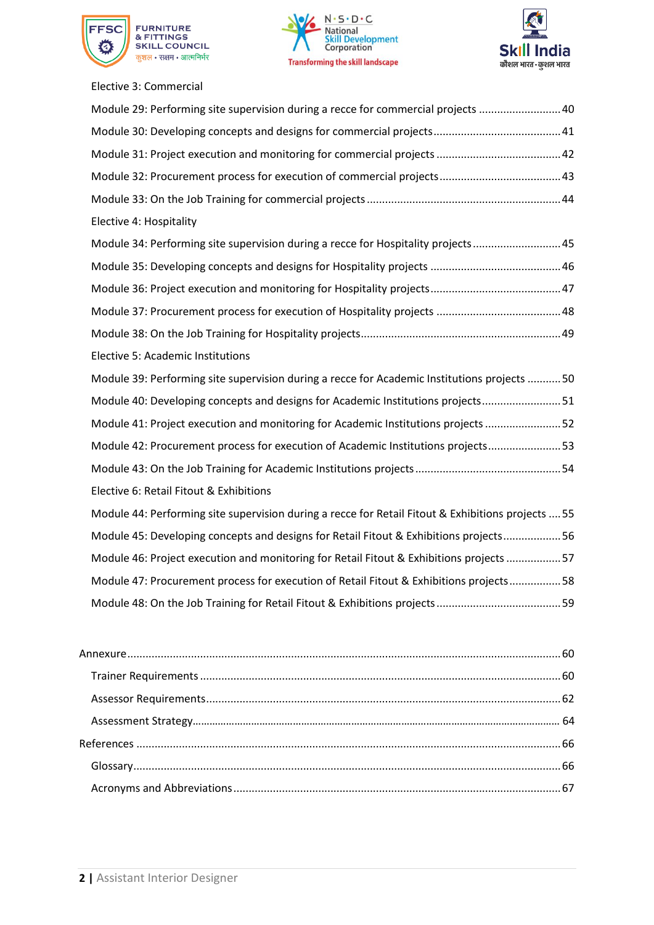





#### Elective 3: Commercial

| Module 29: Performing site supervision during a recce for commercial projects  40                  |  |
|----------------------------------------------------------------------------------------------------|--|
|                                                                                                    |  |
|                                                                                                    |  |
|                                                                                                    |  |
|                                                                                                    |  |
| Elective 4: Hospitality                                                                            |  |
| Module 34: Performing site supervision during a recce for Hospitality projects45                   |  |
|                                                                                                    |  |
|                                                                                                    |  |
|                                                                                                    |  |
|                                                                                                    |  |
| Elective 5: Academic Institutions                                                                  |  |
| Module 39: Performing site supervision during a recce for Academic Institutions projects  50       |  |
| Module 40: Developing concepts and designs for Academic Institutions projects 51                   |  |
| Module 41: Project execution and monitoring for Academic Institutions projects 52                  |  |
| Module 42: Procurement process for execution of Academic Institutions projects 53                  |  |
|                                                                                                    |  |
| Elective 6: Retail Fitout & Exhibitions                                                            |  |
| Module 44: Performing site supervision during a recce for Retail Fitout & Exhibitions projects  55 |  |
| Module 45: Developing concepts and designs for Retail Fitout & Exhibitions projects 56             |  |
| Module 46: Project execution and monitoring for Retail Fitout & Exhibitions projects 57            |  |
| Module 47: Procurement process for execution of Retail Fitout & Exhibitions projects 58            |  |
|                                                                                                    |  |
|                                                                                                    |  |

<span id="page-2-0"></span>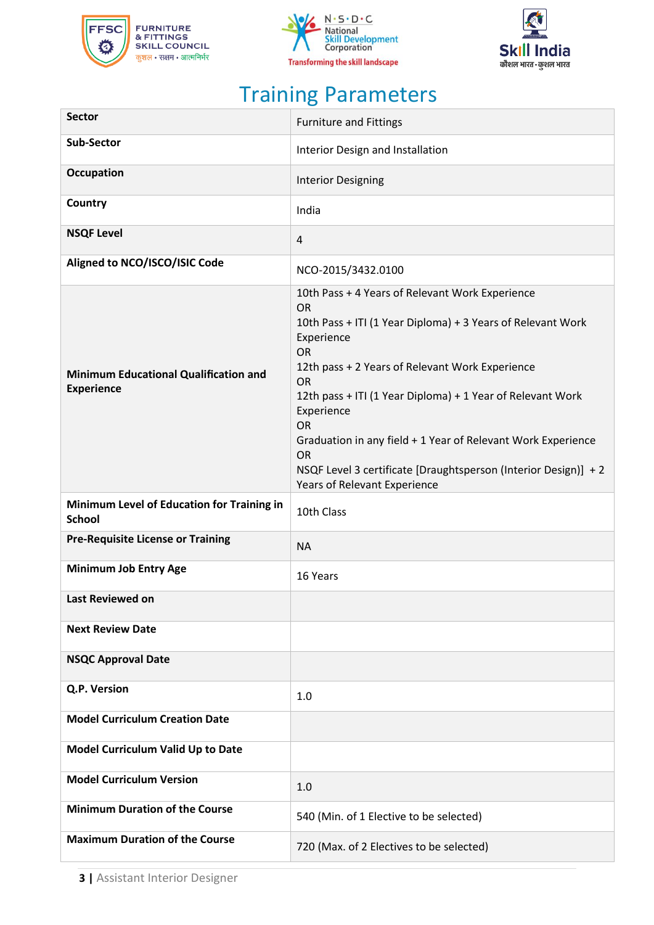





## Training Parameters

| <b>Sector</b>                                                     | <b>Furniture and Fittings</b>                                                                                                                                                                                                                                                                                                                                                                                                                                                                   |
|-------------------------------------------------------------------|-------------------------------------------------------------------------------------------------------------------------------------------------------------------------------------------------------------------------------------------------------------------------------------------------------------------------------------------------------------------------------------------------------------------------------------------------------------------------------------------------|
| <b>Sub-Sector</b>                                                 | Interior Design and Installation                                                                                                                                                                                                                                                                                                                                                                                                                                                                |
| <b>Occupation</b>                                                 | <b>Interior Designing</b>                                                                                                                                                                                                                                                                                                                                                                                                                                                                       |
| Country                                                           | India                                                                                                                                                                                                                                                                                                                                                                                                                                                                                           |
| <b>NSQF Level</b>                                                 | 4                                                                                                                                                                                                                                                                                                                                                                                                                                                                                               |
| Aligned to NCO/ISCO/ISIC Code                                     | NCO-2015/3432.0100                                                                                                                                                                                                                                                                                                                                                                                                                                                                              |
| <b>Minimum Educational Qualification and</b><br><b>Experience</b> | 10th Pass + 4 Years of Relevant Work Experience<br><b>OR</b><br>10th Pass + ITI (1 Year Diploma) + 3 Years of Relevant Work<br>Experience<br><b>OR</b><br>12th pass + 2 Years of Relevant Work Experience<br><b>OR</b><br>12th pass + ITI (1 Year Diploma) + 1 Year of Relevant Work<br>Experience<br><b>OR</b><br>Graduation in any field + 1 Year of Relevant Work Experience<br><b>OR</b><br>NSQF Level 3 certificate [Draughtsperson (Interior Design)] + 2<br>Years of Relevant Experience |
| Minimum Level of Education for Training in<br><b>School</b>       | 10th Class                                                                                                                                                                                                                                                                                                                                                                                                                                                                                      |
| <b>Pre-Requisite License or Training</b>                          | <b>NA</b>                                                                                                                                                                                                                                                                                                                                                                                                                                                                                       |
| Minimum Job Entry Age                                             | 16 Years                                                                                                                                                                                                                                                                                                                                                                                                                                                                                        |
| Last Reviewed on                                                  |                                                                                                                                                                                                                                                                                                                                                                                                                                                                                                 |
| <b>Next Review Date</b>                                           |                                                                                                                                                                                                                                                                                                                                                                                                                                                                                                 |
| <b>NSQC Approval Date</b>                                         |                                                                                                                                                                                                                                                                                                                                                                                                                                                                                                 |
| Q.P. Version                                                      | 1.0                                                                                                                                                                                                                                                                                                                                                                                                                                                                                             |
| <b>Model Curriculum Creation Date</b>                             |                                                                                                                                                                                                                                                                                                                                                                                                                                                                                                 |
| Model Curriculum Valid Up to Date                                 |                                                                                                                                                                                                                                                                                                                                                                                                                                                                                                 |
| <b>Model Curriculum Version</b>                                   | 1.0                                                                                                                                                                                                                                                                                                                                                                                                                                                                                             |
| <b>Minimum Duration of the Course</b>                             | 540 (Min. of 1 Elective to be selected)                                                                                                                                                                                                                                                                                                                                                                                                                                                         |
| <b>Maximum Duration of the Course</b>                             | 720 (Max. of 2 Electives to be selected)                                                                                                                                                                                                                                                                                                                                                                                                                                                        |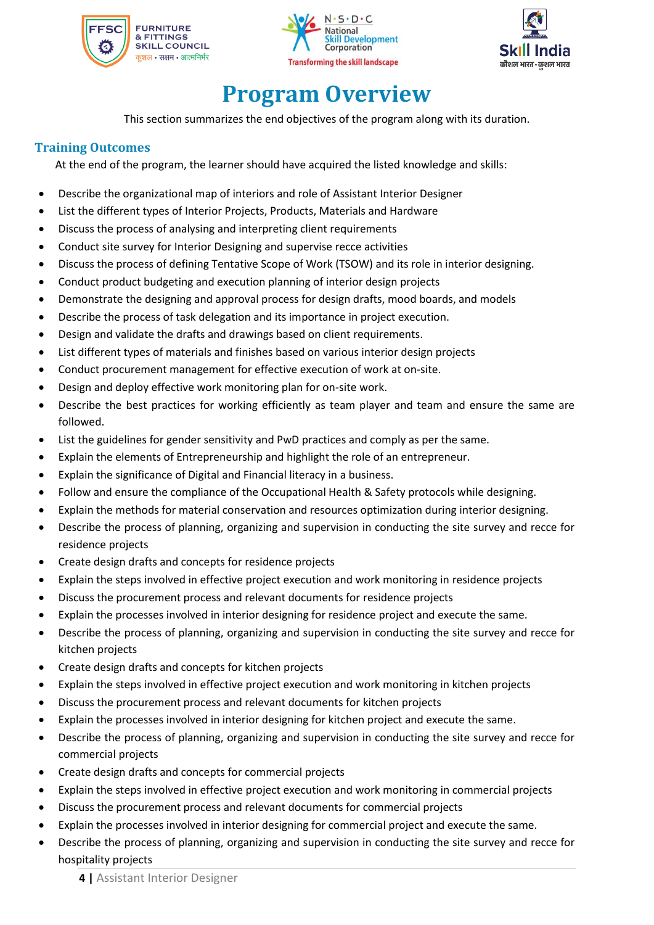





## **Program Overview**

<span id="page-4-0"></span>This section summarizes the end objectives of the program along with its duration.

### <span id="page-4-1"></span>**Training Outcomes**

At the end of the program, the learner should have acquired the listed knowledge and skills:

- Describe the organizational map of interiors and role of Assistant Interior Designer
- List the different types of Interior Projects, Products, Materials and Hardware
- Discuss the process of analysing and interpreting client requirements
- Conduct site survey for Interior Designing and supervise recce activities
- Discuss the process of defining Tentative Scope of Work (TSOW) and its role in interior designing.
- Conduct product budgeting and execution planning of interior design projects
- Demonstrate the designing and approval process for design drafts, mood boards, and models
- Describe the process of task delegation and its importance in project execution.
- Design and validate the drafts and drawings based on client requirements.
- List different types of materials and finishes based on various interior design projects
- Conduct procurement management for effective execution of work at on-site.
- Design and deploy effective work monitoring plan for on-site work.
- Describe the best practices for working efficiently as team player and team and ensure the same are followed.
- List the guidelines for gender sensitivity and PwD practices and comply as per the same.
- Explain the elements of Entrepreneurship and highlight the role of an entrepreneur.
- Explain the significance of Digital and Financial literacy in a business.
- Follow and ensure the compliance of the Occupational Health & Safety protocols while designing.
- Explain the methods for material conservation and resources optimization during interior designing.
- Describe the process of planning, organizing and supervision in conducting the site survey and recce for residence projects
- Create design drafts and concepts for residence projects
- Explain the steps involved in effective project execution and work monitoring in residence projects
- Discuss the procurement process and relevant documents for residence projects
- Explain the processes involved in interior designing for residence project and execute the same.
- Describe the process of planning, organizing and supervision in conducting the site survey and recce for kitchen projects
- Create design drafts and concepts for kitchen projects
- Explain the steps involved in effective project execution and work monitoring in kitchen projects
- Discuss the procurement process and relevant documents for kitchen projects
- Explain the processes involved in interior designing for kitchen project and execute the same.
- Describe the process of planning, organizing and supervision in conducting the site survey and recce for commercial projects
- Create design drafts and concepts for commercial projects
- Explain the steps involved in effective project execution and work monitoring in commercial projects
- Discuss the procurement process and relevant documents for commercial projects
- Explain the processes involved in interior designing for commercial project and execute the same.
- Describe the process of planning, organizing and supervision in conducting the site survey and recce for hospitality projects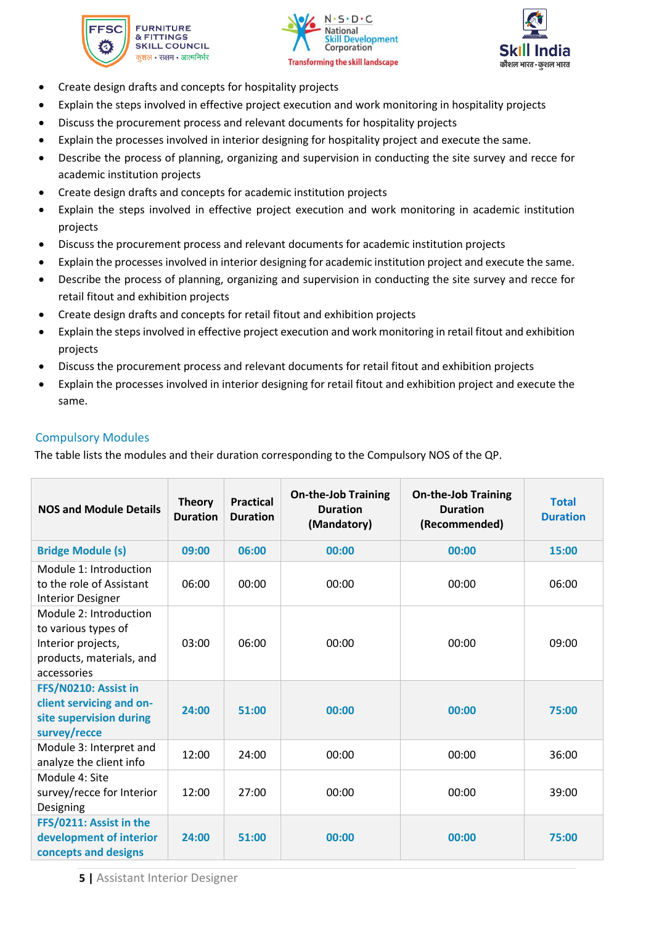





- Create design drafts and concepts for hospitality projects
- Explain the steps involved in effective project execution and work monitoring in hospitality projects
- Discuss the procurement process and relevant documents for hospitality projects
- Explain the processes involved in interior designing for hospitality project and execute the same.
- Describe the process of planning, organizing and supervision in conducting the site survey and recce for academic institution projects
- Create design drafts and concepts for academic institution projects
- Explain the steps involved in effective project execution and work monitoring in academic institution projects
- Discuss the procurement process and relevant documents for academic institution projects
- Explain the processes involved in interior designing for academic institution project and execute the same.
- Describe the process of planning, organizing and supervision in conducting the site survey and recce for retail fitout and exhibition projects
- Create design drafts and concepts for retail fitout and exhibition projects
- Explain the steps involved in effective project execution and work monitoring in retail fitout and exhibition projects
- Discuss the procurement process and relevant documents for retail fitout and exhibition projects
- Explain the processes involved in interior designing for retail fitout and exhibition project and execute the same.

### <span id="page-5-0"></span>Compulsory Modules

The table lists the modules and their duration corresponding to the Compulsory NOS of the QP.

| <b>NOS and Module Details</b>                                                                                  | <b>Theory</b><br><b>Duration</b> | <b>Practical</b><br><b>Duration</b> | <b>On-the-Job Training</b><br><b>Duration</b><br>(Mandatory) | <b>On-the-Job Training</b><br><b>Duration</b><br>(Recommended) | <b>Total</b><br><b>Duration</b> |
|----------------------------------------------------------------------------------------------------------------|----------------------------------|-------------------------------------|--------------------------------------------------------------|----------------------------------------------------------------|---------------------------------|
| <b>Bridge Module (s)</b>                                                                                       | 09:00                            | 06:00                               | 00:00                                                        | 00:00                                                          | 15:00                           |
| Module 1: Introduction<br>to the role of Assistant<br><b>Interior Designer</b>                                 | 06:00                            | 00:00                               | 00:00                                                        | 00:00                                                          | 06:00                           |
| Module 2: Introduction<br>to various types of<br>Interior projects,<br>products, materials, and<br>accessories | 03:00                            | 06:00                               | 00:00                                                        | 00:00                                                          | 09:00                           |
| FFS/N0210: Assist in<br>client servicing and on-<br>site supervision during<br>survey/recce                    | 24:00                            | 51:00                               | 00:00                                                        | 00:00                                                          | 75:00                           |
| Module 3: Interpret and<br>analyze the client info                                                             | 12:00                            | 24:00                               | 00:00                                                        | 00:00                                                          | 36:00                           |
| Module 4: Site<br>survey/recce for Interior<br>Designing                                                       | 12:00                            | 27:00                               | 00:00                                                        | 00:00                                                          | 39:00                           |
| FFS/0211: Assist in the<br>development of interior<br>concepts and designs                                     | 24:00                            | 51:00                               | 00:00                                                        | 00:00                                                          | 75:00                           |

**5 |** Assistant Interior Designer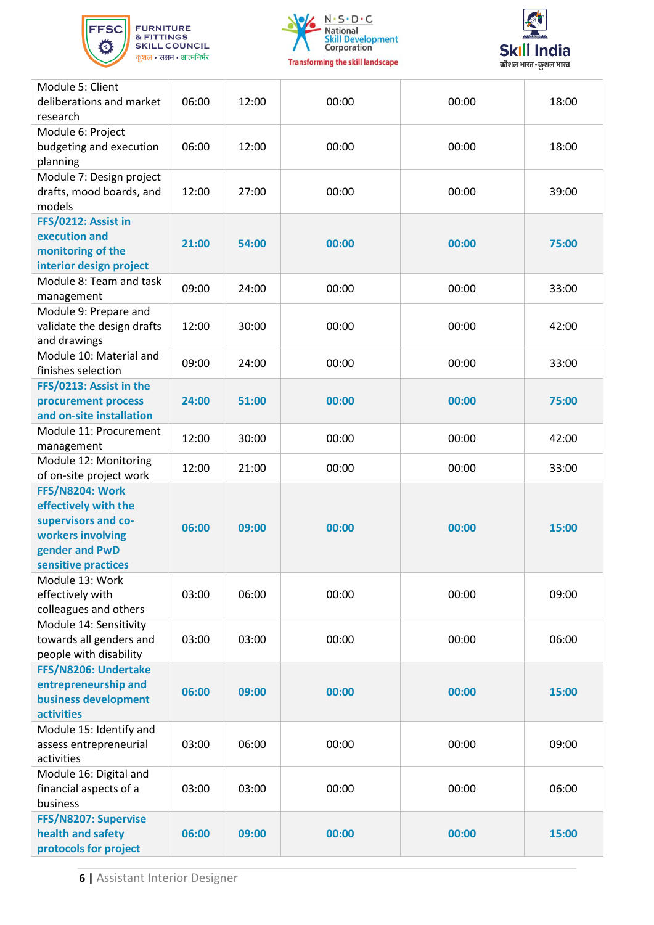





| Module 5: Client<br>deliberations and market<br>research                                                                     | 06:00 | 12:00 | 00:00 | 00:00 | 18:00 |
|------------------------------------------------------------------------------------------------------------------------------|-------|-------|-------|-------|-------|
| Module 6: Project<br>budgeting and execution<br>planning                                                                     | 06:00 | 12:00 | 00:00 | 00:00 | 18:00 |
| Module 7: Design project<br>drafts, mood boards, and<br>models                                                               | 12:00 | 27:00 | 00:00 | 00:00 | 39:00 |
| FFS/0212: Assist in<br>execution and<br>monitoring of the<br>interior design project                                         | 21:00 | 54:00 | 00:00 | 00:00 | 75:00 |
| Module 8: Team and task<br>management                                                                                        | 09:00 | 24:00 | 00:00 | 00:00 | 33:00 |
| Module 9: Prepare and<br>validate the design drafts<br>and drawings                                                          | 12:00 | 30:00 | 00:00 | 00:00 | 42:00 |
| Module 10: Material and<br>finishes selection                                                                                | 09:00 | 24:00 | 00:00 | 00:00 | 33:00 |
| FFS/0213: Assist in the<br>procurement process<br>and on-site installation                                                   | 24:00 | 51:00 | 00:00 | 00:00 | 75:00 |
| Module 11: Procurement<br>management                                                                                         | 12:00 | 30:00 | 00:00 | 00:00 | 42:00 |
| Module 12: Monitoring<br>of on-site project work                                                                             | 12:00 | 21:00 | 00:00 | 00:00 | 33:00 |
| FFS/N8204: Work<br>effectively with the<br>supervisors and co-<br>workers involving<br>gender and PwD<br>sensitive practices | 06:00 | 09:00 | 00:00 | 00:00 | 15:00 |
| Module 13: Work<br>effectively with<br>colleagues and others                                                                 | 03:00 | 06:00 | 00:00 | 00:00 | 09:00 |
| Module 14: Sensitivity<br>towards all genders and<br>people with disability                                                  | 03:00 | 03:00 | 00:00 | 00:00 | 06:00 |
| FFS/N8206: Undertake<br>entrepreneurship and<br>business development<br><b>activities</b>                                    | 06:00 | 09:00 | 00:00 | 00:00 | 15:00 |
| Module 15: Identify and<br>assess entrepreneurial<br>activities                                                              | 03:00 | 06:00 | 00:00 | 00:00 | 09:00 |
| Module 16: Digital and<br>financial aspects of a<br>business                                                                 | 03:00 | 03:00 | 00:00 | 00:00 | 06:00 |
| FFS/N8207: Supervise<br>health and safety<br>protocols for project                                                           | 06:00 | 09:00 | 00:00 | 00:00 | 15:00 |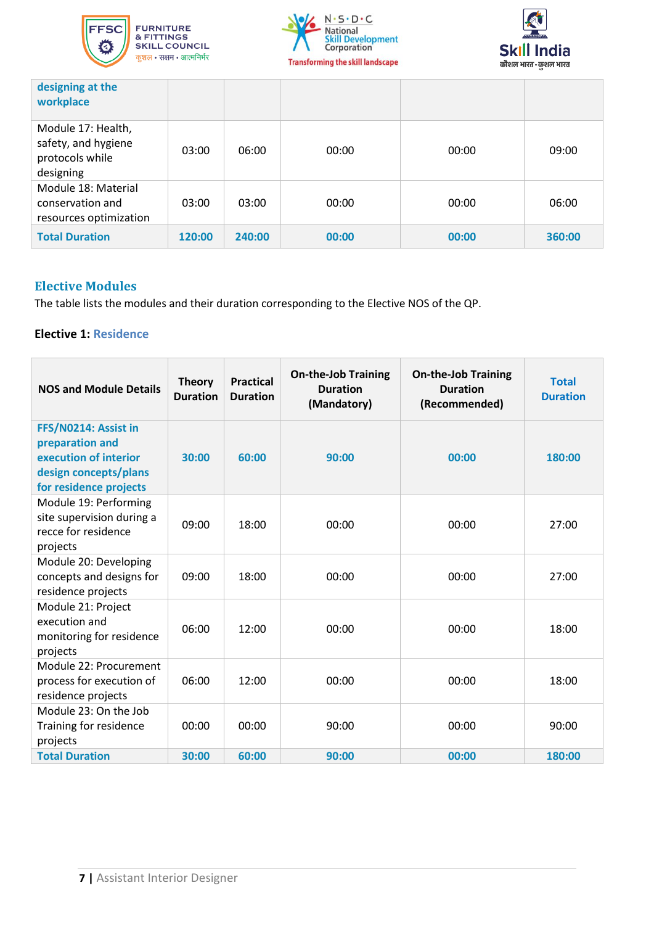





| designing at the<br>workplace                                             |        |        |       |       |        |
|---------------------------------------------------------------------------|--------|--------|-------|-------|--------|
| Module 17: Health,<br>safety, and hygiene<br>protocols while<br>designing | 03:00  | 06:00  | 00:00 | 00:00 | 09:00  |
| Module 18: Material<br>conservation and<br>resources optimization         | 03:00  | 03:00  | 00:00 | 00:00 | 06:00  |
| <b>Total Duration</b>                                                     | 120:00 | 240:00 | 00:00 | 00:00 | 360:00 |

### **Elective Modules**

The table lists the modules and their duration corresponding to the Elective NOS of the QP.

### **Elective 1: Residence**

| <b>NOS and Module Details</b>                                                                                       | <b>Theory</b><br><b>Duration</b> | <b>Practical</b><br><b>Duration</b> | <b>On-the-Job Training</b><br><b>Duration</b><br>(Mandatory) | <b>On-the-Job Training</b><br><b>Duration</b><br>(Recommended) | <b>Total</b><br><b>Duration</b> |
|---------------------------------------------------------------------------------------------------------------------|----------------------------------|-------------------------------------|--------------------------------------------------------------|----------------------------------------------------------------|---------------------------------|
| FFS/N0214: Assist in<br>preparation and<br>execution of interior<br>design concepts/plans<br>for residence projects | 30:00                            | 60:00                               | 90:00                                                        | 00:00                                                          | 180:00                          |
| Module 19: Performing<br>site supervision during a<br>recce for residence<br>projects                               | 09:00                            | 18:00                               | 00:00                                                        | 00:00                                                          | 27:00                           |
| Module 20: Developing<br>concepts and designs for<br>residence projects                                             | 09:00                            | 18:00                               | 00:00                                                        | 00:00                                                          | 27:00                           |
| Module 21: Project<br>execution and<br>monitoring for residence<br>projects                                         | 06:00                            | 12:00                               | 00:00                                                        | 00:00                                                          | 18:00                           |
| Module 22: Procurement<br>process for execution of<br>residence projects                                            | 06:00                            | 12:00                               | 00:00                                                        | 00:00                                                          | 18:00                           |
| Module 23: On the Job<br>Training for residence<br>projects                                                         | 00:00                            | 00:00                               | 90:00                                                        | 00:00                                                          | 90:00                           |
| <b>Total Duration</b>                                                                                               | 30:00                            | 60:00                               | 90:00                                                        | 00:00                                                          | 180:00                          |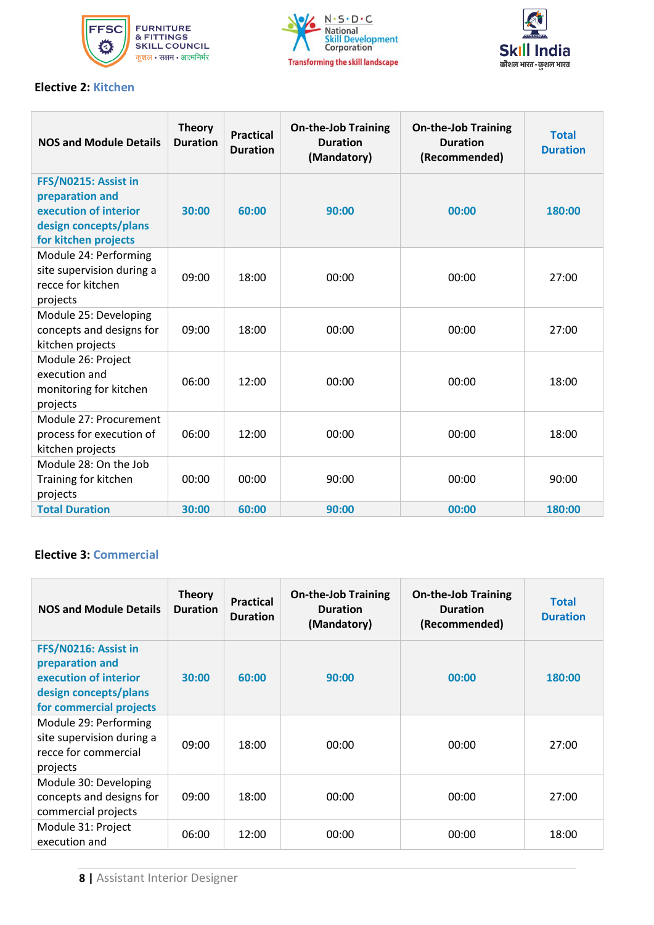





### **Elective 2: Kitchen**

| <b>NOS and Module Details</b>                                                                                     | <b>Theory</b><br><b>Duration</b> | <b>Practical</b><br><b>Duration</b> | <b>On-the-Job Training</b><br><b>Duration</b><br>(Mandatory) | <b>On-the-Job Training</b><br><b>Duration</b><br>(Recommended) | <b>Total</b><br><b>Duration</b> |
|-------------------------------------------------------------------------------------------------------------------|----------------------------------|-------------------------------------|--------------------------------------------------------------|----------------------------------------------------------------|---------------------------------|
| FFS/N0215: Assist in<br>preparation and<br>execution of interior<br>design concepts/plans<br>for kitchen projects | 30:00                            | 60:00                               | 90:00                                                        | 00:00                                                          | 180:00                          |
| Module 24: Performing<br>site supervision during a<br>recce for kitchen<br>projects                               | 09:00                            | 18:00                               | 00:00                                                        | 00:00                                                          | 27:00                           |
| Module 25: Developing<br>concepts and designs for<br>kitchen projects                                             | 09:00                            | 18:00                               | 00:00                                                        | 00:00                                                          | 27:00                           |
| Module 26: Project<br>execution and<br>monitoring for kitchen<br>projects                                         | 06:00                            | 12:00                               | 00:00                                                        | 00:00                                                          | 18:00                           |
| Module 27: Procurement<br>process for execution of<br>kitchen projects                                            | 06:00                            | 12:00                               | 00:00                                                        | 00:00                                                          | 18:00                           |
| Module 28: On the Job<br>Training for kitchen<br>projects                                                         | 00:00                            | 00:00                               | 90:00                                                        | 00:00                                                          | 90:00                           |
| <b>Total Duration</b>                                                                                             | 30:00                            | 60:00                               | 90:00                                                        | 00:00                                                          | 180:00                          |

### **Elective 3: Commercial**

| <b>NOS and Module Details</b>                                                                                        | <b>Theory</b><br><b>Duration</b> | <b>Practical</b><br><b>Duration</b> | <b>On-the-Job Training</b><br><b>Duration</b><br>(Mandatory) | <b>On-the-Job Training</b><br><b>Duration</b><br>(Recommended) | <b>Total</b><br><b>Duration</b> |
|----------------------------------------------------------------------------------------------------------------------|----------------------------------|-------------------------------------|--------------------------------------------------------------|----------------------------------------------------------------|---------------------------------|
| FFS/N0216: Assist in<br>preparation and<br>execution of interior<br>design concepts/plans<br>for commercial projects | 30:00                            | 60:00                               | 90:00                                                        | 00:00                                                          | 180:00                          |
| Module 29: Performing<br>site supervision during a<br>recce for commercial<br>projects                               | 09:00                            | 18:00                               | 00:00                                                        | 00:00                                                          | 27:00                           |
| Module 30: Developing<br>concepts and designs for<br>commercial projects                                             | 09:00                            | 18:00                               | 00:00                                                        | 00:00                                                          | 27:00                           |
| Module 31: Project<br>execution and                                                                                  | 06:00                            | 12:00                               | 00:00                                                        | 00:00                                                          | 18:00                           |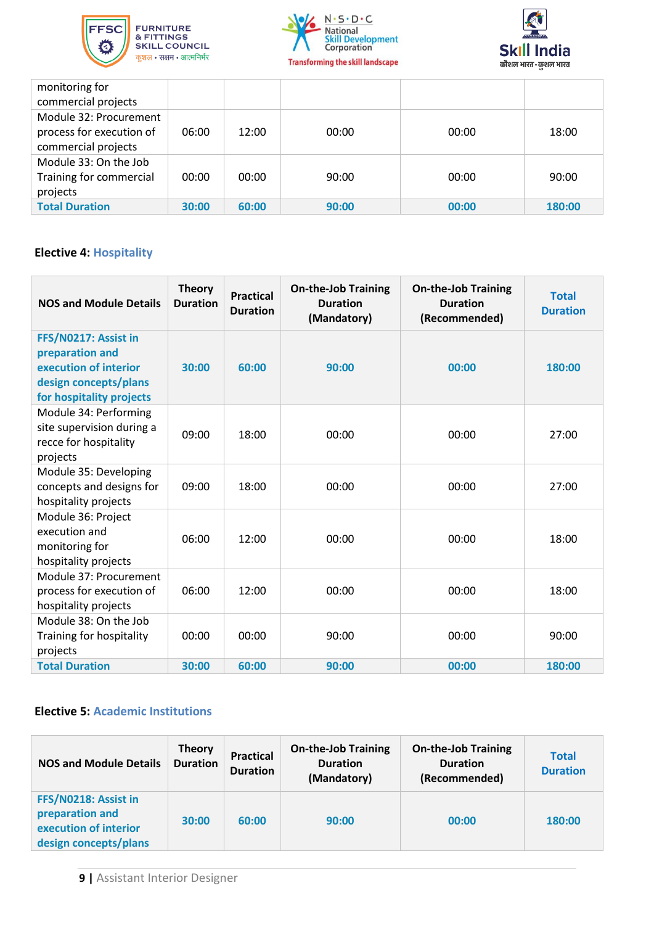





| monitoring for           |       |       |       |       |        |
|--------------------------|-------|-------|-------|-------|--------|
| commercial projects      |       |       |       |       |        |
| Module 32: Procurement   |       |       |       |       |        |
| process for execution of | 06:00 | 12:00 | 00:00 | 00:00 | 18:00  |
| commercial projects      |       |       |       |       |        |
| Module 33: On the Job    |       |       |       |       |        |
| Training for commercial  | 00:00 | 00:00 | 90:00 | 00:00 | 90:00  |
| projects                 |       |       |       |       |        |
| <b>Total Duration</b>    | 30:00 | 60:00 | 90:00 | 00:00 | 180:00 |

### **Elective 4: Hospitality**

| <b>NOS and Module Details</b>                                                                                         | <b>Theory</b><br><b>Duration</b> | <b>Practical</b><br><b>Duration</b> | <b>On-the-Job Training</b><br><b>Duration</b><br>(Mandatory) | <b>On-the-Job Training</b><br><b>Duration</b><br>(Recommended) | <b>Total</b><br><b>Duration</b> |
|-----------------------------------------------------------------------------------------------------------------------|----------------------------------|-------------------------------------|--------------------------------------------------------------|----------------------------------------------------------------|---------------------------------|
| FFS/N0217: Assist in<br>preparation and<br>execution of interior<br>design concepts/plans<br>for hospitality projects | 30:00                            | 60:00                               | 90:00                                                        | 00:00                                                          | 180:00                          |
| Module 34: Performing<br>site supervision during a<br>recce for hospitality<br>projects                               | 09:00                            | 18:00                               | 00:00                                                        | 00:00                                                          | 27:00                           |
| Module 35: Developing<br>concepts and designs for<br>hospitality projects                                             | 09:00                            | 18:00                               | 00:00                                                        | 00:00                                                          | 27:00                           |
| Module 36: Project<br>execution and<br>monitoring for<br>hospitality projects                                         | 06:00                            | 12:00                               | 00:00                                                        | 00:00                                                          | 18:00                           |
| Module 37: Procurement<br>process for execution of<br>hospitality projects                                            | 06:00                            | 12:00                               | 00:00                                                        | 00:00                                                          | 18:00                           |
| Module 38: On the Job<br>Training for hospitality<br>projects                                                         | 00:00                            | 00:00                               | 90:00                                                        | 00:00                                                          | 90:00                           |
| <b>Total Duration</b>                                                                                                 | 30:00                            | 60:00                               | 90:00                                                        | 00:00                                                          | 180:00                          |

### **Elective 5: Academic Institutions**

| <b>NOS and Module Details</b>                                                             | <b>Theory</b><br><b>Duration</b> | <b>Practical</b><br><b>Duration</b> | <b>On-the-Job Training</b><br><b>Duration</b><br>(Mandatory) | <b>On-the-Job Training</b><br><b>Duration</b><br>(Recommended) | <b>Total</b><br><b>Duration</b> |
|-------------------------------------------------------------------------------------------|----------------------------------|-------------------------------------|--------------------------------------------------------------|----------------------------------------------------------------|---------------------------------|
| FFS/N0218: Assist in<br>preparation and<br>execution of interior<br>design concepts/plans | 30:00                            | 60:00                               | 90:00                                                        | 00:00                                                          | 180:00                          |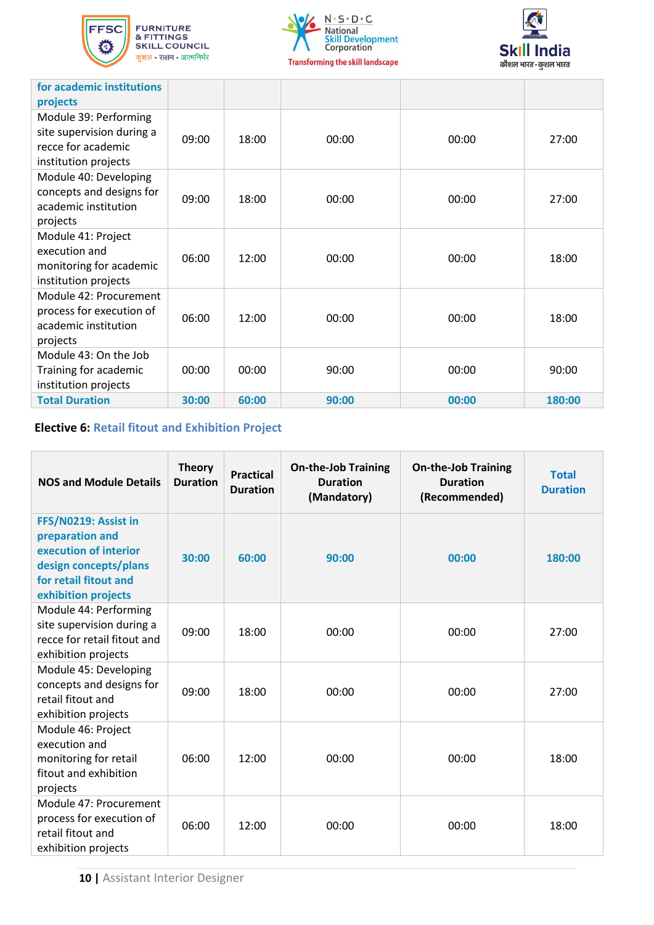





| for academic institutions<br>projects                                                            |       |       |       |       |        |
|--------------------------------------------------------------------------------------------------|-------|-------|-------|-------|--------|
| Module 39: Performing<br>site supervision during a<br>recce for academic<br>institution projects | 09:00 | 18:00 | 00:00 | 00:00 | 27:00  |
| Module 40: Developing<br>concepts and designs for<br>academic institution<br>projects            | 09:00 | 18:00 | 00:00 | 00:00 | 27:00  |
| Module 41: Project<br>execution and<br>monitoring for academic<br>institution projects           | 06:00 | 12:00 | 00:00 | 00:00 | 18:00  |
| Module 42: Procurement<br>process for execution of<br>academic institution<br>projects           | 06:00 | 12:00 | 00:00 | 00:00 | 18:00  |
| Module 43: On the Job<br>Training for academic<br>institution projects                           | 00:00 | 00:00 | 90:00 | 00:00 | 90:00  |
| <b>Total Duration</b>                                                                            | 30:00 | 60:00 | 90:00 | 00:00 | 180:00 |

### **Elective 6: Retail fitout and Exhibition Project**

| <b>NOS and Module Details</b>                                                                                                             | <b>Theory</b><br><b>Duration</b> | <b>Practical</b><br><b>Duration</b> | <b>On-the-Job Training</b><br><b>Duration</b><br>(Mandatory) | <b>On-the-Job Training</b><br><b>Duration</b><br>(Recommended) | <b>Total</b><br><b>Duration</b> |
|-------------------------------------------------------------------------------------------------------------------------------------------|----------------------------------|-------------------------------------|--------------------------------------------------------------|----------------------------------------------------------------|---------------------------------|
| FFS/N0219: Assist in<br>preparation and<br>execution of interior<br>design concepts/plans<br>for retail fitout and<br>exhibition projects | 30:00                            | 60:00                               | 90:00                                                        | 00:00                                                          | 180:00                          |
| Module 44: Performing<br>site supervision during a<br>recce for retail fitout and<br>exhibition projects                                  | 09:00                            | 18:00                               | 00:00                                                        | 00:00                                                          | 27:00                           |
| Module 45: Developing<br>concepts and designs for<br>retail fitout and<br>exhibition projects                                             | 09:00                            | 18:00                               | 00:00                                                        | 00:00                                                          | 27:00                           |
| Module 46: Project<br>execution and<br>monitoring for retail<br>fitout and exhibition<br>projects                                         | 06:00                            | 12:00                               | 00:00                                                        | 00:00                                                          | 18:00                           |
| Module 47: Procurement<br>process for execution of<br>retail fitout and<br>exhibition projects                                            | 06:00                            | 12:00                               | 00:00                                                        | 00:00                                                          | 18:00                           |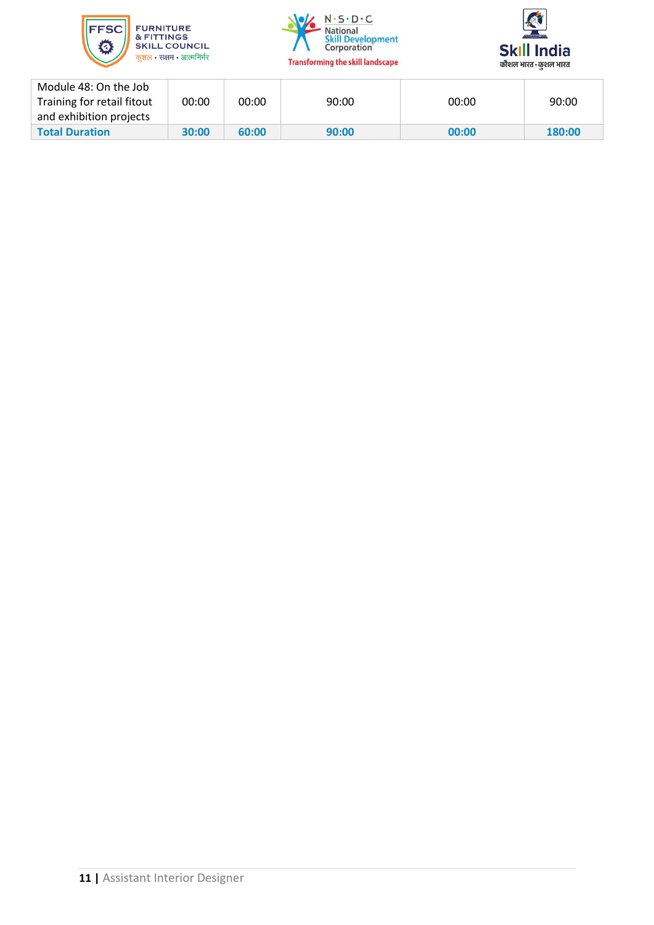





| Module 48: On the Job<br>Training for retail fitout<br>and exhibition projects | 00:00 | 00:00 | 90:00 | 00:00 | 90:00  |
|--------------------------------------------------------------------------------|-------|-------|-------|-------|--------|
| <b>Total Duration</b>                                                          | 30:00 | 60:00 | 90:00 | 00:00 | 180:00 |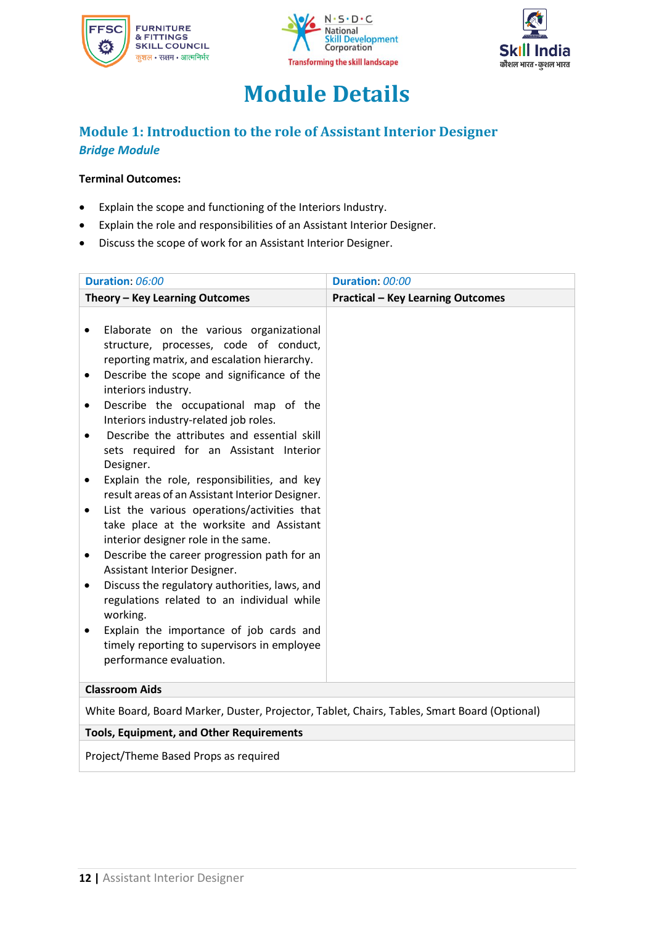





## **Module Details**

### <span id="page-12-0"></span>**Module 1: Introduction to the role of Assistant Interior Designer** *Bridge Module*

- Explain the scope and functioning of the Interiors Industry.
- Explain the role and responsibilities of an Assistant Interior Designer.
- Discuss the scope of work for an Assistant Interior Designer.

| Duration: 06:00                                                                                                                               | Duration: 00:00                          |  |  |
|-----------------------------------------------------------------------------------------------------------------------------------------------|------------------------------------------|--|--|
| Theory - Key Learning Outcomes                                                                                                                | <b>Practical - Key Learning Outcomes</b> |  |  |
| Elaborate on the various organizational<br>$\bullet$<br>structure, processes, code of conduct,<br>reporting matrix, and escalation hierarchy. |                                          |  |  |
| Describe the scope and significance of the<br>٠<br>interiors industry.                                                                        |                                          |  |  |
| Describe the occupational map of the<br>٠<br>Interiors industry-related job roles.                                                            |                                          |  |  |
| Describe the attributes and essential skill<br>$\bullet$<br>sets required for an Assistant Interior<br>Designer.                              |                                          |  |  |
| Explain the role, responsibilities, and key<br>٠<br>result areas of an Assistant Interior Designer.                                           |                                          |  |  |
| List the various operations/activities that<br>$\bullet$<br>take place at the worksite and Assistant<br>interior designer role in the same.   |                                          |  |  |
| Describe the career progression path for an<br>٠<br>Assistant Interior Designer.                                                              |                                          |  |  |
| Discuss the regulatory authorities, laws, and<br>$\bullet$<br>regulations related to an individual while<br>working.                          |                                          |  |  |
| Explain the importance of job cards and<br>$\bullet$<br>timely reporting to supervisors in employee<br>performance evaluation.                |                                          |  |  |
| <b>Classroom Aids</b>                                                                                                                         |                                          |  |  |
| White Board, Board Marker, Duster, Projector, Tablet, Chairs, Tables, Smart Board (Optional)                                                  |                                          |  |  |
| <b>Tools, Equipment, and Other Requirements</b>                                                                                               |                                          |  |  |
| Project/Theme Based Props as required                                                                                                         |                                          |  |  |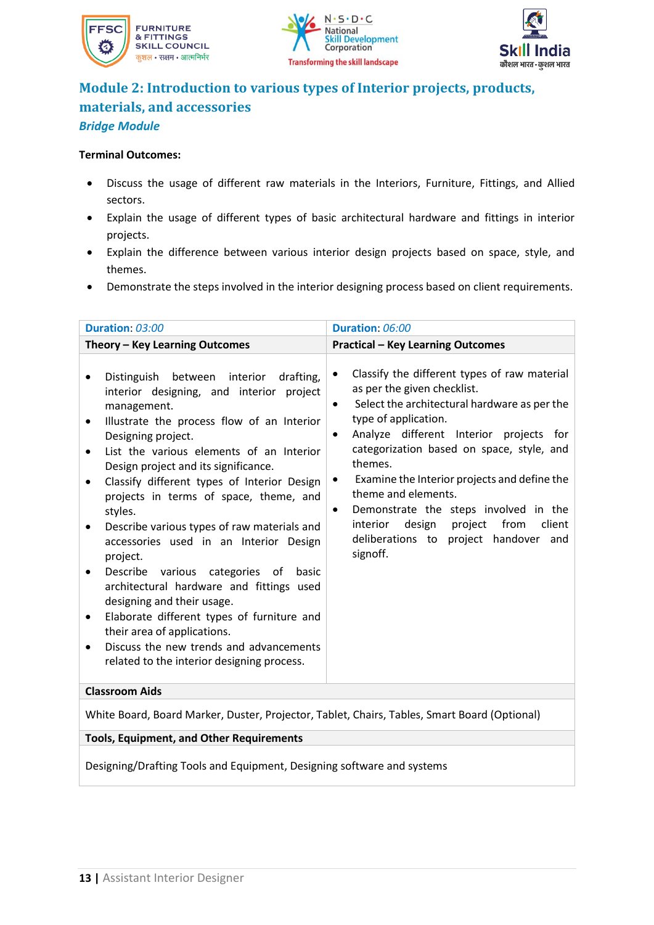





### **Module 2: Introduction to various types of Interior projects, products, materials, and accessories** *Bridge Module*

#### **Terminal Outcomes:**

- Discuss the usage of different raw materials in the Interiors, Furniture, Fittings, and Allied sectors.
- Explain the usage of different types of basic architectural hardware and fittings in interior projects.
- Explain the difference between various interior design projects based on space, style, and themes.
- Demonstrate the steps involved in the interior designing process based on client requirements.

| Duration: 03:00                                                                                                                                                                                                                                                                                                                                                                                                                                                                                                                                                                                                                                                                                                                                                                                                                                             | Duration: 06:00                                                                                                                                                                                                                                                                                                                                                                                                                                                                                                                        |  |  |
|-------------------------------------------------------------------------------------------------------------------------------------------------------------------------------------------------------------------------------------------------------------------------------------------------------------------------------------------------------------------------------------------------------------------------------------------------------------------------------------------------------------------------------------------------------------------------------------------------------------------------------------------------------------------------------------------------------------------------------------------------------------------------------------------------------------------------------------------------------------|----------------------------------------------------------------------------------------------------------------------------------------------------------------------------------------------------------------------------------------------------------------------------------------------------------------------------------------------------------------------------------------------------------------------------------------------------------------------------------------------------------------------------------------|--|--|
| Theory - Key Learning Outcomes                                                                                                                                                                                                                                                                                                                                                                                                                                                                                                                                                                                                                                                                                                                                                                                                                              | <b>Practical - Key Learning Outcomes</b>                                                                                                                                                                                                                                                                                                                                                                                                                                                                                               |  |  |
| Distinguish between interior<br>drafting,<br>$\bullet$<br>interior designing, and interior project<br>management.<br>Illustrate the process flow of an Interior<br>٠<br>Designing project.<br>List the various elements of an Interior<br>$\bullet$<br>Design project and its significance.<br>Classify different types of Interior Design<br>$\bullet$<br>projects in terms of space, theme, and<br>styles.<br>Describe various types of raw materials and<br>$\bullet$<br>accessories used in an Interior Design<br>project.<br>Describe various categories<br>basic<br>of<br>$\bullet$<br>architectural hardware and fittings used<br>designing and their usage.<br>Elaborate different types of furniture and<br>٠<br>their area of applications.<br>Discuss the new trends and advancements<br>$\bullet$<br>related to the interior designing process. | Classify the different types of raw material<br>$\bullet$<br>as per the given checklist.<br>Select the architectural hardware as per the<br>$\bullet$<br>type of application.<br>Analyze different Interior projects for<br>$\bullet$<br>categorization based on space, style, and<br>themes.<br>Examine the Interior projects and define the<br>$\bullet$<br>theme and elements.<br>Demonstrate the steps involved in the<br>$\bullet$<br>interior design project from<br>client<br>deliberations to project handover and<br>signoff. |  |  |
| <b>Classroom Aids</b>                                                                                                                                                                                                                                                                                                                                                                                                                                                                                                                                                                                                                                                                                                                                                                                                                                       |                                                                                                                                                                                                                                                                                                                                                                                                                                                                                                                                        |  |  |
| White Board, Board Marker, Duster, Projector, Tablet, Chairs, Tables, Smart Board (Optional)                                                                                                                                                                                                                                                                                                                                                                                                                                                                                                                                                                                                                                                                                                                                                                |                                                                                                                                                                                                                                                                                                                                                                                                                                                                                                                                        |  |  |

#### **Tools, Equipment, and Other Requirements**

Designing/Drafting Tools and Equipment, Designing software and systems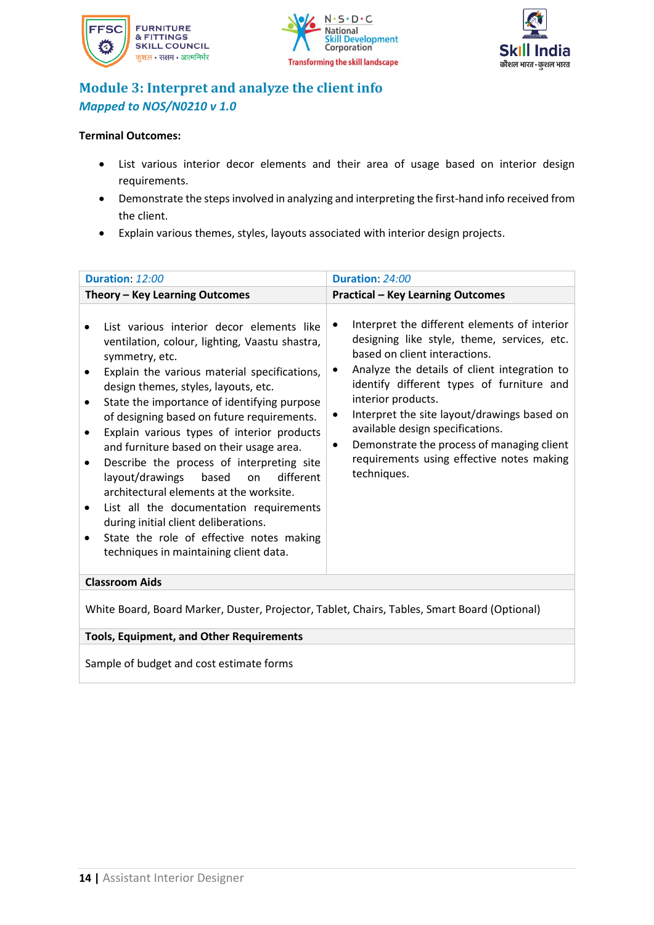





### **Module 3: Interpret and analyze the client info** *Mapped to NOS/N0210 v 1.0*

#### **Terminal Outcomes:**

- List various interior decor elements and their area of usage based on interior design requirements.
- Demonstrate the steps involved in analyzing and interpreting the first-hand info received from the client.
- Explain various themes, styles, layouts associated with interior design projects.

| Duration: 12:00                                                                                                                                                                                                                                                                                                                                                                                                                                                                                                                                                                                                                                                                                              | Duration: 24:00                                                                                                                                                                                                                                                                                                                                                                                                                                   |  |
|--------------------------------------------------------------------------------------------------------------------------------------------------------------------------------------------------------------------------------------------------------------------------------------------------------------------------------------------------------------------------------------------------------------------------------------------------------------------------------------------------------------------------------------------------------------------------------------------------------------------------------------------------------------------------------------------------------------|---------------------------------------------------------------------------------------------------------------------------------------------------------------------------------------------------------------------------------------------------------------------------------------------------------------------------------------------------------------------------------------------------------------------------------------------------|--|
| Theory - Key Learning Outcomes                                                                                                                                                                                                                                                                                                                                                                                                                                                                                                                                                                                                                                                                               | <b>Practical - Key Learning Outcomes</b>                                                                                                                                                                                                                                                                                                                                                                                                          |  |
| List various interior decor elements like<br>ventilation, colour, lighting, Vaastu shastra,<br>symmetry, etc.<br>Explain the various material specifications,<br>design themes, styles, layouts, etc.<br>State the importance of identifying purpose<br>of designing based on future requirements.<br>Explain various types of interior products<br>and furniture based on their usage area.<br>Describe the process of interpreting site<br>layout/drawings<br>based<br>different<br>on<br>architectural elements at the worksite.<br>List all the documentation requirements<br>during initial client deliberations.<br>State the role of effective notes making<br>techniques in maintaining client data. | Interpret the different elements of interior<br>designing like style, theme, services, etc.<br>based on client interactions.<br>Analyze the details of client integration to<br>identify different types of furniture and<br>interior products.<br>Interpret the site layout/drawings based on<br>٠<br>available design specifications.<br>Demonstrate the process of managing client<br>requirements using effective notes making<br>techniques. |  |
| <b>Classroom Aids</b>                                                                                                                                                                                                                                                                                                                                                                                                                                                                                                                                                                                                                                                                                        |                                                                                                                                                                                                                                                                                                                                                                                                                                                   |  |

White Board, Board Marker, Duster, Projector, Tablet, Chairs, Tables, Smart Board (Optional)

#### **Tools, Equipment, and Other Requirements**

Sample of budget and cost estimate forms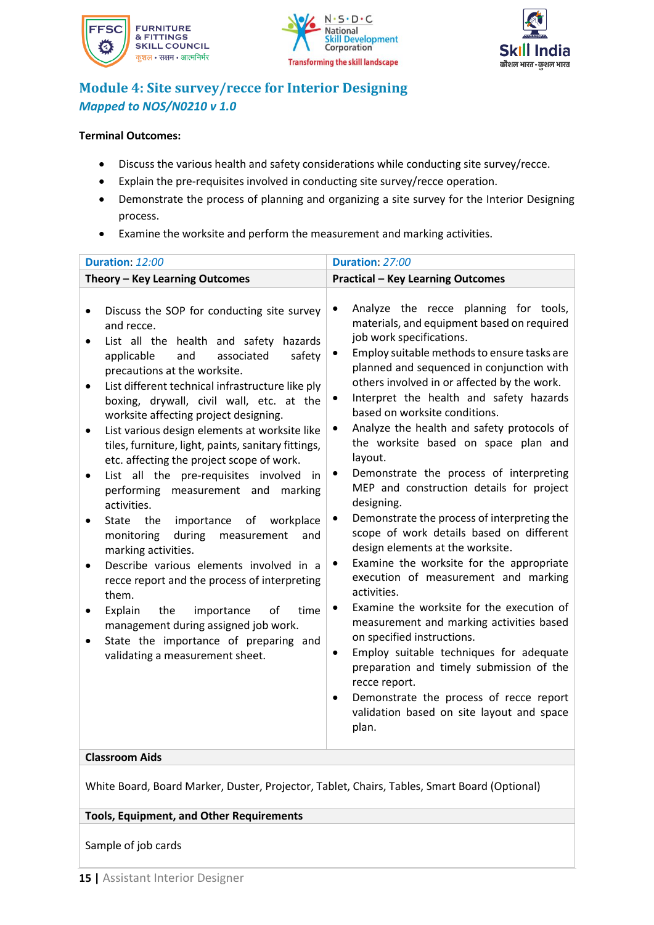





### **Module 4: Site survey/recce for Interior Designing** *Mapped to NOS/N0210 v 1.0*

#### **Terminal Outcomes:**

- Discuss the various health and safety considerations while conducting site survey/recce.
- Explain the pre-requisites involved in conducting site survey/recce operation.
- Demonstrate the process of planning and organizing a site survey for the Interior Designing process.
- Examine the worksite and perform the measurement and marking activities.

| Duration: 12:00                                                                                                                                                                                                                                                                                                                                                                                                                                                                                                                                                                                                                                                                                                                                                                                                                                                                                                                                                                                                                                    | Duration: 27:00                                                                                                                                                                                                                                                                                                                                                                                                                                                                                                                                                                                                                                                                                                                                                                                                                                                                                                                                                                                                                                                                                                                                                                                          |  |  |
|----------------------------------------------------------------------------------------------------------------------------------------------------------------------------------------------------------------------------------------------------------------------------------------------------------------------------------------------------------------------------------------------------------------------------------------------------------------------------------------------------------------------------------------------------------------------------------------------------------------------------------------------------------------------------------------------------------------------------------------------------------------------------------------------------------------------------------------------------------------------------------------------------------------------------------------------------------------------------------------------------------------------------------------------------|----------------------------------------------------------------------------------------------------------------------------------------------------------------------------------------------------------------------------------------------------------------------------------------------------------------------------------------------------------------------------------------------------------------------------------------------------------------------------------------------------------------------------------------------------------------------------------------------------------------------------------------------------------------------------------------------------------------------------------------------------------------------------------------------------------------------------------------------------------------------------------------------------------------------------------------------------------------------------------------------------------------------------------------------------------------------------------------------------------------------------------------------------------------------------------------------------------|--|--|
| Theory - Key Learning Outcomes                                                                                                                                                                                                                                                                                                                                                                                                                                                                                                                                                                                                                                                                                                                                                                                                                                                                                                                                                                                                                     | <b>Practical - Key Learning Outcomes</b>                                                                                                                                                                                                                                                                                                                                                                                                                                                                                                                                                                                                                                                                                                                                                                                                                                                                                                                                                                                                                                                                                                                                                                 |  |  |
| Discuss the SOP for conducting site survey<br>$\bullet$<br>and recce.<br>List all the health and safety hazards<br>applicable<br>and<br>associated<br>safety<br>precautions at the worksite.<br>List different technical infrastructure like ply<br>$\bullet$<br>boxing, drywall, civil wall, etc. at the<br>worksite affecting project designing.<br>List various design elements at worksite like<br>$\bullet$<br>tiles, furniture, light, paints, sanitary fittings,<br>etc. affecting the project scope of work.<br>List all the pre-requisites involved<br>in<br>$\bullet$<br>performing measurement and<br>marking<br>activities.<br>the<br>State<br>importance<br>of workplace<br>during<br>monitoring<br>measurement<br>and<br>marking activities.<br>Describe various elements involved in a<br>recce report and the process of interpreting<br>them.<br>Explain<br>the<br>importance<br>of<br>time<br>٠<br>management during assigned job work.<br>State the importance of preparing and<br>$\bullet$<br>validating a measurement sheet. | Analyze the recce planning for tools,<br>$\bullet$<br>materials, and equipment based on required<br>job work specifications.<br>Employ suitable methods to ensure tasks are<br>٠<br>planned and sequenced in conjunction with<br>others involved in or affected by the work.<br>Interpret the health and safety hazards<br>٠<br>based on worksite conditions.<br>Analyze the health and safety protocols of<br>$\bullet$<br>the worksite based on space plan and<br>layout.<br>Demonstrate the process of interpreting<br>٠<br>MEP and construction details for project<br>designing.<br>Demonstrate the process of interpreting the<br>$\bullet$<br>scope of work details based on different<br>design elements at the worksite.<br>Examine the worksite for the appropriate<br>٠<br>execution of measurement and marking<br>activities.<br>Examine the worksite for the execution of<br>$\bullet$<br>measurement and marking activities based<br>on specified instructions.<br>Employ suitable techniques for adequate<br>٠<br>preparation and timely submission of the<br>recce report.<br>Demonstrate the process of recce report<br>$\bullet$<br>validation based on site layout and space<br>plan. |  |  |
| <b>Classroom Aids</b>                                                                                                                                                                                                                                                                                                                                                                                                                                                                                                                                                                                                                                                                                                                                                                                                                                                                                                                                                                                                                              |                                                                                                                                                                                                                                                                                                                                                                                                                                                                                                                                                                                                                                                                                                                                                                                                                                                                                                                                                                                                                                                                                                                                                                                                          |  |  |

White Board, Board Marker, Duster, Projector, Tablet, Chairs, Tables, Smart Board (Optional)

### **Tools, Equipment, and Other Requirements**

Sample of job cards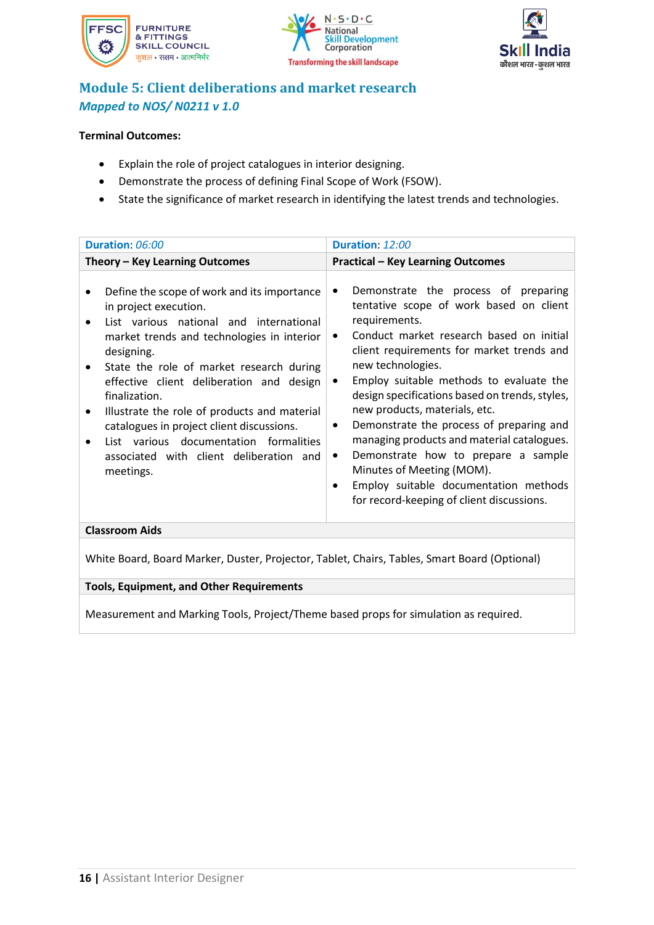





### **Module 5: Client deliberations and market research** *Mapped to NOS/ N0211 v 1.0*

### **Terminal Outcomes:**

- Explain the role of project catalogues in interior designing.
- Demonstrate the process of defining Final Scope of Work (FSOW).
- State the significance of market research in identifying the latest trends and technologies.

| Duration: 06:00                                                                                                                                                                                                                                                                                                                                                                                                                                                                     | Duration: 12:00                                                                                                                                                                                                                                                                                                                                                                                                                                                                                                                                                                                                                                           |  |  |  |  |
|-------------------------------------------------------------------------------------------------------------------------------------------------------------------------------------------------------------------------------------------------------------------------------------------------------------------------------------------------------------------------------------------------------------------------------------------------------------------------------------|-----------------------------------------------------------------------------------------------------------------------------------------------------------------------------------------------------------------------------------------------------------------------------------------------------------------------------------------------------------------------------------------------------------------------------------------------------------------------------------------------------------------------------------------------------------------------------------------------------------------------------------------------------------|--|--|--|--|
| Theory - Key Learning Outcomes                                                                                                                                                                                                                                                                                                                                                                                                                                                      | <b>Practical - Key Learning Outcomes</b>                                                                                                                                                                                                                                                                                                                                                                                                                                                                                                                                                                                                                  |  |  |  |  |
| Define the scope of work and its importance<br>in project execution.<br>List various national and international<br>market trends and technologies in interior<br>designing.<br>State the role of market research during<br>effective client deliberation and design<br>finalization.<br>Illustrate the role of products and material<br>catalogues in project client discussions.<br>List various documentation formalities<br>associated with client deliberation and<br>meetings. | Demonstrate the process of<br>preparing<br>٠<br>tentative scope of work based on client<br>requirements.<br>Conduct market research based on initial<br>$\bullet$<br>client requirements for market trends and<br>new technologies.<br>Employ suitable methods to evaluate the<br>$\bullet$<br>design specifications based on trends, styles,<br>new products, materials, etc.<br>Demonstrate the process of preparing and<br>٠<br>managing products and material catalogues.<br>Demonstrate how to prepare a sample<br>$\bullet$<br>Minutes of Meeting (MOM).<br>Employ suitable documentation methods<br>٠<br>for record-keeping of client discussions. |  |  |  |  |
| <b>Classroom Aids</b>                                                                                                                                                                                                                                                                                                                                                                                                                                                               |                                                                                                                                                                                                                                                                                                                                                                                                                                                                                                                                                                                                                                                           |  |  |  |  |
|                                                                                                                                                                                                                                                                                                                                                                                                                                                                                     |                                                                                                                                                                                                                                                                                                                                                                                                                                                                                                                                                                                                                                                           |  |  |  |  |

White Board, Board Marker, Duster, Projector, Tablet, Chairs, Tables, Smart Board (Optional)

**Tools, Equipment, and Other Requirements** 

Measurement and Marking Tools, Project/Theme based props for simulation as required.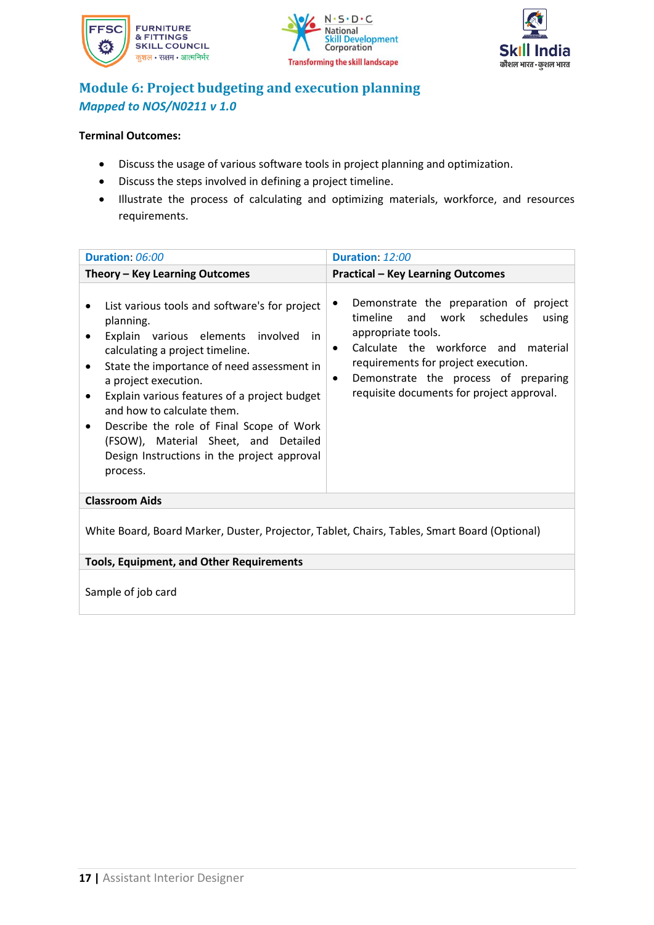





### **Module 6: Project budgeting and execution planning** *Mapped to NOS/N0211 v 1.0*

- Discuss the usage of various software tools in project planning and optimization.
- Discuss the steps involved in defining a project timeline.
- Illustrate the process of calculating and optimizing materials, workforce, and resources requirements.

| Duration: 06:00                                                                                                                                                                                                                                                                                                                                                                                                                                                                 | Duration: 12:00                                                                                                                                                                                                                                                                                  |  |  |  |
|---------------------------------------------------------------------------------------------------------------------------------------------------------------------------------------------------------------------------------------------------------------------------------------------------------------------------------------------------------------------------------------------------------------------------------------------------------------------------------|--------------------------------------------------------------------------------------------------------------------------------------------------------------------------------------------------------------------------------------------------------------------------------------------------|--|--|--|
| Theory - Key Learning Outcomes                                                                                                                                                                                                                                                                                                                                                                                                                                                  | <b>Practical - Key Learning Outcomes</b>                                                                                                                                                                                                                                                         |  |  |  |
| List various tools and software's for project<br>planning.<br>Explain various elements involved in<br>calculating a project timeline.<br>State the importance of need assessment in<br>$\bullet$<br>a project execution.<br>Explain various features of a project budget<br>$\bullet$<br>and how to calculate them.<br>Describe the role of Final Scope of Work<br>$\bullet$<br>(FSOW), Material Sheet, and Detailed<br>Design Instructions in the project approval<br>process. | Demonstrate the preparation of project<br>timeline<br>and work schedules<br>using<br>appropriate tools.<br>Calculate the workforce and<br>material<br>$\bullet$<br>requirements for project execution.<br>Demonstrate the process of preparing<br>٠<br>requisite documents for project approval. |  |  |  |
| <b>Classroom Aids</b>                                                                                                                                                                                                                                                                                                                                                                                                                                                           |                                                                                                                                                                                                                                                                                                  |  |  |  |
| White Board, Board Marker, Duster, Projector, Tablet, Chairs, Tables, Smart Board (Optional)                                                                                                                                                                                                                                                                                                                                                                                    |                                                                                                                                                                                                                                                                                                  |  |  |  |
| <b>Tools, Equipment, and Other Requirements</b>                                                                                                                                                                                                                                                                                                                                                                                                                                 |                                                                                                                                                                                                                                                                                                  |  |  |  |
| Sample of job card                                                                                                                                                                                                                                                                                                                                                                                                                                                              |                                                                                                                                                                                                                                                                                                  |  |  |  |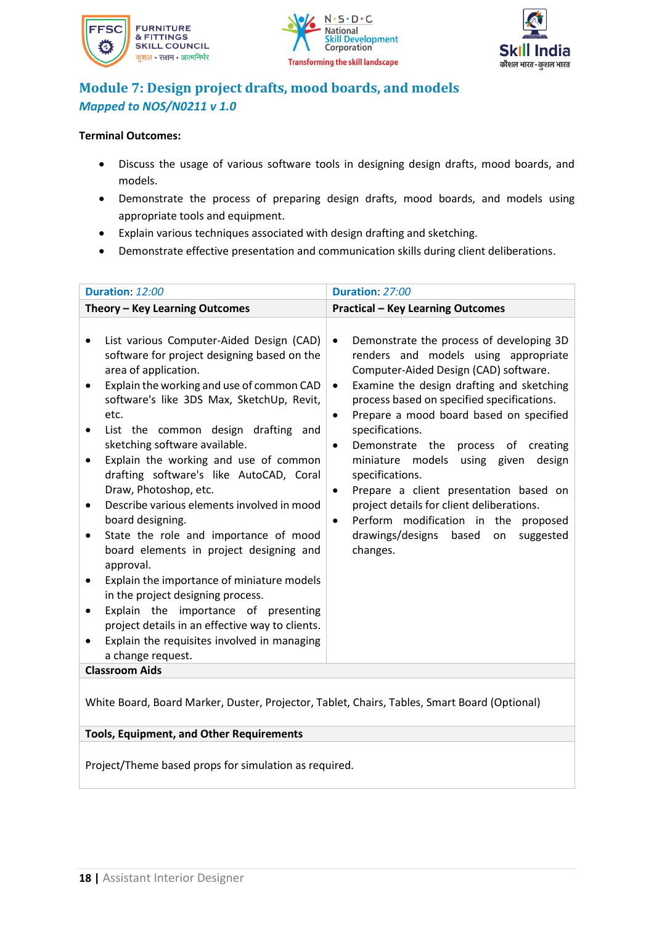





### **Module 7: Design project drafts, mood boards, and models** *Mapped to NOS/N0211 v 1.0*

#### **Terminal Outcomes:**

- Discuss the usage of various software tools in designing design drafts, mood boards, and models.
- Demonstrate the process of preparing design drafts, mood boards, and models using appropriate tools and equipment.
- Explain various techniques associated with design drafting and sketching.
- Demonstrate effective presentation and communication skills during client deliberations.

### **Tools, Equipment, and Other Requirements**

Project/Theme based props for simulation as required.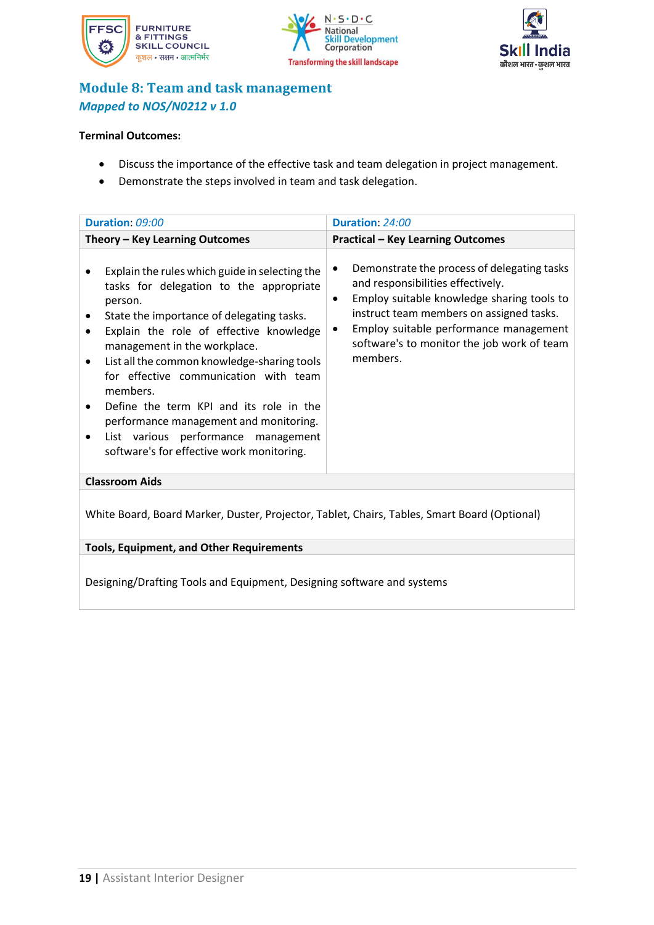





### **Module 8: Team and task management** *Mapped to NOS/N0212 v 1.0*

- Discuss the importance of the effective task and team delegation in project management.
- Demonstrate the steps involved in team and task delegation.

<span id="page-19-0"></span>

| Duration: 09:00                                                                                                                                                                                                                                                                                                                                                                                                                                                                                                                     | Duration: 24:00                                                                                                                                                                                                                                                                                  |  |  |  |
|-------------------------------------------------------------------------------------------------------------------------------------------------------------------------------------------------------------------------------------------------------------------------------------------------------------------------------------------------------------------------------------------------------------------------------------------------------------------------------------------------------------------------------------|--------------------------------------------------------------------------------------------------------------------------------------------------------------------------------------------------------------------------------------------------------------------------------------------------|--|--|--|
| Theory - Key Learning Outcomes                                                                                                                                                                                                                                                                                                                                                                                                                                                                                                      | <b>Practical - Key Learning Outcomes</b>                                                                                                                                                                                                                                                         |  |  |  |
| Explain the rules which guide in selecting the<br>tasks for delegation to the appropriate<br>person.<br>State the importance of delegating tasks.<br>Explain the role of effective knowledge<br>management in the workplace.<br>List all the common knowledge-sharing tools<br>$\bullet$<br>for effective communication with team<br>members.<br>Define the term KPI and its role in the<br>$\bullet$<br>performance management and monitoring.<br>List various performance management<br>software's for effective work monitoring. | Demonstrate the process of delegating tasks<br>and responsibilities effectively.<br>Employ suitable knowledge sharing tools to<br>$\bullet$<br>instruct team members on assigned tasks.<br>Employ suitable performance management<br>٠<br>software's to monitor the job work of team<br>members. |  |  |  |
| <b>Classroom Aids</b>                                                                                                                                                                                                                                                                                                                                                                                                                                                                                                               |                                                                                                                                                                                                                                                                                                  |  |  |  |
| White Board, Board Marker, Duster, Projector, Tablet, Chairs, Tables, Smart Board (Optional)                                                                                                                                                                                                                                                                                                                                                                                                                                        |                                                                                                                                                                                                                                                                                                  |  |  |  |
| <b>Tools, Equipment, and Other Requirements</b>                                                                                                                                                                                                                                                                                                                                                                                                                                                                                     |                                                                                                                                                                                                                                                                                                  |  |  |  |
| Designing/Drafting Tools and Equipment, Designing software and systems                                                                                                                                                                                                                                                                                                                                                                                                                                                              |                                                                                                                                                                                                                                                                                                  |  |  |  |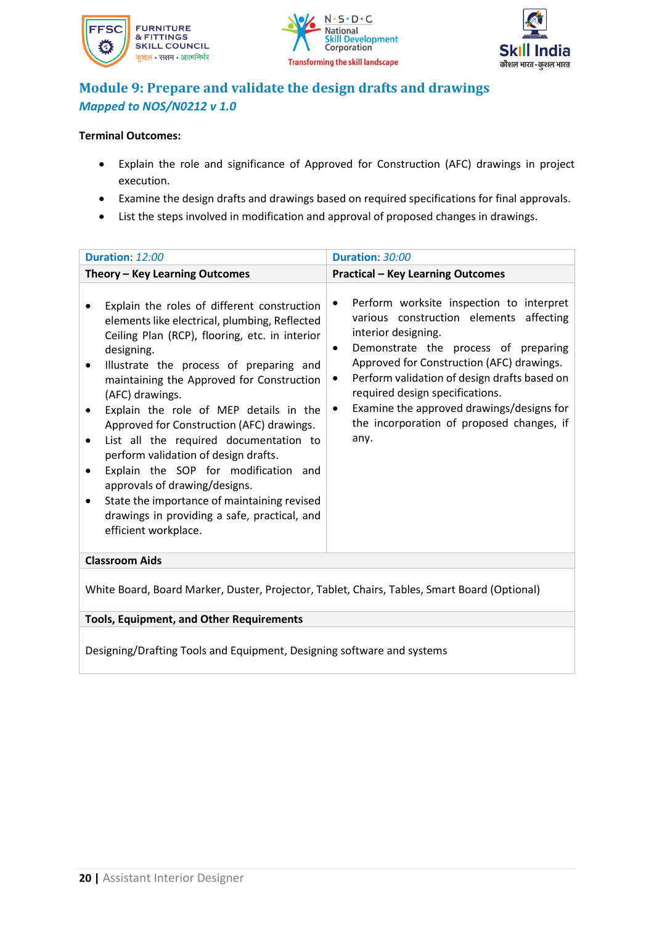





### **Module 9: Prepare and validate the design drafts and drawings** *Mapped to NOS/N0212 v 1.0*

### **Terminal Outcomes:**

- Explain the role and significance of Approved for Construction (AFC) drawings in project execution.
- Examine the design drafts and drawings based on required specifications for final approvals.
- List the steps involved in modification and approval of proposed changes in drawings.

| Duration: 12:00                                                                                                                                                                                                                                                                                                                                                                                                                                                                                                                                                                                                                                               | Duration: 30:00                                                                                                                                                                                                                                                                                                                                                                                                |
|---------------------------------------------------------------------------------------------------------------------------------------------------------------------------------------------------------------------------------------------------------------------------------------------------------------------------------------------------------------------------------------------------------------------------------------------------------------------------------------------------------------------------------------------------------------------------------------------------------------------------------------------------------------|----------------------------------------------------------------------------------------------------------------------------------------------------------------------------------------------------------------------------------------------------------------------------------------------------------------------------------------------------------------------------------------------------------------|
| Theory - Key Learning Outcomes                                                                                                                                                                                                                                                                                                                                                                                                                                                                                                                                                                                                                                | <b>Practical - Key Learning Outcomes</b>                                                                                                                                                                                                                                                                                                                                                                       |
| Explain the roles of different construction<br>elements like electrical, plumbing, Reflected<br>Ceiling Plan (RCP), flooring, etc. in interior<br>designing.<br>Illustrate the process of preparing and<br>$\bullet$<br>maintaining the Approved for Construction<br>(AFC) drawings.<br>Explain the role of MEP details in the<br>Approved for Construction (AFC) drawings.<br>List all the required documentation to<br>perform validation of design drafts.<br>Explain the SOP for modification and<br>approvals of drawing/designs.<br>State the importance of maintaining revised<br>drawings in providing a safe, practical, and<br>efficient workplace. | Perform worksite inspection to interpret<br>various construction elements affecting<br>interior designing.<br>Demonstrate the process of preparing<br>$\bullet$<br>Approved for Construction (AFC) drawings.<br>Perform validation of design drafts based on<br>$\bullet$<br>required design specifications.<br>Examine the approved drawings/designs for<br>the incorporation of proposed changes, if<br>any. |
| <b>Classroom Aids</b>                                                                                                                                                                                                                                                                                                                                                                                                                                                                                                                                                                                                                                         |                                                                                                                                                                                                                                                                                                                                                                                                                |

White Board, Board Marker, Duster, Projector, Tablet, Chairs, Tables, Smart Board (Optional)

### **Tools, Equipment, and Other Requirements**

Designing/Drafting Tools and Equipment, Designing software and systems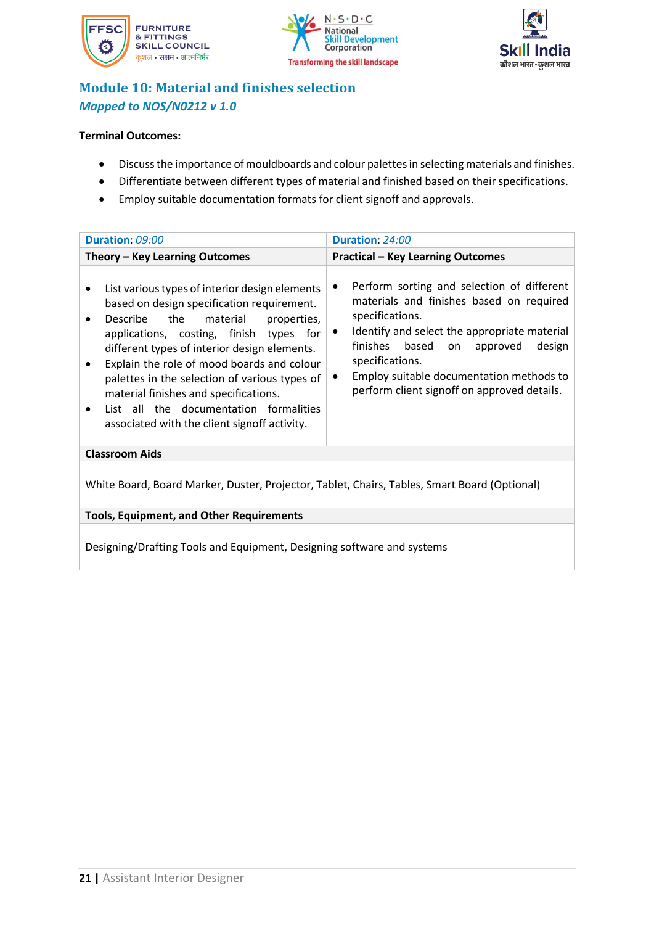





### **Module 10: Material and finishes selection** *Mapped to NOS/N0212 v 1.0*

- Discuss the importance of mouldboards and colour palettes in selecting materials and finishes.
- Differentiate between different types of material and finished based on their specifications.
- Employ suitable documentation formats for client signoff and approvals.

| Duration: 09:00                                                                                                                                                                                                                                                                                                                                                                                                                                                         | Duration: 24:00                                                                                                                                                                                                                                                                                                          |  |
|-------------------------------------------------------------------------------------------------------------------------------------------------------------------------------------------------------------------------------------------------------------------------------------------------------------------------------------------------------------------------------------------------------------------------------------------------------------------------|--------------------------------------------------------------------------------------------------------------------------------------------------------------------------------------------------------------------------------------------------------------------------------------------------------------------------|--|
| Theory - Key Learning Outcomes                                                                                                                                                                                                                                                                                                                                                                                                                                          | <b>Practical - Key Learning Outcomes</b>                                                                                                                                                                                                                                                                                 |  |
| List various types of interior design elements<br>based on design specification requirement.<br>Describe<br>material<br>the<br>properties,<br>applications, costing, finish types for<br>different types of interior design elements.<br>Explain the role of mood boards and colour<br>palettes in the selection of various types of<br>material finishes and specifications.<br>List all the documentation formalities<br>associated with the client signoff activity. | Perform sorting and selection of different<br>materials and finishes based on required<br>specifications.<br>Identify and select the appropriate material<br>finishes<br>based<br>design<br>approved<br>on<br>specifications.<br>Employ suitable documentation methods to<br>perform client signoff on approved details. |  |
| <b>Classroom Aids</b>                                                                                                                                                                                                                                                                                                                                                                                                                                                   |                                                                                                                                                                                                                                                                                                                          |  |
| White Board, Board Marker, Duster, Projector, Tablet, Chairs, Tables, Smart Board (Optional)                                                                                                                                                                                                                                                                                                                                                                            |                                                                                                                                                                                                                                                                                                                          |  |
| <b>Tools, Equipment, and Other Requirements</b>                                                                                                                                                                                                                                                                                                                                                                                                                         |                                                                                                                                                                                                                                                                                                                          |  |
| Designing/Drafting Tools and Equipment, Designing software and systems                                                                                                                                                                                                                                                                                                                                                                                                  |                                                                                                                                                                                                                                                                                                                          |  |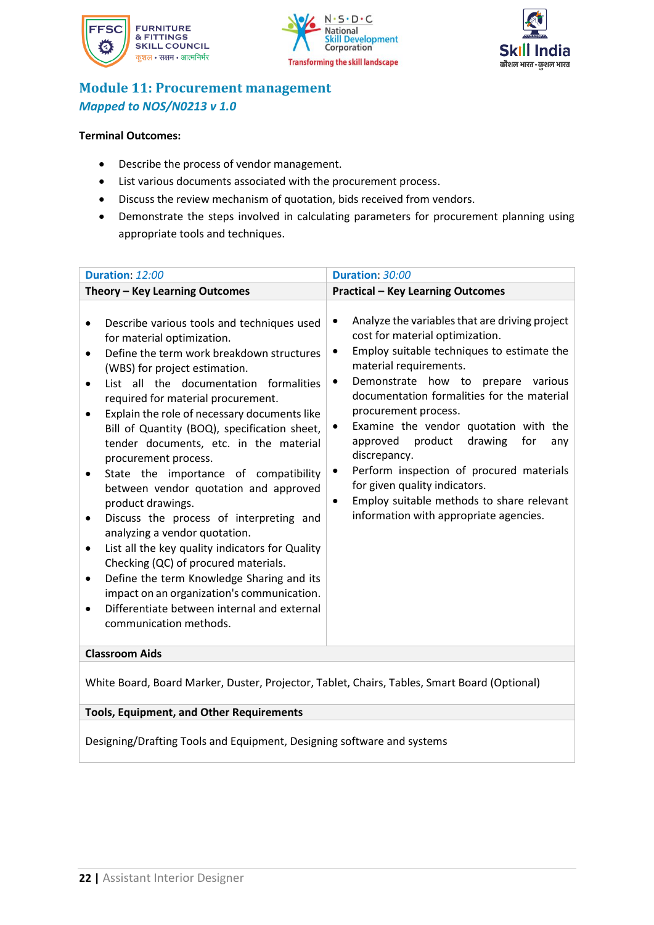





### **Module 11: Procurement management** *Mapped to NOS/N0213 v 1.0*

#### **Terminal Outcomes:**

- Describe the process of vendor management.
- List various documents associated with the procurement process.
- Discuss the review mechanism of quotation, bids received from vendors.
- Demonstrate the steps involved in calculating parameters for procurement planning using appropriate tools and techniques.

|                                                                                              | Duration: 12:00                                                                                                                                                                                                                                                                                                                                                                                                                                                                                                                                                                                                                                                                                                                                                                                                                                            | Duration: 30:00                                                                                                                                                                                                                                                                                                                                                                                                                                                                                                                                                                                             |
|----------------------------------------------------------------------------------------------|------------------------------------------------------------------------------------------------------------------------------------------------------------------------------------------------------------------------------------------------------------------------------------------------------------------------------------------------------------------------------------------------------------------------------------------------------------------------------------------------------------------------------------------------------------------------------------------------------------------------------------------------------------------------------------------------------------------------------------------------------------------------------------------------------------------------------------------------------------|-------------------------------------------------------------------------------------------------------------------------------------------------------------------------------------------------------------------------------------------------------------------------------------------------------------------------------------------------------------------------------------------------------------------------------------------------------------------------------------------------------------------------------------------------------------------------------------------------------------|
|                                                                                              | Theory - Key Learning Outcomes                                                                                                                                                                                                                                                                                                                                                                                                                                                                                                                                                                                                                                                                                                                                                                                                                             | <b>Practical - Key Learning Outcomes</b>                                                                                                                                                                                                                                                                                                                                                                                                                                                                                                                                                                    |
| $\bullet$<br>$\bullet$<br>$\bullet$<br>٠<br>$\bullet$<br>$\bullet$                           | Describe various tools and techniques used<br>for material optimization.<br>Define the term work breakdown structures<br>(WBS) for project estimation.<br>List all the documentation formalities<br>required for material procurement.<br>Explain the role of necessary documents like<br>Bill of Quantity (BOQ), specification sheet,<br>tender documents, etc. in the material<br>procurement process.<br>State the importance of compatibility<br>between vendor quotation and approved<br>product drawings.<br>Discuss the process of interpreting and<br>analyzing a vendor quotation.<br>List all the key quality indicators for Quality<br>Checking (QC) of procured materials.<br>Define the term Knowledge Sharing and its<br>impact on an organization's communication.<br>Differentiate between internal and external<br>communication methods. | Analyze the variables that are driving project<br>٠<br>cost for material optimization.<br>Employ suitable techniques to estimate the<br>$\bullet$<br>material requirements.<br>Demonstrate how to prepare<br>various<br>$\bullet$<br>documentation formalities for the material<br>procurement process.<br>Examine the vendor quotation with the<br>٠<br>approved<br>product<br>drawing<br>for<br>any<br>discrepancy.<br>Perform inspection of procured materials<br>٠<br>for given quality indicators.<br>Employ suitable methods to share relevant<br>$\bullet$<br>information with appropriate agencies. |
| <b>Classroom Aids</b>                                                                        |                                                                                                                                                                                                                                                                                                                                                                                                                                                                                                                                                                                                                                                                                                                                                                                                                                                            |                                                                                                                                                                                                                                                                                                                                                                                                                                                                                                                                                                                                             |
| White Board, Board Marker, Duster, Projector, Tablet, Chairs, Tables, Smart Board (Optional) |                                                                                                                                                                                                                                                                                                                                                                                                                                                                                                                                                                                                                                                                                                                                                                                                                                                            |                                                                                                                                                                                                                                                                                                                                                                                                                                                                                                                                                                                                             |

**Tools, Equipment, and Other Requirements** 

Designing/Drafting Tools and Equipment, Designing software and systems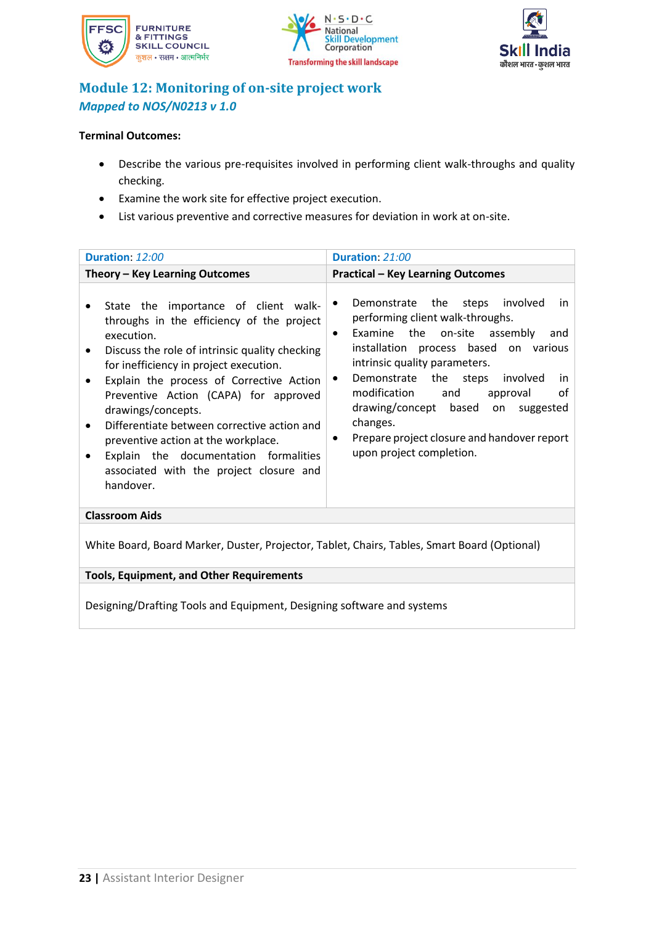





### **Module 12: Monitoring of on-site project work** *Mapped to NOS/N0213 v 1.0*

#### **Terminal Outcomes:**

- Describe the various pre-requisites involved in performing client walk-throughs and quality checking.
- Examine the work site for effective project execution.
- List various preventive and corrective measures for deviation in work at on-site.

| Duration: 12:00                                                                                                                                                                                                                                                                                                                                                                                                                                                                                            | Duration: 21:00                                                                                                                                                                                                                                                                                                                                                                                                                                              |  |
|------------------------------------------------------------------------------------------------------------------------------------------------------------------------------------------------------------------------------------------------------------------------------------------------------------------------------------------------------------------------------------------------------------------------------------------------------------------------------------------------------------|--------------------------------------------------------------------------------------------------------------------------------------------------------------------------------------------------------------------------------------------------------------------------------------------------------------------------------------------------------------------------------------------------------------------------------------------------------------|--|
| Theory - Key Learning Outcomes                                                                                                                                                                                                                                                                                                                                                                                                                                                                             | <b>Practical - Key Learning Outcomes</b>                                                                                                                                                                                                                                                                                                                                                                                                                     |  |
| State the importance of client walk-<br>throughs in the efficiency of the project<br>execution.<br>Discuss the role of intrinsic quality checking<br>for inefficiency in project execution.<br>Explain the process of Corrective Action<br>$\bullet$<br>Preventive Action (CAPA) for approved<br>drawings/concepts.<br>Differentiate between corrective action and<br>preventive action at the workplace.<br>Explain the documentation formalities<br>associated with the project closure and<br>handover. | Demonstrate the<br>steps involved<br>in<br>$\bullet$<br>performing client walk-throughs.<br>Examine the on-site assembly<br>and<br>$\bullet$<br>installation process based on various<br>intrinsic quality parameters.<br>Demonstrate the steps<br>involved<br>in<br>٠<br>modification<br>of<br>and<br>approval<br>drawing/concept based<br>on suggested<br>changes.<br>Prepare project closure and handover report<br>$\bullet$<br>upon project completion. |  |
| <b>Classroom Aids</b>                                                                                                                                                                                                                                                                                                                                                                                                                                                                                      |                                                                                                                                                                                                                                                                                                                                                                                                                                                              |  |
| White Board, Board Marker, Duster, Projector, Tablet, Chairs, Tables, Smart Board (Optional)                                                                                                                                                                                                                                                                                                                                                                                                               |                                                                                                                                                                                                                                                                                                                                                                                                                                                              |  |
| <b>Tools, Equipment, and Other Requirements</b>                                                                                                                                                                                                                                                                                                                                                                                                                                                            |                                                                                                                                                                                                                                                                                                                                                                                                                                                              |  |
|                                                                                                                                                                                                                                                                                                                                                                                                                                                                                                            |                                                                                                                                                                                                                                                                                                                                                                                                                                                              |  |

Designing/Drafting Tools and Equipment, Designing software and systems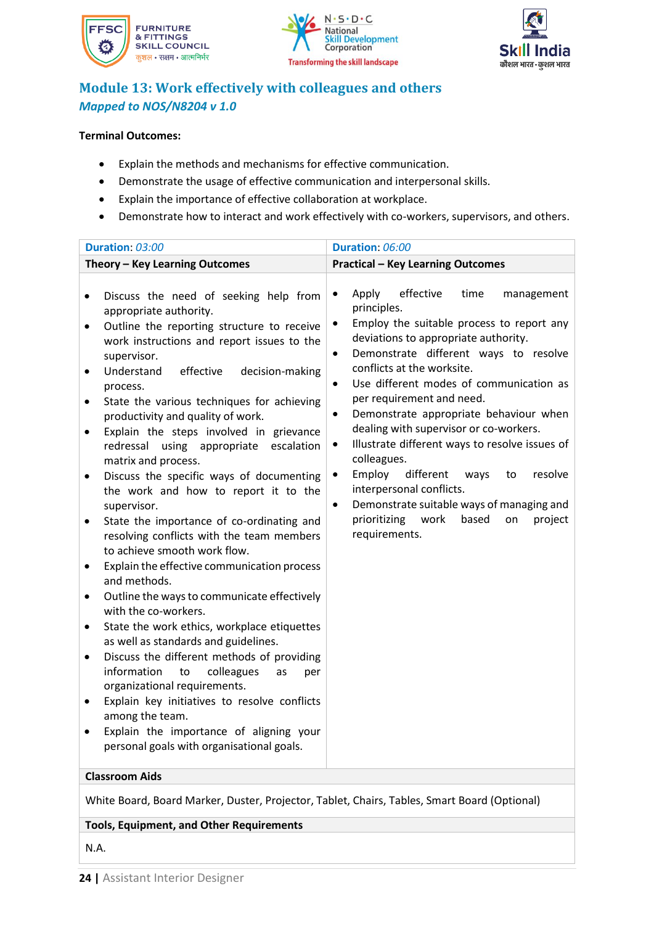





### **Module 13: Work effectively with colleagues and others** *Mapped to NOS/N8204 v 1.0*

#### **Terminal Outcomes:**

- Explain the methods and mechanisms for effective communication.
- Demonstrate the usage of effective communication and interpersonal skills.
- Explain the importance of effective collaboration at workplace.
- Demonstrate how to interact and work effectively with co-workers, supervisors, and others.

|                                                                                                                                                               | Duration: 03:00                                                                                                                                                                                                                                                                                                                                                                                                                                                                                                                                                                                                                                                                                                                                                                                                                                                                                                                                                                                                                                                                                                                                                                        | Duration: 06:00                                                                                                                                                                                                                                                                                                                                                                                                                                                                                                                                                                                                                                                                                                                                      |
|---------------------------------------------------------------------------------------------------------------------------------------------------------------|----------------------------------------------------------------------------------------------------------------------------------------------------------------------------------------------------------------------------------------------------------------------------------------------------------------------------------------------------------------------------------------------------------------------------------------------------------------------------------------------------------------------------------------------------------------------------------------------------------------------------------------------------------------------------------------------------------------------------------------------------------------------------------------------------------------------------------------------------------------------------------------------------------------------------------------------------------------------------------------------------------------------------------------------------------------------------------------------------------------------------------------------------------------------------------------|------------------------------------------------------------------------------------------------------------------------------------------------------------------------------------------------------------------------------------------------------------------------------------------------------------------------------------------------------------------------------------------------------------------------------------------------------------------------------------------------------------------------------------------------------------------------------------------------------------------------------------------------------------------------------------------------------------------------------------------------------|
|                                                                                                                                                               | Theory - Key Learning Outcomes                                                                                                                                                                                                                                                                                                                                                                                                                                                                                                                                                                                                                                                                                                                                                                                                                                                                                                                                                                                                                                                                                                                                                         | <b>Practical - Key Learning Outcomes</b>                                                                                                                                                                                                                                                                                                                                                                                                                                                                                                                                                                                                                                                                                                             |
| ٠<br>$\bullet$<br>$\bullet$<br>$\bullet$<br>$\bullet$<br>$\bullet$<br>$\bullet$<br>$\bullet$<br>$\bullet$<br>$\bullet$<br>$\bullet$<br>$\bullet$<br>$\bullet$ | Discuss the need of seeking help from<br>appropriate authority.<br>Outline the reporting structure to receive<br>work instructions and report issues to the<br>supervisor.<br>Understand<br>effective<br>decision-making<br>process.<br>State the various techniques for achieving<br>productivity and quality of work.<br>Explain the steps involved in grievance<br>redressal using appropriate escalation<br>matrix and process.<br>Discuss the specific ways of documenting<br>the work and how to report it to the<br>supervisor.<br>State the importance of co-ordinating and<br>resolving conflicts with the team members<br>to achieve smooth work flow.<br>Explain the effective communication process<br>and methods.<br>Outline the ways to communicate effectively<br>with the co-workers.<br>State the work ethics, workplace etiquettes<br>as well as standards and guidelines.<br>Discuss the different methods of providing<br>information<br>colleagues<br>to<br>as<br>per<br>organizational requirements.<br>Explain key initiatives to resolve conflicts<br>among the team.<br>Explain the importance of aligning your<br>personal goals with organisational goals. | effective<br>Apply<br>time<br>management<br>$\bullet$<br>principles.<br>Employ the suitable process to report any<br>$\bullet$<br>deviations to appropriate authority.<br>Demonstrate different ways to resolve<br>$\bullet$<br>conflicts at the worksite.<br>Use different modes of communication as<br>$\bullet$<br>per requirement and need.<br>Demonstrate appropriate behaviour when<br>$\bullet$<br>dealing with supervisor or co-workers.<br>Illustrate different ways to resolve issues of<br>$\bullet$<br>colleagues.<br>Employ<br>different<br>resolve<br>ways<br>$\bullet$<br>to<br>interpersonal conflicts.<br>Demonstrate suitable ways of managing and<br>$\bullet$<br>prioritizing<br>work<br>based<br>on<br>project<br>requirements. |
|                                                                                                                                                               | <b>Classroom Aids</b>                                                                                                                                                                                                                                                                                                                                                                                                                                                                                                                                                                                                                                                                                                                                                                                                                                                                                                                                                                                                                                                                                                                                                                  |                                                                                                                                                                                                                                                                                                                                                                                                                                                                                                                                                                                                                                                                                                                                                      |
| White Board, Board Marker, Duster, Projector, Tablet, Chairs, Tables, Smart Board (Optional)                                                                  |                                                                                                                                                                                                                                                                                                                                                                                                                                                                                                                                                                                                                                                                                                                                                                                                                                                                                                                                                                                                                                                                                                                                                                                        |                                                                                                                                                                                                                                                                                                                                                                                                                                                                                                                                                                                                                                                                                                                                                      |

**Tools, Equipment, and Other Requirements** 

N.A.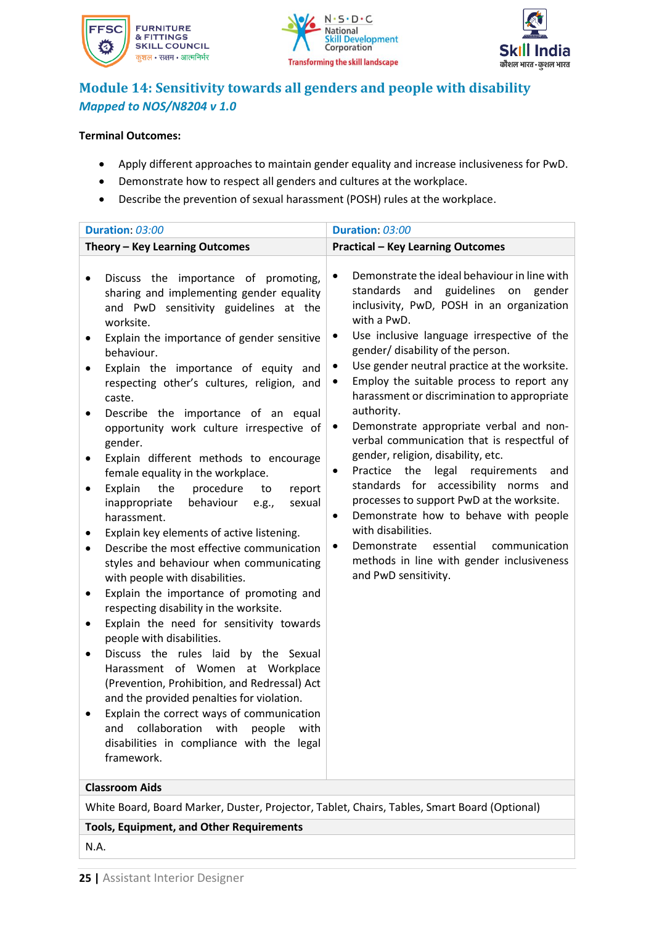





### **Module 14: Sensitivity towards all genders and people with disability** *Mapped to NOS/N8204 v 1.0*

- Apply different approaches to maintain gender equality and increase inclusiveness for PwD.
- Demonstrate how to respect all genders and cultures at the workplace.
- Describe the prevention of sexual harassment (POSH) rules at the workplace.

| Duration: 03:00                                                                                                                                                                                                                                                                                                                                                                                                                                                                                                                                                                                                                                                                                                                                                                                                                                                                                                                                                                                                                                                                                                                                                                                                                                                                                                                             | Duration: 03:00                                                                                                                                                                                                                                                                                                                                                                                                                                                                                                                                                                                                                                                                                                                                                                                                                                                                                                       |
|---------------------------------------------------------------------------------------------------------------------------------------------------------------------------------------------------------------------------------------------------------------------------------------------------------------------------------------------------------------------------------------------------------------------------------------------------------------------------------------------------------------------------------------------------------------------------------------------------------------------------------------------------------------------------------------------------------------------------------------------------------------------------------------------------------------------------------------------------------------------------------------------------------------------------------------------------------------------------------------------------------------------------------------------------------------------------------------------------------------------------------------------------------------------------------------------------------------------------------------------------------------------------------------------------------------------------------------------|-----------------------------------------------------------------------------------------------------------------------------------------------------------------------------------------------------------------------------------------------------------------------------------------------------------------------------------------------------------------------------------------------------------------------------------------------------------------------------------------------------------------------------------------------------------------------------------------------------------------------------------------------------------------------------------------------------------------------------------------------------------------------------------------------------------------------------------------------------------------------------------------------------------------------|
| Theory - Key Learning Outcomes                                                                                                                                                                                                                                                                                                                                                                                                                                                                                                                                                                                                                                                                                                                                                                                                                                                                                                                                                                                                                                                                                                                                                                                                                                                                                                              | <b>Practical - Key Learning Outcomes</b>                                                                                                                                                                                                                                                                                                                                                                                                                                                                                                                                                                                                                                                                                                                                                                                                                                                                              |
| Discuss the importance of promoting,<br>٠<br>sharing and implementing gender equality<br>and PwD sensitivity guidelines at the<br>worksite.<br>Explain the importance of gender sensitive<br>٠<br>behaviour.<br>Explain the importance of equity and<br>respecting other's cultures, religion, and<br>caste.<br>Describe the importance of an equal<br>٠<br>opportunity work culture irrespective of<br>gender.<br>Explain different methods to encourage<br>٠<br>female equality in the workplace.<br>Explain<br>the<br>procedure<br>report<br>to<br>$\bullet$<br>behaviour<br>inappropriate<br>sexual<br>e.g.,<br>harassment.<br>Explain key elements of active listening.<br>Describe the most effective communication<br>$\bullet$<br>styles and behaviour when communicating<br>with people with disabilities.<br>Explain the importance of promoting and<br>٠<br>respecting disability in the worksite.<br>Explain the need for sensitivity towards<br>$\bullet$<br>people with disabilities.<br>Discuss the rules laid by the Sexual<br>٠<br>Harassment of Women at Workplace<br>(Prevention, Prohibition, and Redressal) Act<br>and the provided penalties for violation.<br>Explain the correct ways of communication<br>collaboration<br>with<br>people<br>and<br>with<br>disabilities in compliance with the legal<br>framework. | Demonstrate the ideal behaviour in line with<br>$\bullet$<br>and guidelines<br>gender<br>standards<br>on<br>inclusivity, PwD, POSH in an organization<br>with a PwD.<br>Use inclusive language irrespective of the<br>٠<br>gender/ disability of the person.<br>Use gender neutral practice at the worksite.<br>$\bullet$<br>Employ the suitable process to report any<br>٠<br>harassment or discrimination to appropriate<br>authority.<br>Demonstrate appropriate verbal and non-<br>٠<br>verbal communication that is respectful of<br>gender, religion, disability, etc.<br>Practice the<br>legal requirements<br>and<br>$\bullet$<br>standards for accessibility norms<br>and<br>processes to support PwD at the worksite.<br>Demonstrate how to behave with people<br>٠<br>with disabilities.<br>essential<br>communication<br>Demonstrate<br>methods in line with gender inclusiveness<br>and PwD sensitivity. |
| <b>Classroom Aids</b>                                                                                                                                                                                                                                                                                                                                                                                                                                                                                                                                                                                                                                                                                                                                                                                                                                                                                                                                                                                                                                                                                                                                                                                                                                                                                                                       |                                                                                                                                                                                                                                                                                                                                                                                                                                                                                                                                                                                                                                                                                                                                                                                                                                                                                                                       |
| White Board, Board Marker, Duster, Projector, Tablet, Chairs, Tables, Smart Board (Optional)                                                                                                                                                                                                                                                                                                                                                                                                                                                                                                                                                                                                                                                                                                                                                                                                                                                                                                                                                                                                                                                                                                                                                                                                                                                |                                                                                                                                                                                                                                                                                                                                                                                                                                                                                                                                                                                                                                                                                                                                                                                                                                                                                                                       |
| <b>Tools, Equipment, and Other Requirements</b>                                                                                                                                                                                                                                                                                                                                                                                                                                                                                                                                                                                                                                                                                                                                                                                                                                                                                                                                                                                                                                                                                                                                                                                                                                                                                             |                                                                                                                                                                                                                                                                                                                                                                                                                                                                                                                                                                                                                                                                                                                                                                                                                                                                                                                       |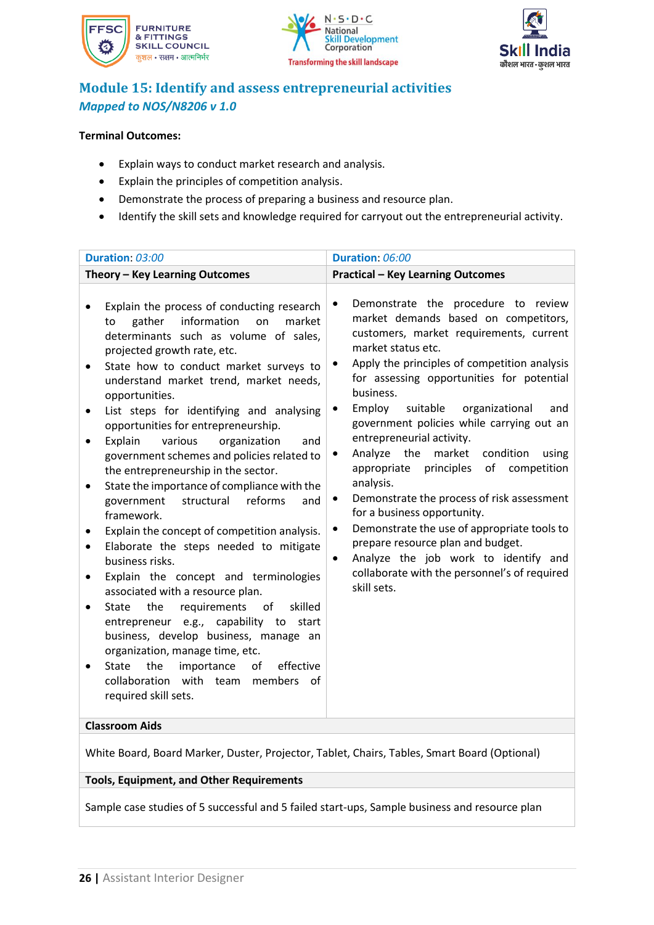





### **Module 15: Identify and assess entrepreneurial activities** *Mapped to NOS/N8206 v 1.0*

### **Terminal Outcomes:**

- Explain ways to conduct market research and analysis.
- Explain the principles of competition analysis.
- Demonstrate the process of preparing a business and resource plan.
- Identify the skill sets and knowledge required for carryout out the entrepreneurial activity.

| Duration: 03:00                                                                                                                                                                                                                                                                                                                                                                                                                                                                                                                                                                                                                                                                                                                                                                                                                                                                                                                                                                                                                                                                                                                                           | Duration: 06:00                                                                                                                                                                                                                                                                                                                                                                                                                                                                                                                                                                                                                                                                                                                                                                                                                                    |
|-----------------------------------------------------------------------------------------------------------------------------------------------------------------------------------------------------------------------------------------------------------------------------------------------------------------------------------------------------------------------------------------------------------------------------------------------------------------------------------------------------------------------------------------------------------------------------------------------------------------------------------------------------------------------------------------------------------------------------------------------------------------------------------------------------------------------------------------------------------------------------------------------------------------------------------------------------------------------------------------------------------------------------------------------------------------------------------------------------------------------------------------------------------|----------------------------------------------------------------------------------------------------------------------------------------------------------------------------------------------------------------------------------------------------------------------------------------------------------------------------------------------------------------------------------------------------------------------------------------------------------------------------------------------------------------------------------------------------------------------------------------------------------------------------------------------------------------------------------------------------------------------------------------------------------------------------------------------------------------------------------------------------|
| Theory - Key Learning Outcomes                                                                                                                                                                                                                                                                                                                                                                                                                                                                                                                                                                                                                                                                                                                                                                                                                                                                                                                                                                                                                                                                                                                            | <b>Practical - Key Learning Outcomes</b>                                                                                                                                                                                                                                                                                                                                                                                                                                                                                                                                                                                                                                                                                                                                                                                                           |
| Explain the process of conducting research<br>gather<br>information<br>on<br>market<br>to<br>determinants such as volume of sales,<br>projected growth rate, etc.<br>State how to conduct market surveys to<br>understand market trend, market needs,<br>opportunities.<br>List steps for identifying and analysing<br>opportunities for entrepreneurship.<br>Explain<br>various<br>organization<br>and<br>$\bullet$<br>government schemes and policies related to<br>the entrepreneurship in the sector.<br>State the importance of compliance with the<br>$\bullet$<br>structural<br>reforms<br>government<br>and<br>framework.<br>Explain the concept of competition analysis.<br>Elaborate the steps needed to mitigate<br>$\bullet$<br>business risks.<br>Explain the concept and terminologies<br>associated with a resource plan.<br>the<br>requirements of<br>skilled<br><b>State</b><br>$\bullet$<br>entrepreneur e.g., capability to start<br>business, develop business, manage an<br>organization, manage time, etc.<br>the<br>importance<br>of<br>effective<br><b>State</b><br>collaboration with team members<br>of<br>required skill sets. | Demonstrate the procedure to review<br>$\bullet$<br>market demands based on competitors,<br>customers, market requirements, current<br>market status etc.<br>Apply the principles of competition analysis<br>$\bullet$<br>for assessing opportunities for potential<br>business.<br>Employ<br>suitable<br>organizational<br>and<br>$\bullet$<br>government policies while carrying out an<br>entrepreneurial activity.<br>Analyze<br>the<br>market<br>condition<br>using<br>$\bullet$<br>appropriate principles of competition<br>analysis.<br>Demonstrate the process of risk assessment<br>$\bullet$<br>for a business opportunity.<br>Demonstrate the use of appropriate tools to<br>٠<br>prepare resource plan and budget.<br>Analyze the job work to identify and<br>$\bullet$<br>collaborate with the personnel's of required<br>skill sets. |
| <b>Classroom Aids</b>                                                                                                                                                                                                                                                                                                                                                                                                                                                                                                                                                                                                                                                                                                                                                                                                                                                                                                                                                                                                                                                                                                                                     |                                                                                                                                                                                                                                                                                                                                                                                                                                                                                                                                                                                                                                                                                                                                                                                                                                                    |

White Board, Board Marker, Duster, Projector, Tablet, Chairs, Tables, Smart Board (Optional)

#### **Tools, Equipment, and Other Requirements**

Sample case studies of 5 successful and 5 failed start-ups, Sample business and resource plan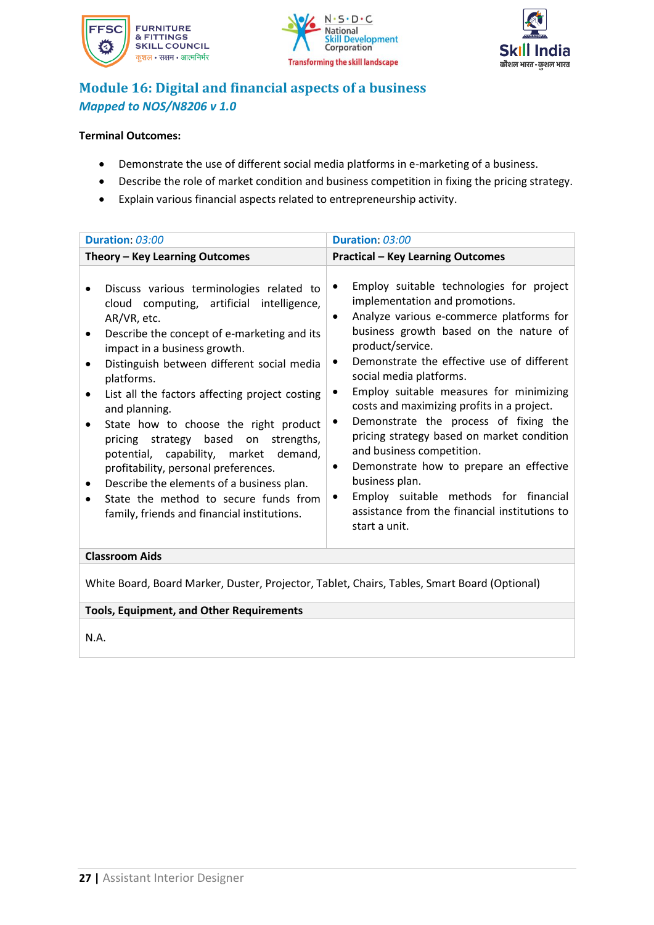





### **Module 16: Digital and financial aspects of a business** *Mapped to NOS/N8206 v 1.0*

### **Terminal Outcomes:**

- Demonstrate the use of different social media platforms in e-marketing of a business.
- Describe the role of market condition and business competition in fixing the pricing strategy.
- Explain various financial aspects related to entrepreneurship activity.

| Duration: 03:00                                                                                                                                                                                                                                                                                                                                                                                                                                                                                                                                                                                                                        | Duration: 03:00                                                                                                                                                                                                                                                                                                                                                                                                                                                                                                                                                                                                                                                                                          |
|----------------------------------------------------------------------------------------------------------------------------------------------------------------------------------------------------------------------------------------------------------------------------------------------------------------------------------------------------------------------------------------------------------------------------------------------------------------------------------------------------------------------------------------------------------------------------------------------------------------------------------------|----------------------------------------------------------------------------------------------------------------------------------------------------------------------------------------------------------------------------------------------------------------------------------------------------------------------------------------------------------------------------------------------------------------------------------------------------------------------------------------------------------------------------------------------------------------------------------------------------------------------------------------------------------------------------------------------------------|
| Theory - Key Learning Outcomes                                                                                                                                                                                                                                                                                                                                                                                                                                                                                                                                                                                                         | <b>Practical - Key Learning Outcomes</b>                                                                                                                                                                                                                                                                                                                                                                                                                                                                                                                                                                                                                                                                 |
| Discuss various terminologies related to<br>cloud computing, artificial intelligence,<br>AR/VR, etc.<br>Describe the concept of e-marketing and its<br>impact in a business growth.<br>Distinguish between different social media<br>$\bullet$<br>platforms.<br>List all the factors affecting project costing<br>and planning.<br>State how to choose the right product<br>pricing strategy based on strengths,<br>potential, capability, market demand,<br>profitability, personal preferences.<br>Describe the elements of a business plan.<br>State the method to secure funds from<br>family, friends and financial institutions. | Employ suitable technologies for project<br>٠<br>implementation and promotions.<br>Analyze various e-commerce platforms for<br>$\bullet$<br>business growth based on the nature of<br>product/service.<br>Demonstrate the effective use of different<br>$\bullet$<br>social media platforms.<br>Employ suitable measures for minimizing<br>costs and maximizing profits in a project.<br>Demonstrate the process of fixing the<br>٠<br>pricing strategy based on market condition<br>and business competition.<br>Demonstrate how to prepare an effective<br>$\bullet$<br>business plan.<br>Employ suitable methods for financial<br>٠<br>assistance from the financial institutions to<br>start a unit. |
| <b>Classroom Aids</b>                                                                                                                                                                                                                                                                                                                                                                                                                                                                                                                                                                                                                  |                                                                                                                                                                                                                                                                                                                                                                                                                                                                                                                                                                                                                                                                                                          |

White Board, Board Marker, Duster, Projector, Tablet, Chairs, Tables, Smart Board (Optional)

### **Tools, Equipment, and Other Requirements**

N.A.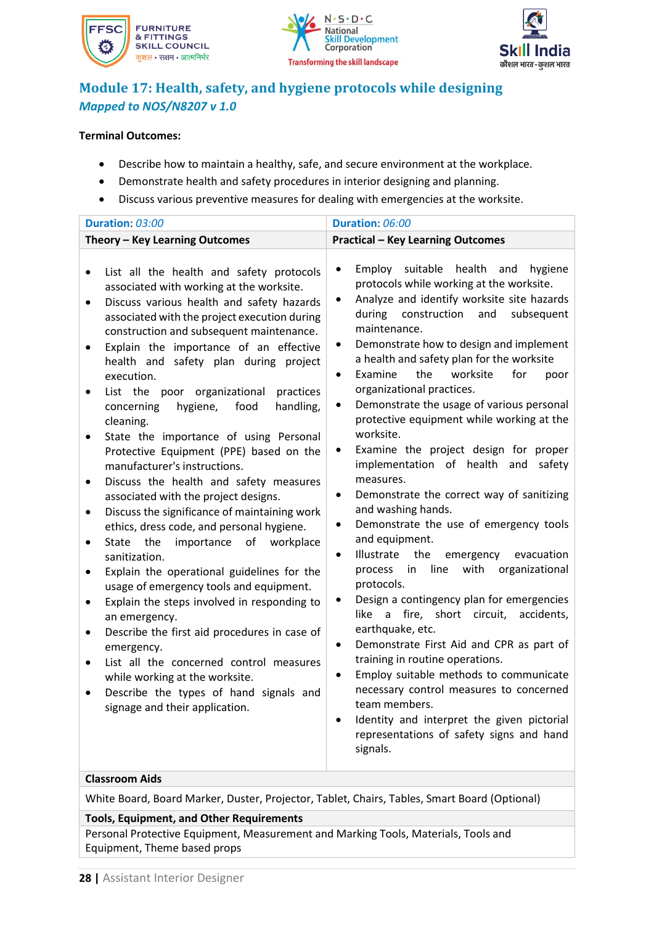





### **Module 17: Health, safety, and hygiene protocols while designing** *Mapped to NOS/N8207 v 1.0*

### **Terminal Outcomes:**

- Describe how to maintain a healthy, safe, and secure environment at the workplace.
- Demonstrate health and safety procedures in interior designing and planning.
- Discuss various preventive measures for dealing with emergencies at the worksite.

| Duration: 03:00                                                                                                                                                                                                                                                                                                                                                                                                                                                                                                                                                                                                                                                                                                                                                                                                                                                                                                                                                                                                                                                                                                                                                                                                                                                                                                                | Duration: 06:00                                                                                                                                                                                                                                                                                                                                                                                                                                                                                                                                                                                                                                                                                                                                                                                                                                                                                                                                                                                                                                                                                                                                                                                                                                                                                                                                                         |
|--------------------------------------------------------------------------------------------------------------------------------------------------------------------------------------------------------------------------------------------------------------------------------------------------------------------------------------------------------------------------------------------------------------------------------------------------------------------------------------------------------------------------------------------------------------------------------------------------------------------------------------------------------------------------------------------------------------------------------------------------------------------------------------------------------------------------------------------------------------------------------------------------------------------------------------------------------------------------------------------------------------------------------------------------------------------------------------------------------------------------------------------------------------------------------------------------------------------------------------------------------------------------------------------------------------------------------|-------------------------------------------------------------------------------------------------------------------------------------------------------------------------------------------------------------------------------------------------------------------------------------------------------------------------------------------------------------------------------------------------------------------------------------------------------------------------------------------------------------------------------------------------------------------------------------------------------------------------------------------------------------------------------------------------------------------------------------------------------------------------------------------------------------------------------------------------------------------------------------------------------------------------------------------------------------------------------------------------------------------------------------------------------------------------------------------------------------------------------------------------------------------------------------------------------------------------------------------------------------------------------------------------------------------------------------------------------------------------|
| Theory - Key Learning Outcomes                                                                                                                                                                                                                                                                                                                                                                                                                                                                                                                                                                                                                                                                                                                                                                                                                                                                                                                                                                                                                                                                                                                                                                                                                                                                                                 | <b>Practical - Key Learning Outcomes</b>                                                                                                                                                                                                                                                                                                                                                                                                                                                                                                                                                                                                                                                                                                                                                                                                                                                                                                                                                                                                                                                                                                                                                                                                                                                                                                                                |
| List all the health and safety protocols<br>$\bullet$<br>associated with working at the worksite.<br>Discuss various health and safety hazards<br>$\bullet$<br>associated with the project execution during<br>construction and subsequent maintenance.<br>Explain the importance of an effective<br>$\bullet$<br>health and safety plan during project<br>execution.<br>List the poor organizational<br>practices<br>$\bullet$<br>handling,<br>hygiene,<br>food<br>concerning<br>cleaning.<br>State the importance of using Personal<br>$\bullet$<br>Protective Equipment (PPE) based on the<br>manufacturer's instructions.<br>Discuss the health and safety measures<br>٠<br>associated with the project designs.<br>Discuss the significance of maintaining work<br>$\bullet$<br>ethics, dress code, and personal hygiene.<br>the<br>importance<br>of<br>workplace<br>State<br>٠<br>sanitization.<br>Explain the operational guidelines for the<br>٠<br>usage of emergency tools and equipment.<br>Explain the steps involved in responding to<br>$\bullet$<br>an emergency.<br>Describe the first aid procedures in case of<br>$\bullet$<br>emergency.<br>List all the concerned control measures<br>٠<br>while working at the worksite.<br>Describe the types of hand signals and<br>٠<br>signage and their application. | Employ suitable health<br>and<br>hygiene<br>$\bullet$<br>protocols while working at the worksite.<br>Analyze and identify worksite site hazards<br>$\bullet$<br>construction<br>during<br>and<br>subsequent<br>maintenance.<br>Demonstrate how to design and implement<br>$\bullet$<br>a health and safety plan for the worksite<br>Examine<br>the<br>worksite<br>for<br>poor<br>$\bullet$<br>organizational practices.<br>Demonstrate the usage of various personal<br>$\bullet$<br>protective equipment while working at the<br>worksite.<br>Examine the project design for proper<br>implementation of health and<br>safety<br>measures.<br>Demonstrate the correct way of sanitizing<br>٠<br>and washing hands.<br>Demonstrate the use of emergency tools<br>and equipment.<br>the<br>evacuation<br><b>Illustrate</b><br>emergency<br>$\bullet$<br>line<br>with<br>organizational<br>process<br>in<br>protocols.<br>Design a contingency plan for emergencies<br>a fire, short circuit,<br>like<br>accidents,<br>earthquake, etc.<br>Demonstrate First Aid and CPR as part of<br>$\bullet$<br>training in routine operations.<br>Employ suitable methods to communicate<br>$\bullet$<br>necessary control measures to concerned<br>team members.<br>Identity and interpret the given pictorial<br>$\bullet$<br>representations of safety signs and hand<br>signals. |

#### **Classroom Aids**

White Board, Board Marker, Duster, Projector, Tablet, Chairs, Tables, Smart Board (Optional)

#### **Tools, Equipment, and Other Requirements**

Personal Protective Equipment, Measurement and Marking Tools, Materials, Tools and Equipment, Theme based props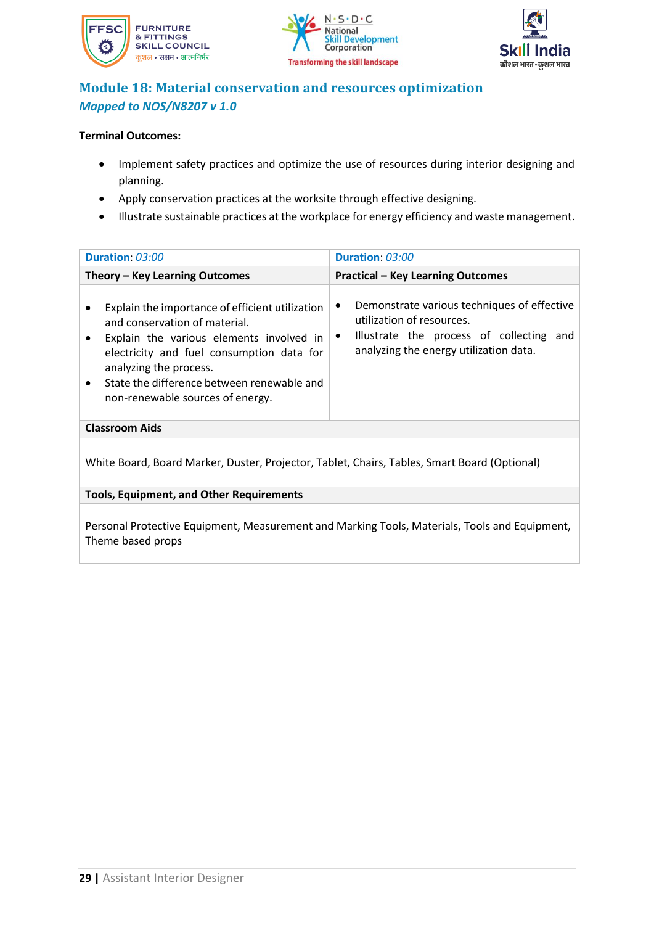





### **Module 18: Material conservation and resources optimization** *Mapped to NOS/N8207 v 1.0*

### **Terminal Outcomes:**

- Implement safety practices and optimize the use of resources during interior designing and planning.
- Apply conservation practices at the worksite through effective designing.
- Illustrate sustainable practices at the workplace for energy efficiency and waste management.

| Duration: 03:00                                                                                                                                                                                                                                                                       | Duration: 03:00                                                                                                                                                                |  |
|---------------------------------------------------------------------------------------------------------------------------------------------------------------------------------------------------------------------------------------------------------------------------------------|--------------------------------------------------------------------------------------------------------------------------------------------------------------------------------|--|
| Theory – Key Learning Outcomes                                                                                                                                                                                                                                                        | <b>Practical - Key Learning Outcomes</b>                                                                                                                                       |  |
| Explain the importance of efficient utilization<br>and conservation of material.<br>Explain the various elements involved in<br>electricity and fuel consumption data for<br>analyzing the process.<br>State the difference between renewable and<br>non-renewable sources of energy. | Demonstrate various techniques of effective<br>utilization of resources.<br>Illustrate the process of collecting<br>and<br>$\bullet$<br>analyzing the energy utilization data. |  |
| <b>Classroom Aids</b>                                                                                                                                                                                                                                                                 |                                                                                                                                                                                |  |
| White Board, Board Marker, Duster, Projector, Tablet, Chairs, Tables, Smart Board (Optional)                                                                                                                                                                                          |                                                                                                                                                                                |  |

**Tools, Equipment, and Other Requirements** 

Personal Protective Equipment, Measurement and Marking Tools, Materials, Tools and Equipment, Theme based props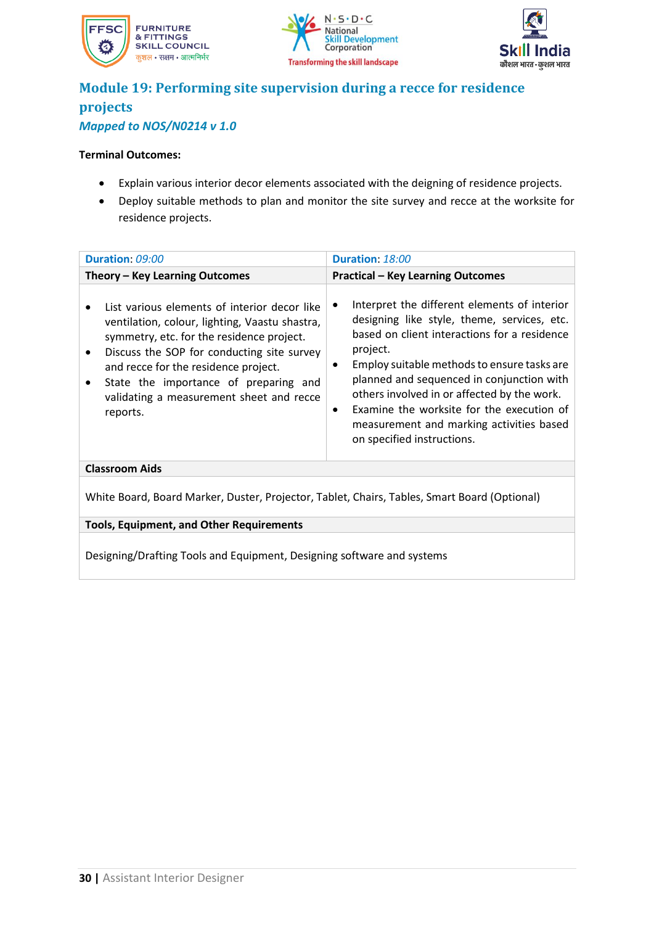





### **Module 19: Performing site supervision during a recce for residence projects** *Mapped to NOS/N0214 v 1.0*

- Explain various interior decor elements associated with the deigning of residence projects.
- Deploy suitable methods to plan and monitor the site survey and recce at the worksite for residence projects.

| Duration: 09:00                                                                                                                                                                                                                                                                                                                    | Duration: 18:00                                                                                                                                                                                                                                                                                                                                                                                                                             |  |
|------------------------------------------------------------------------------------------------------------------------------------------------------------------------------------------------------------------------------------------------------------------------------------------------------------------------------------|---------------------------------------------------------------------------------------------------------------------------------------------------------------------------------------------------------------------------------------------------------------------------------------------------------------------------------------------------------------------------------------------------------------------------------------------|--|
| Theory - Key Learning Outcomes                                                                                                                                                                                                                                                                                                     | <b>Practical - Key Learning Outcomes</b>                                                                                                                                                                                                                                                                                                                                                                                                    |  |
| List various elements of interior decor like<br>ventilation, colour, lighting, Vaastu shastra,<br>symmetry, etc. for the residence project.<br>Discuss the SOP for conducting site survey<br>and recce for the residence project.<br>State the importance of preparing and<br>validating a measurement sheet and recce<br>reports. | Interpret the different elements of interior<br>designing like style, theme, services, etc.<br>based on client interactions for a residence<br>project.<br>Employ suitable methods to ensure tasks are<br>٠<br>planned and sequenced in conjunction with<br>others involved in or affected by the work.<br>Examine the worksite for the execution of<br>$\bullet$<br>measurement and marking activities based<br>on specified instructions. |  |
| <b>Classroom Aids</b>                                                                                                                                                                                                                                                                                                              |                                                                                                                                                                                                                                                                                                                                                                                                                                             |  |
| White Board, Board Marker, Duster, Projector, Tablet, Chairs, Tables, Smart Board (Optional)                                                                                                                                                                                                                                       |                                                                                                                                                                                                                                                                                                                                                                                                                                             |  |
| <b>Tools, Equipment, and Other Requirements</b>                                                                                                                                                                                                                                                                                    |                                                                                                                                                                                                                                                                                                                                                                                                                                             |  |
| Designing/Drafting Tools and Equipment, Designing software and systems                                                                                                                                                                                                                                                             |                                                                                                                                                                                                                                                                                                                                                                                                                                             |  |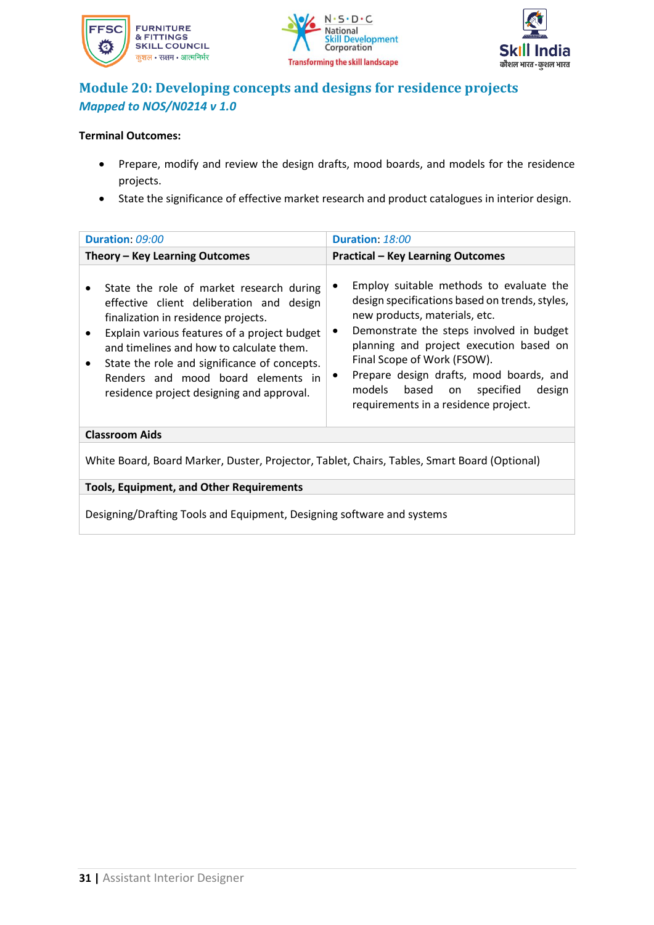





### **Module 20: Developing concepts and designs for residence projects** *Mapped to NOS/N0214 v 1.0*

### **Terminal Outcomes:**

- Prepare, modify and review the design drafts, mood boards, and models for the residence projects.
- State the significance of effective market research and product catalogues in interior design.

| Duration: 09:00                                                                                                                                                                                                                                                                                                                                                                                   | Duration: 18:00                                                                                                                                                                                                                                                                                                                                                                                    |  |
|---------------------------------------------------------------------------------------------------------------------------------------------------------------------------------------------------------------------------------------------------------------------------------------------------------------------------------------------------------------------------------------------------|----------------------------------------------------------------------------------------------------------------------------------------------------------------------------------------------------------------------------------------------------------------------------------------------------------------------------------------------------------------------------------------------------|--|
| Theory – Key Learning Outcomes                                                                                                                                                                                                                                                                                                                                                                    | <b>Practical - Key Learning Outcomes</b>                                                                                                                                                                                                                                                                                                                                                           |  |
| State the role of market research during<br>$\bullet$<br>effective client deliberation and design<br>finalization in residence projects.<br>Explain various features of a project budget<br>$\bullet$<br>and timelines and how to calculate them.<br>State the role and significance of concepts.<br>$\bullet$<br>Renders and mood board elements in<br>residence project designing and approval. | Employ suitable methods to evaluate the<br>design specifications based on trends, styles,<br>new products, materials, etc.<br>Demonstrate the steps involved in budget<br>$\bullet$<br>planning and project execution based on<br>Final Scope of Work (FSOW).<br>Prepare design drafts, mood boards, and<br>٠<br>specified<br>design<br>models<br>based on<br>requirements in a residence project. |  |
| <b>Classroom Aids</b>                                                                                                                                                                                                                                                                                                                                                                             |                                                                                                                                                                                                                                                                                                                                                                                                    |  |
| White Board, Board Marker, Duster, Projector, Tablet, Chairs, Tables, Smart Board (Optional)                                                                                                                                                                                                                                                                                                      |                                                                                                                                                                                                                                                                                                                                                                                                    |  |
| <b>Tools, Equipment, and Other Requirements</b>                                                                                                                                                                                                                                                                                                                                                   |                                                                                                                                                                                                                                                                                                                                                                                                    |  |
|                                                                                                                                                                                                                                                                                                                                                                                                   |                                                                                                                                                                                                                                                                                                                                                                                                    |  |

Designing/Drafting Tools and Equipment, Designing software and systems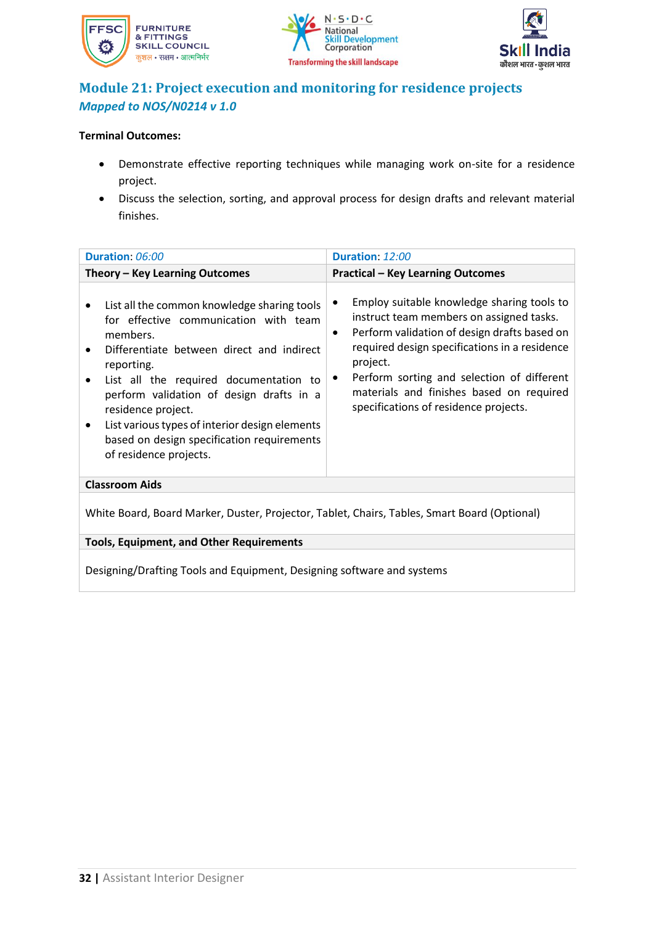





### **Module 21: Project execution and monitoring for residence projects** *Mapped to NOS/N0214 v 1.0*

- Demonstrate effective reporting techniques while managing work on-site for a residence project.
- Discuss the selection, sorting, and approval process for design drafts and relevant material finishes.

| Duration: 06:00                                                                                                                                                                                                                                                                                                                                                                                        | Duration: 12:00                                                                                                                                                                                                                                                                                                                                                               |  |
|--------------------------------------------------------------------------------------------------------------------------------------------------------------------------------------------------------------------------------------------------------------------------------------------------------------------------------------------------------------------------------------------------------|-------------------------------------------------------------------------------------------------------------------------------------------------------------------------------------------------------------------------------------------------------------------------------------------------------------------------------------------------------------------------------|--|
| Theory - Key Learning Outcomes                                                                                                                                                                                                                                                                                                                                                                         | <b>Practical - Key Learning Outcomes</b>                                                                                                                                                                                                                                                                                                                                      |  |
| List all the common knowledge sharing tools<br>for effective communication with team<br>members.<br>Differentiate between direct and indirect<br>reporting.<br>List all the required documentation to<br>perform validation of design drafts in a<br>residence project.<br>List various types of interior design elements<br>٠<br>based on design specification requirements<br>of residence projects. | Employ suitable knowledge sharing tools to<br>$\bullet$<br>instruct team members on assigned tasks.<br>Perform validation of design drafts based on<br>$\bullet$<br>required design specifications in a residence<br>project.<br>Perform sorting and selection of different<br>$\bullet$<br>materials and finishes based on required<br>specifications of residence projects. |  |
| <b>Classroom Aids</b>                                                                                                                                                                                                                                                                                                                                                                                  |                                                                                                                                                                                                                                                                                                                                                                               |  |
| White Board, Board Marker, Duster, Projector, Tablet, Chairs, Tables, Smart Board (Optional)                                                                                                                                                                                                                                                                                                           |                                                                                                                                                                                                                                                                                                                                                                               |  |
| <b>Tools, Equipment, and Other Requirements</b>                                                                                                                                                                                                                                                                                                                                                        |                                                                                                                                                                                                                                                                                                                                                                               |  |
| Designing/Drafting Tools and Equipment, Designing software and systems                                                                                                                                                                                                                                                                                                                                 |                                                                                                                                                                                                                                                                                                                                                                               |  |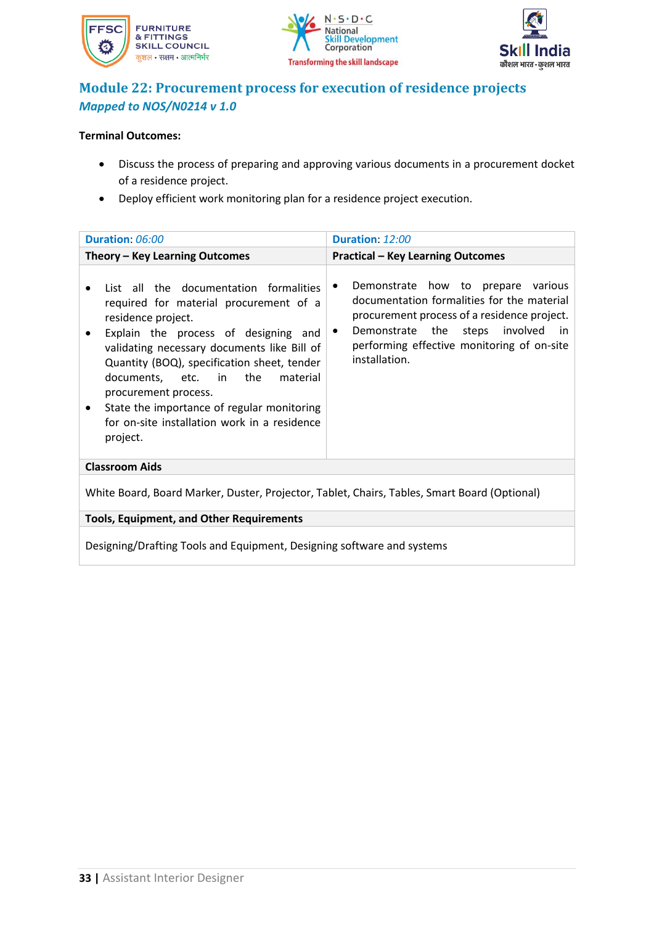





### **Module 22: Procurement process for execution of residence projects** *Mapped to NOS/N0214 v 1.0*

- Discuss the process of preparing and approving various documents in a procurement docket of a residence project.
- Deploy efficient work monitoring plan for a residence project execution.

| Duration: 06:00                                                                                                                                                                                                                                                                                                                                                                                                                   | Duration: 12:00                                                                                                                                                                                                                                |  |
|-----------------------------------------------------------------------------------------------------------------------------------------------------------------------------------------------------------------------------------------------------------------------------------------------------------------------------------------------------------------------------------------------------------------------------------|------------------------------------------------------------------------------------------------------------------------------------------------------------------------------------------------------------------------------------------------|--|
| Theory – Key Learning Outcomes                                                                                                                                                                                                                                                                                                                                                                                                    | <b>Practical - Key Learning Outcomes</b>                                                                                                                                                                                                       |  |
| List all the documentation formalities<br>required for material procurement of a<br>residence project.<br>Explain the process of designing and<br>validating necessary documents like Bill of<br>Quantity (BOQ), specification sheet, tender<br>documents, etc. in the<br>material<br>procurement process.<br>State the importance of regular monitoring<br>$\bullet$<br>for on-site installation work in a residence<br>project. | Demonstrate how to prepare various<br>٠<br>documentation formalities for the material<br>procurement process of a residence project.<br>Demonstrate the<br>steps<br>involved in<br>performing effective monitoring of on-site<br>installation. |  |
| <b>Classroom Aids</b>                                                                                                                                                                                                                                                                                                                                                                                                             |                                                                                                                                                                                                                                                |  |
| White Board, Board Marker, Duster, Projector, Tablet, Chairs, Tables, Smart Board (Optional)                                                                                                                                                                                                                                                                                                                                      |                                                                                                                                                                                                                                                |  |
| <b>Tools, Equipment, and Other Requirements</b>                                                                                                                                                                                                                                                                                                                                                                                   |                                                                                                                                                                                                                                                |  |
| Designing/Drafting Tools and Equipment, Designing software and systems                                                                                                                                                                                                                                                                                                                                                            |                                                                                                                                                                                                                                                |  |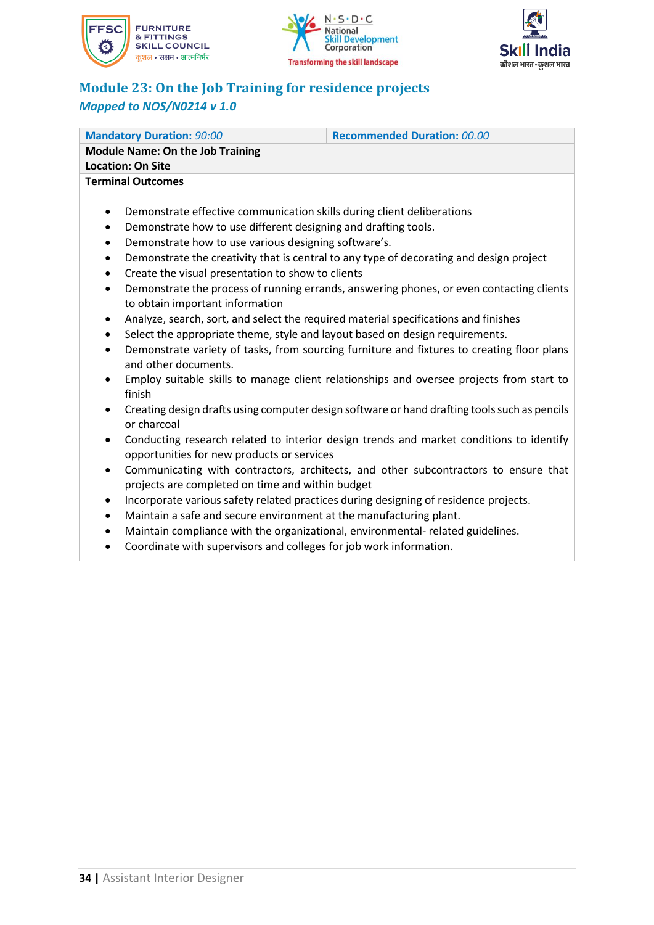





### **Module 23: On the Job Training for residence projects** *Mapped to NOS/N0214 v 1.0*

| <b>Mandatory Duration: 90:00</b>                                                                                                                                                                                                                                                                                                                                                                                                                                                                                                                                                                             | <b>Recommended Duration: 00.00</b>                                                                                                                                                                                                                                                |
|--------------------------------------------------------------------------------------------------------------------------------------------------------------------------------------------------------------------------------------------------------------------------------------------------------------------------------------------------------------------------------------------------------------------------------------------------------------------------------------------------------------------------------------------------------------------------------------------------------------|-----------------------------------------------------------------------------------------------------------------------------------------------------------------------------------------------------------------------------------------------------------------------------------|
| <b>Module Name: On the Job Training</b><br><b>Location: On Site</b>                                                                                                                                                                                                                                                                                                                                                                                                                                                                                                                                          |                                                                                                                                                                                                                                                                                   |
| <b>Terminal Outcomes</b>                                                                                                                                                                                                                                                                                                                                                                                                                                                                                                                                                                                     |                                                                                                                                                                                                                                                                                   |
| Demonstrate effective communication skills during client deliberations<br>$\bullet$<br>Demonstrate how to use different designing and drafting tools.<br>$\bullet$<br>Demonstrate how to use various designing software's.<br>$\bullet$<br>$\bullet$<br>Create the visual presentation to show to clients<br>$\bullet$<br>$\bullet$<br>to obtain important information<br>Analyze, search, sort, and select the required material specifications and finishes<br>$\bullet$<br>Select the appropriate theme, style and layout based on design requirements.<br>$\bullet$<br>$\bullet$<br>and other documents. | Demonstrate the creativity that is central to any type of decorating and design project<br>Demonstrate the process of running errands, answering phones, or even contacting clients<br>Demonstrate variety of tasks, from sourcing furniture and fixtures to creating floor plans |
| Employ suitable skills to manage client relationships and oversee projects from start to<br>٠<br>finish                                                                                                                                                                                                                                                                                                                                                                                                                                                                                                      |                                                                                                                                                                                                                                                                                   |
| Creating design drafts using computer design software or hand drafting tools such as pencils<br>$\bullet$<br>or charcoal                                                                                                                                                                                                                                                                                                                                                                                                                                                                                     |                                                                                                                                                                                                                                                                                   |
| Conducting research related to interior design trends and market conditions to identify                                                                                                                                                                                                                                                                                                                                                                                                                                                                                                                      |                                                                                                                                                                                                                                                                                   |

- opportunities for new products or services
- Communicating with contractors, architects, and other subcontractors to ensure that projects are completed on time and within budget
- Incorporate various safety related practices during designing of residence projects.
- Maintain a safe and secure environment at the manufacturing plant.
- Maintain compliance with the organizational, environmental- related guidelines.
- Coordinate with supervisors and colleges for job work information.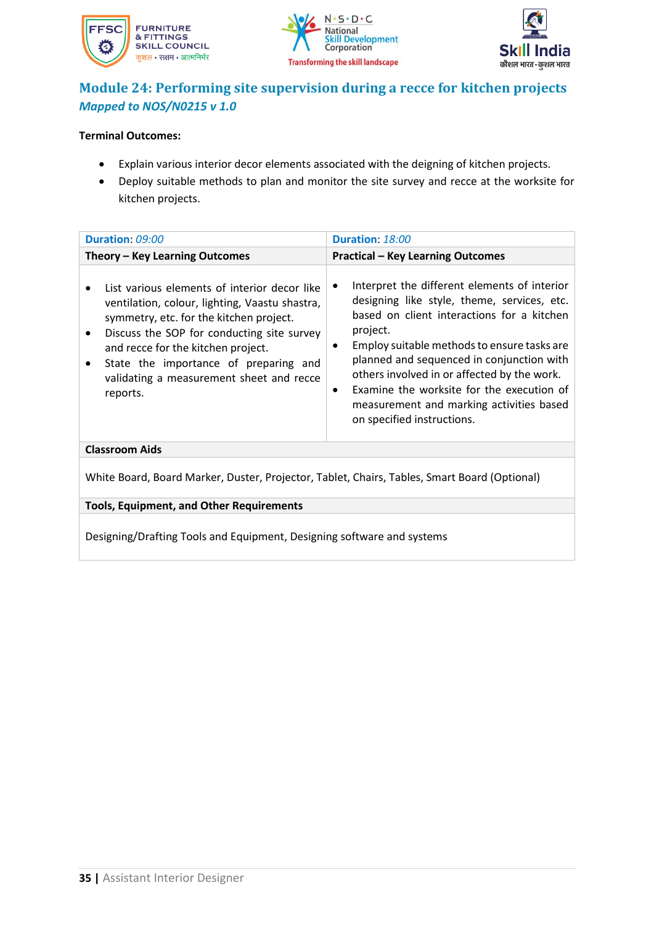





### **Module 24: Performing site supervision during a recce for kitchen projects** *Mapped to NOS/N0215 v 1.0*

- Explain various interior decor elements associated with the deigning of kitchen projects.
- Deploy suitable methods to plan and monitor the site survey and recce at the worksite for kitchen projects.

| Duration: 09:00                                                                                                                                                                                                                                                                                                                             | Duration: 18:00                                                                                                                                                                                                                                                                                                                                                                                                                        |
|---------------------------------------------------------------------------------------------------------------------------------------------------------------------------------------------------------------------------------------------------------------------------------------------------------------------------------------------|----------------------------------------------------------------------------------------------------------------------------------------------------------------------------------------------------------------------------------------------------------------------------------------------------------------------------------------------------------------------------------------------------------------------------------------|
| Theory - Key Learning Outcomes                                                                                                                                                                                                                                                                                                              | <b>Practical - Key Learning Outcomes</b>                                                                                                                                                                                                                                                                                                                                                                                               |
| List various elements of interior decor like<br>ventilation, colour, lighting, Vaastu shastra,<br>symmetry, etc. for the kitchen project.<br>Discuss the SOP for conducting site survey<br>$\bullet$<br>and recce for the kitchen project.<br>State the importance of preparing and<br>validating a measurement sheet and recce<br>reports. | Interpret the different elements of interior<br>٠<br>designing like style, theme, services, etc.<br>based on client interactions for a kitchen<br>project.<br>Employ suitable methods to ensure tasks are<br>٠<br>planned and sequenced in conjunction with<br>others involved in or affected by the work.<br>Examine the worksite for the execution of<br>٠<br>measurement and marking activities based<br>on specified instructions. |
| <b>Classroom Aids</b>                                                                                                                                                                                                                                                                                                                       |                                                                                                                                                                                                                                                                                                                                                                                                                                        |
| White Board, Board Marker, Duster, Projector, Tablet, Chairs, Tables, Smart Board (Optional)                                                                                                                                                                                                                                                |                                                                                                                                                                                                                                                                                                                                                                                                                                        |
| <b>Tools, Equipment, and Other Requirements</b>                                                                                                                                                                                                                                                                                             |                                                                                                                                                                                                                                                                                                                                                                                                                                        |
| Designing/Drafting Tools and Equipment, Designing software and systems                                                                                                                                                                                                                                                                      |                                                                                                                                                                                                                                                                                                                                                                                                                                        |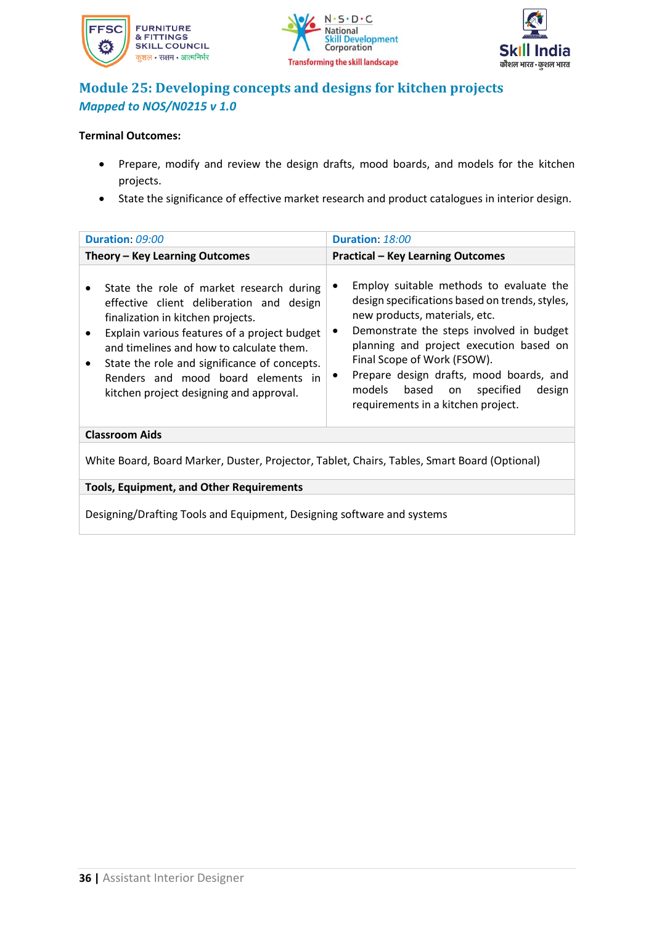





### **Module 25: Developing concepts and designs for kitchen projects** *Mapped to NOS/N0215 v 1.0*

- Prepare, modify and review the design drafts, mood boards, and models for the kitchen projects.
- State the significance of effective market research and product catalogues in interior design.

| Duration: 09:00                                                                                                                                                                                                                                                                                                                                                                               | <b>Duration: 18:00</b>                                                                                                                                                                                                                                                                                                                                                         |  |
|-----------------------------------------------------------------------------------------------------------------------------------------------------------------------------------------------------------------------------------------------------------------------------------------------------------------------------------------------------------------------------------------------|--------------------------------------------------------------------------------------------------------------------------------------------------------------------------------------------------------------------------------------------------------------------------------------------------------------------------------------------------------------------------------|--|
| Theory - Key Learning Outcomes                                                                                                                                                                                                                                                                                                                                                                | <b>Practical - Key Learning Outcomes</b>                                                                                                                                                                                                                                                                                                                                       |  |
| State the role of market research during<br>$\bullet$<br>effective client deliberation and design<br>finalization in kitchen projects.<br>Explain various features of a project budget<br>$\bullet$<br>and timelines and how to calculate them.<br>State the role and significance of concepts.<br>$\bullet$<br>Renders and mood board elements in<br>kitchen project designing and approval. | Employ suitable methods to evaluate the<br>design specifications based on trends, styles,<br>new products, materials, etc.<br>Demonstrate the steps involved in budget<br>planning and project execution based on<br>Final Scope of Work (FSOW).<br>Prepare design drafts, mood boards, and<br>models<br>based on<br>design<br>specified<br>requirements in a kitchen project. |  |
| <b>Classroom Aids</b>                                                                                                                                                                                                                                                                                                                                                                         |                                                                                                                                                                                                                                                                                                                                                                                |  |
| White Board, Board Marker, Duster, Projector, Tablet, Chairs, Tables, Smart Board (Optional)                                                                                                                                                                                                                                                                                                  |                                                                                                                                                                                                                                                                                                                                                                                |  |
| <b>Tools, Equipment, and Other Requirements</b>                                                                                                                                                                                                                                                                                                                                               |                                                                                                                                                                                                                                                                                                                                                                                |  |
| Designing/Drafting Tools and Equipment, Designing software and systems                                                                                                                                                                                                                                                                                                                        |                                                                                                                                                                                                                                                                                                                                                                                |  |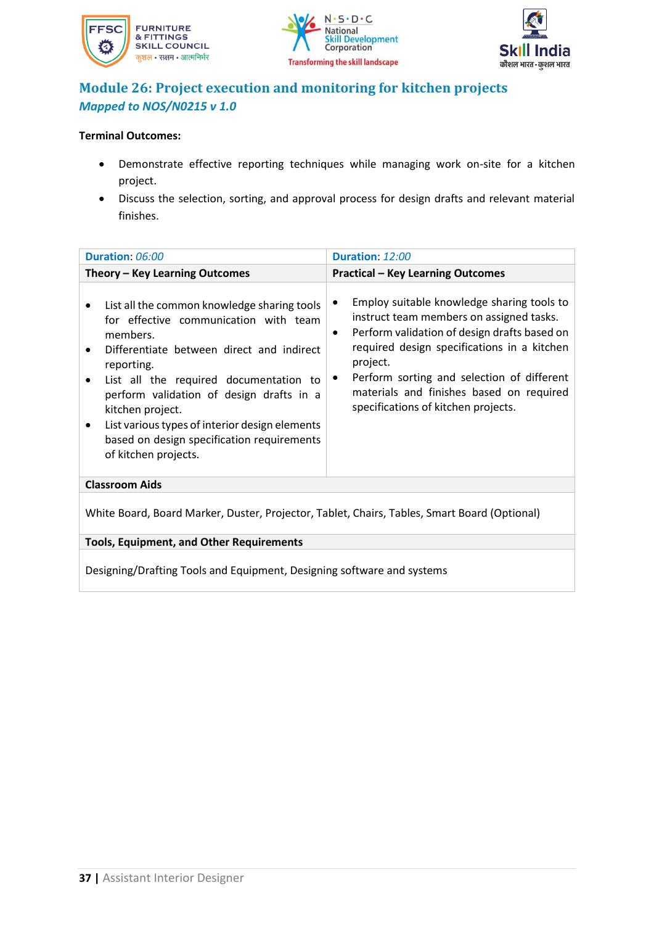





### **Module 26: Project execution and monitoring for kitchen projects** *Mapped to NOS/N0215 v 1.0*

- Demonstrate effective reporting techniques while managing work on-site for a kitchen project.
- Discuss the selection, sorting, and approval process for design drafts and relevant material finishes.

| Duration: 06:00                                                                                                                                                                                                                                                                                                                                                                               | Duration: 12:00                                                                                                                                                                                                                                                                                                                                                   |  |
|-----------------------------------------------------------------------------------------------------------------------------------------------------------------------------------------------------------------------------------------------------------------------------------------------------------------------------------------------------------------------------------------------|-------------------------------------------------------------------------------------------------------------------------------------------------------------------------------------------------------------------------------------------------------------------------------------------------------------------------------------------------------------------|--|
| Theory - Key Learning Outcomes                                                                                                                                                                                                                                                                                                                                                                | <b>Practical - Key Learning Outcomes</b>                                                                                                                                                                                                                                                                                                                          |  |
| List all the common knowledge sharing tools<br>for effective communication with team<br>members.<br>Differentiate between direct and indirect<br>reporting.<br>List all the required documentation to<br>perform validation of design drafts in a<br>kitchen project.<br>List various types of interior design elements<br>based on design specification requirements<br>of kitchen projects. | Employ suitable knowledge sharing tools to<br>$\bullet$<br>instruct team members on assigned tasks.<br>Perform validation of design drafts based on<br>$\bullet$<br>required design specifications in a kitchen<br>project.<br>Perform sorting and selection of different<br>٠<br>materials and finishes based on required<br>specifications of kitchen projects. |  |
| <b>Classroom Aids</b>                                                                                                                                                                                                                                                                                                                                                                         |                                                                                                                                                                                                                                                                                                                                                                   |  |
| White Board, Board Marker, Duster, Projector, Tablet, Chairs, Tables, Smart Board (Optional)                                                                                                                                                                                                                                                                                                  |                                                                                                                                                                                                                                                                                                                                                                   |  |
| <b>Tools, Equipment, and Other Requirements</b>                                                                                                                                                                                                                                                                                                                                               |                                                                                                                                                                                                                                                                                                                                                                   |  |
| Designing/Drafting Tools and Equipment, Designing software and systems                                                                                                                                                                                                                                                                                                                        |                                                                                                                                                                                                                                                                                                                                                                   |  |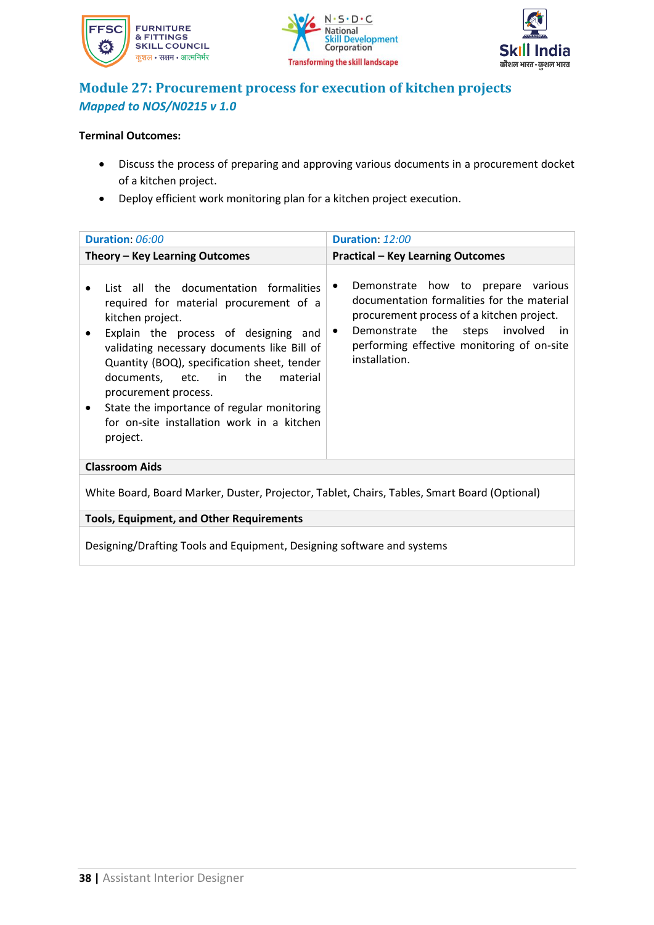





### **Module 27: Procurement process for execution of kitchen projects** *Mapped to NOS/N0215 v 1.0*

- Discuss the process of preparing and approving various documents in a procurement docket of a kitchen project.
- Deploy efficient work monitoring plan for a kitchen project execution.

| Duration: 06:00                                                                                                                                                                                                                                                                                                                                                                                                               | Duration: 12:00                                                                                                                                                                                                                                   |  |
|-------------------------------------------------------------------------------------------------------------------------------------------------------------------------------------------------------------------------------------------------------------------------------------------------------------------------------------------------------------------------------------------------------------------------------|---------------------------------------------------------------------------------------------------------------------------------------------------------------------------------------------------------------------------------------------------|--|
| Theory - Key Learning Outcomes                                                                                                                                                                                                                                                                                                                                                                                                | <b>Practical - Key Learning Outcomes</b>                                                                                                                                                                                                          |  |
| List all the documentation formalities<br>required for material procurement of a<br>kitchen project.<br>Explain the process of designing and<br>validating necessary documents like Bill of<br>Quantity (BOQ), specification sheet, tender<br>documents, etc. in the<br>material<br>procurement process.<br>State the importance of regular monitoring<br>$\bullet$<br>for on-site installation work in a kitchen<br>project. | Demonstrate how to prepare various<br>٠<br>documentation formalities for the material<br>procurement process of a kitchen project.<br>Demonstrate the<br>steps<br>involved in<br>٠<br>performing effective monitoring of on-site<br>installation. |  |
| <b>Classroom Aids</b>                                                                                                                                                                                                                                                                                                                                                                                                         |                                                                                                                                                                                                                                                   |  |
| White Board, Board Marker, Duster, Projector, Tablet, Chairs, Tables, Smart Board (Optional)                                                                                                                                                                                                                                                                                                                                  |                                                                                                                                                                                                                                                   |  |
| <b>Tools, Equipment, and Other Requirements</b>                                                                                                                                                                                                                                                                                                                                                                               |                                                                                                                                                                                                                                                   |  |
| Designing/Drafting Tools and Equipment, Designing software and systems                                                                                                                                                                                                                                                                                                                                                        |                                                                                                                                                                                                                                                   |  |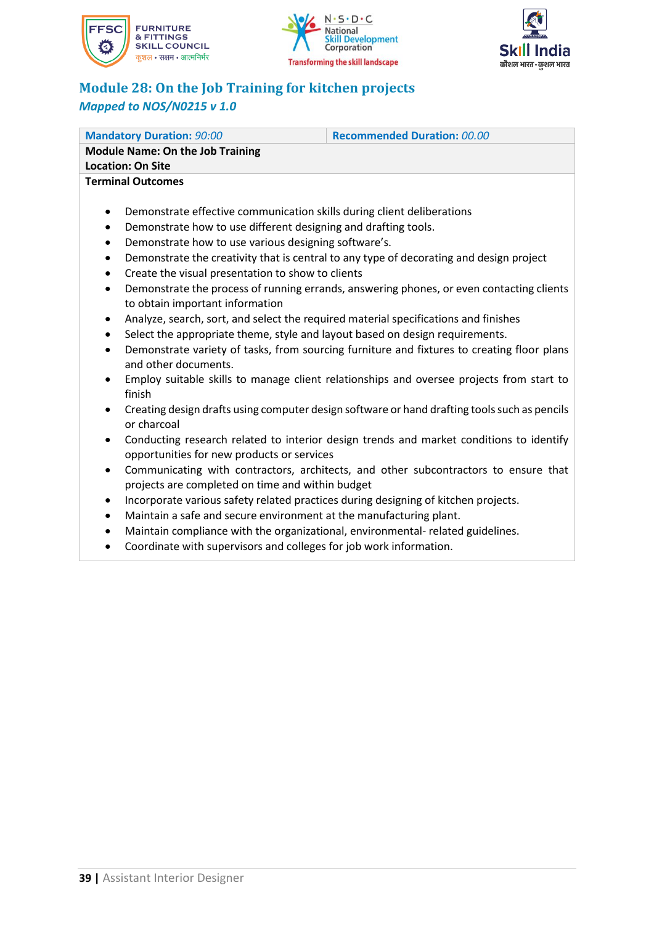





### **Module 28: On the Job Training for kitchen projects** *Mapped to NOS/N0215 v 1.0*

| <b>Mandatory Duration: 90:00</b>                                                                        | <b>Recommended Duration: 00.00</b>                                                      |
|---------------------------------------------------------------------------------------------------------|-----------------------------------------------------------------------------------------|
| <b>Module Name: On the Job Training</b><br><b>Location: On Site</b>                                     |                                                                                         |
| <b>Terminal Outcomes</b>                                                                                |                                                                                         |
|                                                                                                         |                                                                                         |
| Demonstrate effective communication skills during client deliberations<br>٠                             |                                                                                         |
| Demonstrate how to use different designing and drafting tools.<br>٠                                     |                                                                                         |
| Demonstrate how to use various designing software's.<br>٠                                               |                                                                                         |
| Demonstrate the creativity that is central to any type of decorating and design project<br>٠            |                                                                                         |
| Create the visual presentation to show to clients<br>٠                                                  |                                                                                         |
| Demonstrate the process of running errands, answering phones, or even contacting clients<br>٠           |                                                                                         |
| to obtain important information                                                                         |                                                                                         |
| Analyze, search, sort, and select the required material specifications and finishes<br>$\bullet$        |                                                                                         |
| Select the appropriate theme, style and layout based on design requirements.<br>٠                       |                                                                                         |
| Demonstrate variety of tasks, from sourcing furniture and fixtures to creating floor plans<br>$\bullet$ |                                                                                         |
| and other documents.                                                                                    |                                                                                         |
| Employ suitable skills to manage client relationships and oversee projects from start to<br>٠           |                                                                                         |
| finish                                                                                                  |                                                                                         |
| Creating design drafts using computer design software or hand drafting tools such as pencils<br>٠       |                                                                                         |
| or charcoal                                                                                             |                                                                                         |
|                                                                                                         | Conducting reconred related to interior decign trends and market conditions to identify |

- Conducting research related to interior design trends and market conditions to identify opportunities for new products or services
- Communicating with contractors, architects, and other subcontractors to ensure that projects are completed on time and within budget
- Incorporate various safety related practices during designing of kitchen projects.
- Maintain a safe and secure environment at the manufacturing plant.
- Maintain compliance with the organizational, environmental- related guidelines.
- Coordinate with supervisors and colleges for job work information.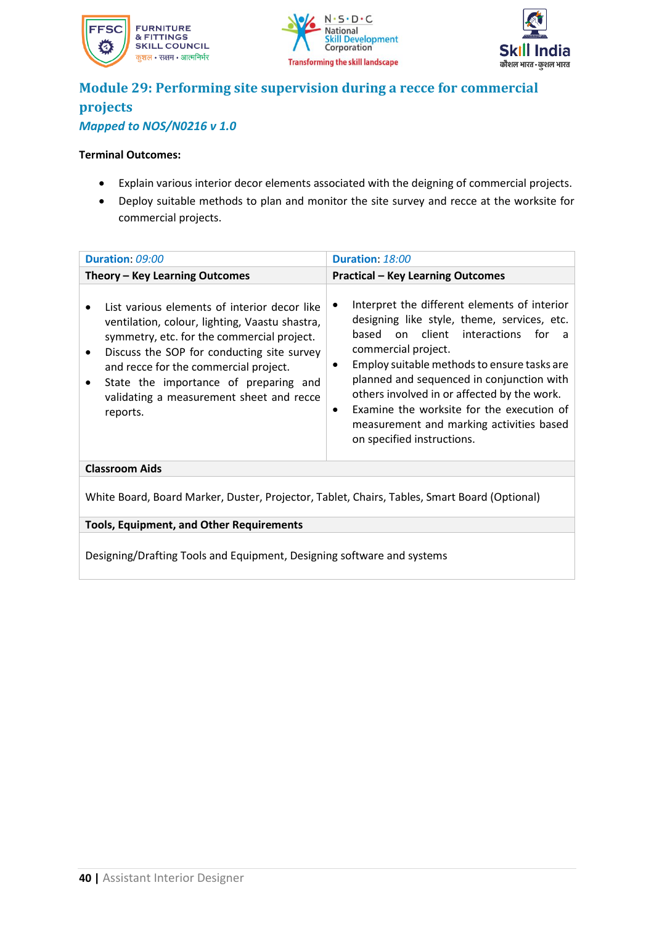





### **Module 29: Performing site supervision during a recce for commercial projects** *Mapped to NOS/N0216 v 1.0*

- Explain various interior decor elements associated with the deigning of commercial projects.
- Deploy suitable methods to plan and monitor the site survey and recce at the worksite for commercial projects.

| Duration: 09:00                                                                                                                                                                                                                                                                                                                      | Duration: 18:00                                                                                                                                                                                                                                                                                                                                                                                                                                              |
|--------------------------------------------------------------------------------------------------------------------------------------------------------------------------------------------------------------------------------------------------------------------------------------------------------------------------------------|--------------------------------------------------------------------------------------------------------------------------------------------------------------------------------------------------------------------------------------------------------------------------------------------------------------------------------------------------------------------------------------------------------------------------------------------------------------|
| Theory - Key Learning Outcomes                                                                                                                                                                                                                                                                                                       | <b>Practical - Key Learning Outcomes</b>                                                                                                                                                                                                                                                                                                                                                                                                                     |
| List various elements of interior decor like<br>ventilation, colour, lighting, Vaastu shastra,<br>symmetry, etc. for the commercial project.<br>Discuss the SOP for conducting site survey<br>and recce for the commercial project.<br>State the importance of preparing and<br>validating a measurement sheet and recce<br>reports. | Interpret the different elements of interior<br>designing like style, theme, services, etc.<br>client<br>interactions<br>based<br>for<br>on.<br>a<br>commercial project.<br>Employ suitable methods to ensure tasks are<br>٠<br>planned and sequenced in conjunction with<br>others involved in or affected by the work.<br>Examine the worksite for the execution of<br>$\bullet$<br>measurement and marking activities based<br>on specified instructions. |
| <b>Classroom Aids</b>                                                                                                                                                                                                                                                                                                                |                                                                                                                                                                                                                                                                                                                                                                                                                                                              |
| White Board, Board Marker, Duster, Projector, Tablet, Chairs, Tables, Smart Board (Optional)                                                                                                                                                                                                                                         |                                                                                                                                                                                                                                                                                                                                                                                                                                                              |
| <b>Tools, Equipment, and Other Requirements</b>                                                                                                                                                                                                                                                                                      |                                                                                                                                                                                                                                                                                                                                                                                                                                                              |
| Designing/Drafting Tools and Equipment, Designing software and systems                                                                                                                                                                                                                                                               |                                                                                                                                                                                                                                                                                                                                                                                                                                                              |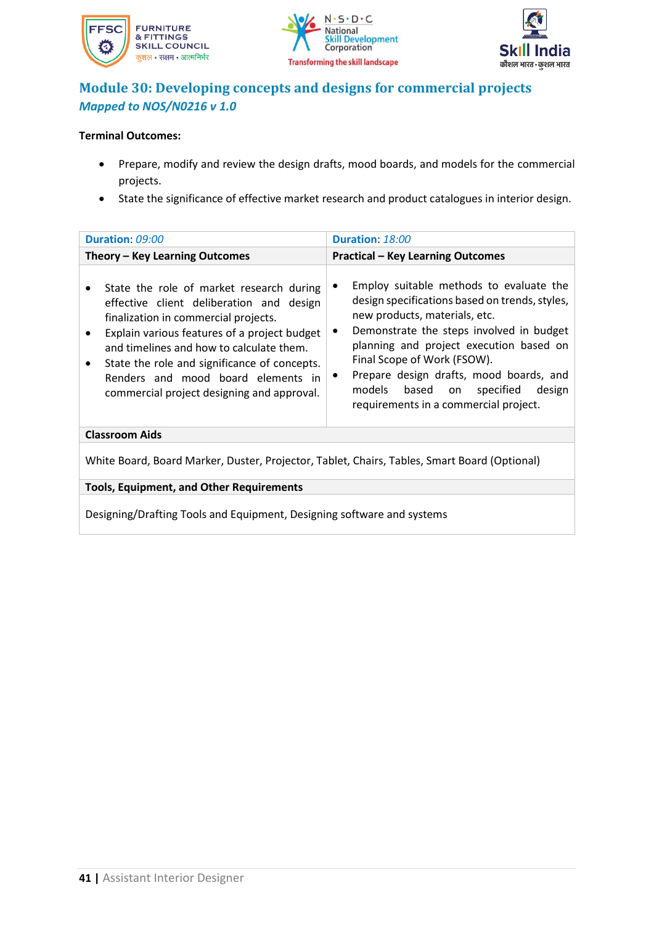





### **Module 30: Developing concepts and designs for commercial projects** *Mapped to NOS/N0216 v 1.0*

### **Terminal Outcomes:**

- Prepare, modify and review the design drafts, mood boards, and models for the commercial projects.
- State the significance of effective market research and product catalogues in interior design.

| Duration: 09:00                                                                                                                                                                                                                                                                                                                                                                                     | Duration: 18:00                                                                                                                                                                                                                                                                                                                                                             |
|-----------------------------------------------------------------------------------------------------------------------------------------------------------------------------------------------------------------------------------------------------------------------------------------------------------------------------------------------------------------------------------------------------|-----------------------------------------------------------------------------------------------------------------------------------------------------------------------------------------------------------------------------------------------------------------------------------------------------------------------------------------------------------------------------|
| Theory - Key Learning Outcomes                                                                                                                                                                                                                                                                                                                                                                      | <b>Practical - Key Learning Outcomes</b>                                                                                                                                                                                                                                                                                                                                    |
| State the role of market research during<br>$\bullet$<br>effective client deliberation and design<br>finalization in commercial projects.<br>Explain various features of a project budget<br>$\bullet$<br>and timelines and how to calculate them.<br>State the role and significance of concepts.<br>$\bullet$<br>Renders and mood board elements in<br>commercial project designing and approval. | Employ suitable methods to evaluate the<br>design specifications based on trends, styles,<br>new products, materials, etc.<br>Demonstrate the steps involved in budget<br>planning and project execution based on<br>Final Scope of Work (FSOW).<br>Prepare design drafts, mood boards, and<br>models based on specified<br>design<br>requirements in a commercial project. |
| <b>Classroom Aids</b>                                                                                                                                                                                                                                                                                                                                                                               |                                                                                                                                                                                                                                                                                                                                                                             |
| White Board, Board Marker, Duster, Projector, Tablet, Chairs, Tables, Smart Board (Optional)                                                                                                                                                                                                                                                                                                        |                                                                                                                                                                                                                                                                                                                                                                             |
| <b>Tools, Equipment, and Other Requirements</b>                                                                                                                                                                                                                                                                                                                                                     |                                                                                                                                                                                                                                                                                                                                                                             |
|                                                                                                                                                                                                                                                                                                                                                                                                     |                                                                                                                                                                                                                                                                                                                                                                             |

Designing/Drafting Tools and Equipment, Designing software and systems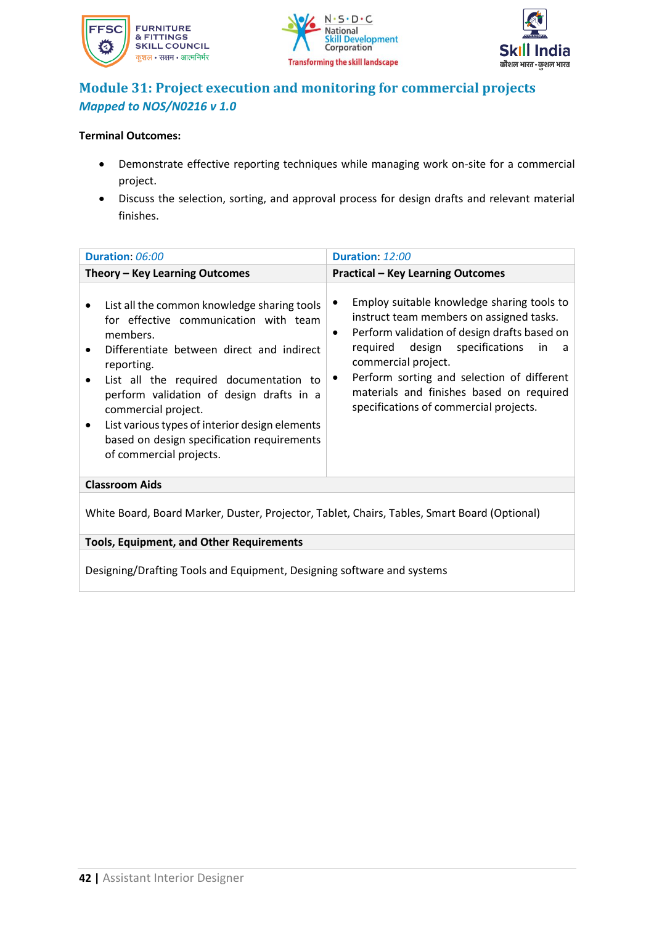





### **Module 31: Project execution and monitoring for commercial projects** *Mapped to NOS/N0216 v 1.0*

- Demonstrate effective reporting techniques while managing work on-site for a commercial project.
- Discuss the selection, sorting, and approval process for design drafts and relevant material finishes.

| Duration: 06:00                                                                                                                                                                                                                                                                                                                                                                                     | Duration: 12:00                                                                                                                                                                                                                                                                                                                                             |  |
|-----------------------------------------------------------------------------------------------------------------------------------------------------------------------------------------------------------------------------------------------------------------------------------------------------------------------------------------------------------------------------------------------------|-------------------------------------------------------------------------------------------------------------------------------------------------------------------------------------------------------------------------------------------------------------------------------------------------------------------------------------------------------------|--|
| Theory - Key Learning Outcomes                                                                                                                                                                                                                                                                                                                                                                      | <b>Practical - Key Learning Outcomes</b>                                                                                                                                                                                                                                                                                                                    |  |
| List all the common knowledge sharing tools<br>for effective communication with team<br>members.<br>Differentiate between direct and indirect<br>reporting.<br>List all the required documentation to<br>perform validation of design drafts in a<br>commercial project.<br>List various types of interior design elements<br>based on design specification requirements<br>of commercial projects. | Employ suitable knowledge sharing tools to<br>instruct team members on assigned tasks.<br>Perform validation of design drafts based on<br>$\bullet$<br>design specifications in<br>required<br>a<br>commercial project.<br>Perform sorting and selection of different<br>materials and finishes based on required<br>specifications of commercial projects. |  |
| <b>Classroom Aids</b>                                                                                                                                                                                                                                                                                                                                                                               |                                                                                                                                                                                                                                                                                                                                                             |  |
| White Board, Board Marker, Duster, Projector, Tablet, Chairs, Tables, Smart Board (Optional)                                                                                                                                                                                                                                                                                                        |                                                                                                                                                                                                                                                                                                                                                             |  |
| <b>Tools, Equipment, and Other Requirements</b>                                                                                                                                                                                                                                                                                                                                                     |                                                                                                                                                                                                                                                                                                                                                             |  |
| Designing/Drafting Tools and Equipment, Designing software and systems                                                                                                                                                                                                                                                                                                                              |                                                                                                                                                                                                                                                                                                                                                             |  |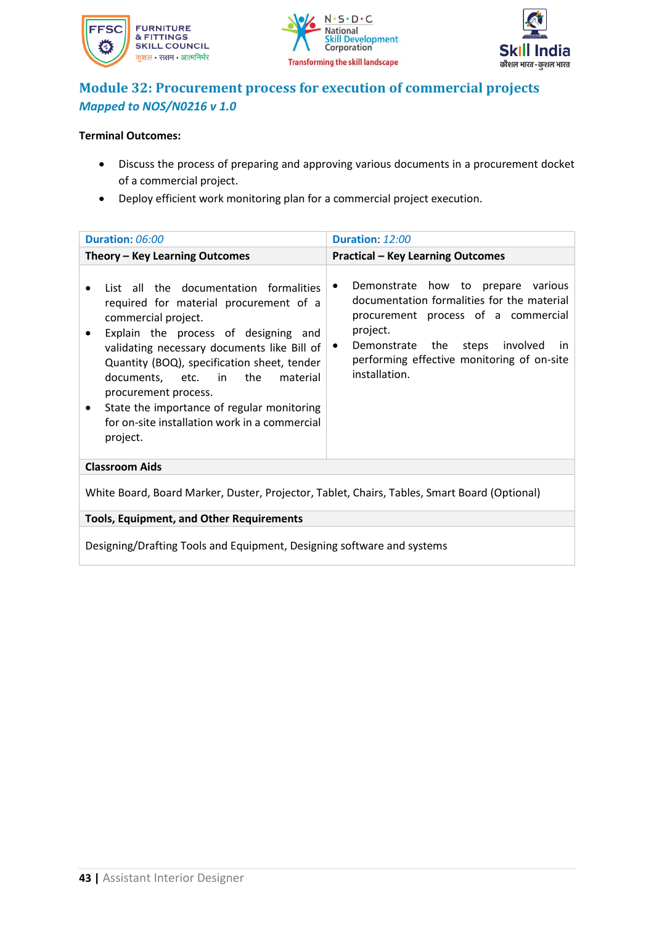





### **Module 32: Procurement process for execution of commercial projects** *Mapped to NOS/N0216 v 1.0*

- Discuss the process of preparing and approving various documents in a procurement docket of a commercial project.
- Deploy efficient work monitoring plan for a commercial project execution.

| Duration: 12:00<br>Duration: 06:00                                                                                                                                                                                                                                                                                                                                                                                                                          |                                                                                                                                                                                                                                                                    |  |
|-------------------------------------------------------------------------------------------------------------------------------------------------------------------------------------------------------------------------------------------------------------------------------------------------------------------------------------------------------------------------------------------------------------------------------------------------------------|--------------------------------------------------------------------------------------------------------------------------------------------------------------------------------------------------------------------------------------------------------------------|--|
|                                                                                                                                                                                                                                                                                                                                                                                                                                                             | <b>Practical - Key Learning Outcomes</b>                                                                                                                                                                                                                           |  |
| Theory - Key Learning Outcomes<br>List all the documentation formalities<br>required for material procurement of a<br>commercial project.<br>Explain the process of designing and<br>validating necessary documents like Bill of<br>Quantity (BOQ), specification sheet, tender<br>the<br>documents, etc. in<br>material<br>procurement process.<br>State the importance of regular monitoring<br>for on-site installation work in a commercial<br>project. | Demonstrate how to prepare various<br>٠<br>documentation formalities for the material<br>procurement process of a commercial<br>project.<br>involved<br>Demonstrate the<br>steps<br>in<br>$\bullet$<br>performing effective monitoring of on-site<br>installation. |  |
| <b>Classroom Aids</b>                                                                                                                                                                                                                                                                                                                                                                                                                                       |                                                                                                                                                                                                                                                                    |  |
| White Board, Board Marker, Duster, Projector, Tablet, Chairs, Tables, Smart Board (Optional)                                                                                                                                                                                                                                                                                                                                                                |                                                                                                                                                                                                                                                                    |  |
| <b>Tools, Equipment, and Other Requirements</b>                                                                                                                                                                                                                                                                                                                                                                                                             |                                                                                                                                                                                                                                                                    |  |
| Designing/Drafting Tools and Equipment, Designing software and systems                                                                                                                                                                                                                                                                                                                                                                                      |                                                                                                                                                                                                                                                                    |  |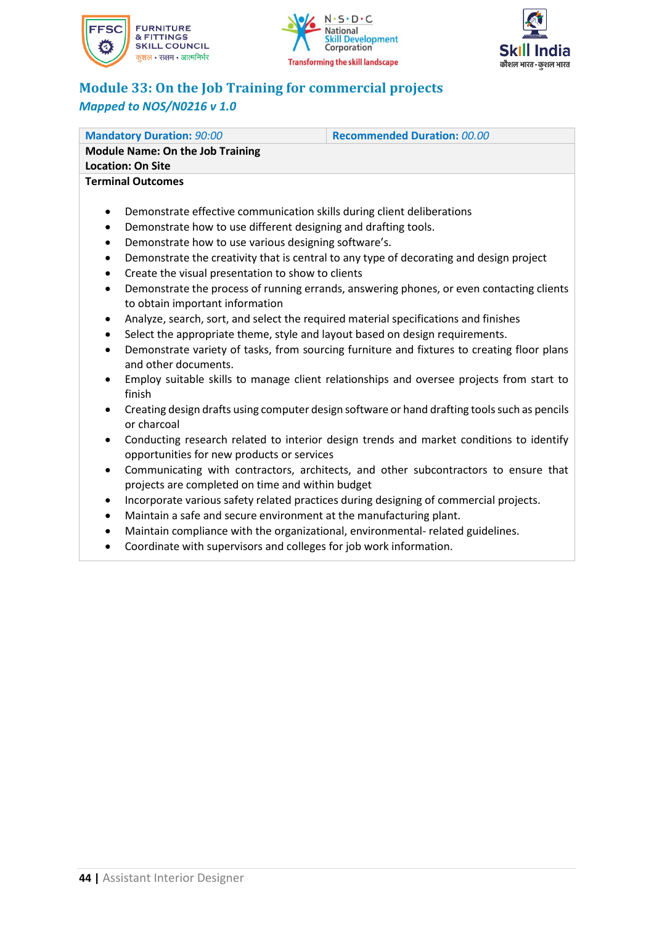





### **Module 33: On the Job Training for commercial projects** *Mapped to NOS/N0216 v 1.0*

| <b>Mandatory Duration: 90:00</b>                                                                        | <b>Recommended Duration: 00.00</b>                                                           |  |
|---------------------------------------------------------------------------------------------------------|----------------------------------------------------------------------------------------------|--|
| <b>Module Name: On the Job Training</b>                                                                 |                                                                                              |  |
| <b>Location: On Site</b>                                                                                |                                                                                              |  |
| <b>Terminal Outcomes</b>                                                                                |                                                                                              |  |
|                                                                                                         |                                                                                              |  |
| Demonstrate effective communication skills during client deliberations                                  |                                                                                              |  |
| Demonstrate how to use different designing and drafting tools.<br>$\bullet$                             |                                                                                              |  |
| Demonstrate how to use various designing software's.<br>$\bullet$                                       |                                                                                              |  |
| Demonstrate the creativity that is central to any type of decorating and design project<br>$\bullet$    |                                                                                              |  |
| Create the visual presentation to show to clients<br>$\bullet$                                          |                                                                                              |  |
| Demonstrate the process of running errands, answering phones, or even contacting clients<br>$\bullet$   |                                                                                              |  |
| to obtain important information                                                                         |                                                                                              |  |
| Analyze, search, sort, and select the required material specifications and finishes<br>$\bullet$        |                                                                                              |  |
| Select the appropriate theme, style and layout based on design requirements.<br>$\bullet$               |                                                                                              |  |
| Demonstrate variety of tasks, from sourcing furniture and fixtures to creating floor plans<br>$\bullet$ |                                                                                              |  |
| and other documents.                                                                                    |                                                                                              |  |
| $\bullet$                                                                                               | Employ suitable skills to manage client relationships and oversee projects from start to     |  |
| finish                                                                                                  |                                                                                              |  |
| $\bullet$                                                                                               | Creating design drafts using computer design software or hand drafting tools such as pencils |  |
| or charcoal                                                                                             |                                                                                              |  |
|                                                                                                         |                                                                                              |  |
| ٠                                                                                                       | Conducting research related to interior design trends and market conditions to identify      |  |
| opportunities for new products or services                                                              |                                                                                              |  |

- Communicating with contractors, architects, and other subcontractors to ensure that projects are completed on time and within budget
- Incorporate various safety related practices during designing of commercial projects.
- Maintain a safe and secure environment at the manufacturing plant.
- Maintain compliance with the organizational, environmental- related guidelines.
- Coordinate with supervisors and colleges for job work information.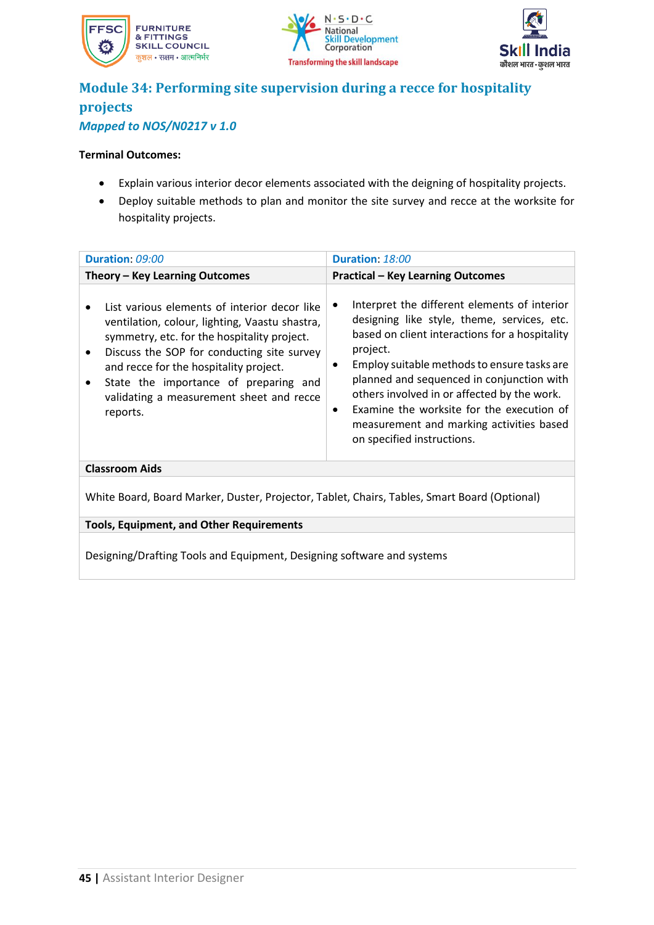





### **Module 34: Performing site supervision during a recce for hospitality projects** *Mapped to NOS/N0217 v 1.0*

- Explain various interior decor elements associated with the deigning of hospitality projects.
- Deploy suitable methods to plan and monitor the site survey and recce at the worksite for hospitality projects.

| Duration: 09:00                                                                                                                                                                                                                                                                                                                        | Duration: 18:00                                                                                                                                                                                                                                                                                                                                                                                                                       |  |
|----------------------------------------------------------------------------------------------------------------------------------------------------------------------------------------------------------------------------------------------------------------------------------------------------------------------------------------|---------------------------------------------------------------------------------------------------------------------------------------------------------------------------------------------------------------------------------------------------------------------------------------------------------------------------------------------------------------------------------------------------------------------------------------|--|
| Theory - Key Learning Outcomes                                                                                                                                                                                                                                                                                                         | <b>Practical - Key Learning Outcomes</b>                                                                                                                                                                                                                                                                                                                                                                                              |  |
| List various elements of interior decor like<br>ventilation, colour, lighting, Vaastu shastra,<br>symmetry, etc. for the hospitality project.<br>Discuss the SOP for conducting site survey<br>and recce for the hospitality project.<br>State the importance of preparing and<br>validating a measurement sheet and recce<br>reports. | Interpret the different elements of interior<br>designing like style, theme, services, etc.<br>based on client interactions for a hospitality<br>project.<br>Employ suitable methods to ensure tasks are<br>٠<br>planned and sequenced in conjunction with<br>others involved in or affected by the work.<br>Examine the worksite for the execution of<br>٠<br>measurement and marking activities based<br>on specified instructions. |  |
| <b>Classroom Aids</b>                                                                                                                                                                                                                                                                                                                  |                                                                                                                                                                                                                                                                                                                                                                                                                                       |  |
| White Board, Board Marker, Duster, Projector, Tablet, Chairs, Tables, Smart Board (Optional)                                                                                                                                                                                                                                           |                                                                                                                                                                                                                                                                                                                                                                                                                                       |  |
| <b>Tools, Equipment, and Other Requirements</b>                                                                                                                                                                                                                                                                                        |                                                                                                                                                                                                                                                                                                                                                                                                                                       |  |
| Designing/Drafting Tools and Equipment, Designing software and systems                                                                                                                                                                                                                                                                 |                                                                                                                                                                                                                                                                                                                                                                                                                                       |  |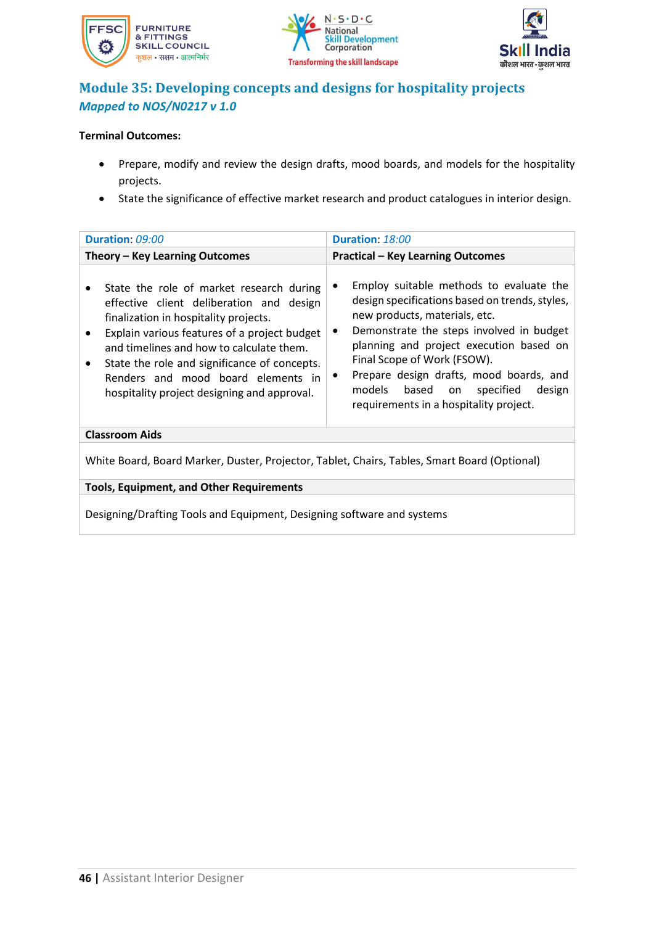





### **Module 35: Developing concepts and designs for hospitality projects** *Mapped to NOS/N0217 v 1.0*

- Prepare, modify and review the design drafts, mood boards, and models for the hospitality projects.
- State the significance of effective market research and product catalogues in interior design.

| Duration: 09:00                                                                                                                                                                                                                                                                                                                                                                                       | <b>Duration: 18:00</b>                                                                                                                                                                                                                                                                                                                                                                     |  |
|-------------------------------------------------------------------------------------------------------------------------------------------------------------------------------------------------------------------------------------------------------------------------------------------------------------------------------------------------------------------------------------------------------|--------------------------------------------------------------------------------------------------------------------------------------------------------------------------------------------------------------------------------------------------------------------------------------------------------------------------------------------------------------------------------------------|--|
| Theory - Key Learning Outcomes                                                                                                                                                                                                                                                                                                                                                                        | <b>Practical - Key Learning Outcomes</b>                                                                                                                                                                                                                                                                                                                                                   |  |
| State the role of market research during<br>$\bullet$<br>effective client deliberation and design<br>finalization in hospitality projects.<br>Explain various features of a project budget<br>$\bullet$<br>and timelines and how to calculate them.<br>State the role and significance of concepts.<br>$\bullet$<br>Renders and mood board elements in<br>hospitality project designing and approval. | Employ suitable methods to evaluate the<br>design specifications based on trends, styles,<br>new products, materials, etc.<br>Demonstrate the steps involved in budget<br>٠<br>planning and project execution based on<br>Final Scope of Work (FSOW).<br>Prepare design drafts, mood boards, and<br>models<br>design<br>based<br>specified<br>on<br>requirements in a hospitality project. |  |
| <b>Classroom Aids</b>                                                                                                                                                                                                                                                                                                                                                                                 |                                                                                                                                                                                                                                                                                                                                                                                            |  |
| White Board, Board Marker, Duster, Projector, Tablet, Chairs, Tables, Smart Board (Optional)                                                                                                                                                                                                                                                                                                          |                                                                                                                                                                                                                                                                                                                                                                                            |  |
| <b>Tools, Equipment, and Other Requirements</b>                                                                                                                                                                                                                                                                                                                                                       |                                                                                                                                                                                                                                                                                                                                                                                            |  |
| Designing/Drafting Tools and Equipment, Designing software and systems                                                                                                                                                                                                                                                                                                                                |                                                                                                                                                                                                                                                                                                                                                                                            |  |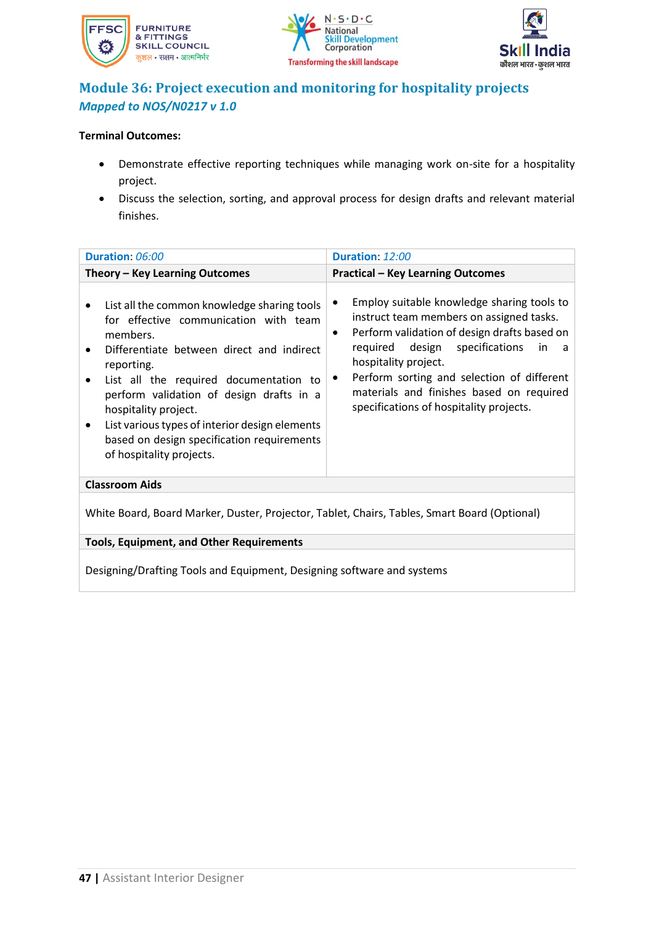





### **Module 36: Project execution and monitoring for hospitality projects** *Mapped to NOS/N0217 v 1.0*

- Demonstrate effective reporting techniques while managing work on-site for a hospitality project.
- Discuss the selection, sorting, and approval process for design drafts and relevant material finishes.

| Duration: 06:00                                                                                                                                                                                                                                                                                                                                                                                       | Duration: 12:00                                                                                                                                                                                                                                                                                                                                                       |  |
|-------------------------------------------------------------------------------------------------------------------------------------------------------------------------------------------------------------------------------------------------------------------------------------------------------------------------------------------------------------------------------------------------------|-----------------------------------------------------------------------------------------------------------------------------------------------------------------------------------------------------------------------------------------------------------------------------------------------------------------------------------------------------------------------|--|
| Theory - Key Learning Outcomes                                                                                                                                                                                                                                                                                                                                                                        | <b>Practical - Key Learning Outcomes</b>                                                                                                                                                                                                                                                                                                                              |  |
| List all the common knowledge sharing tools<br>for effective communication with team<br>members.<br>Differentiate between direct and indirect<br>reporting.<br>List all the required documentation to<br>perform validation of design drafts in a<br>hospitality project.<br>List various types of interior design elements<br>based on design specification requirements<br>of hospitality projects. | Employ suitable knowledge sharing tools to<br>instruct team members on assigned tasks.<br>Perform validation of design drafts based on<br>$\bullet$<br>design specifications<br>required<br>in<br>a<br>hospitality project.<br>Perform sorting and selection of different<br>٠<br>materials and finishes based on required<br>specifications of hospitality projects. |  |
| <b>Classroom Aids</b>                                                                                                                                                                                                                                                                                                                                                                                 |                                                                                                                                                                                                                                                                                                                                                                       |  |
| White Board, Board Marker, Duster, Projector, Tablet, Chairs, Tables, Smart Board (Optional)                                                                                                                                                                                                                                                                                                          |                                                                                                                                                                                                                                                                                                                                                                       |  |
| <b>Tools, Equipment, and Other Requirements</b>                                                                                                                                                                                                                                                                                                                                                       |                                                                                                                                                                                                                                                                                                                                                                       |  |
| Designing/Drafting Tools and Equipment, Designing software and systems                                                                                                                                                                                                                                                                                                                                |                                                                                                                                                                                                                                                                                                                                                                       |  |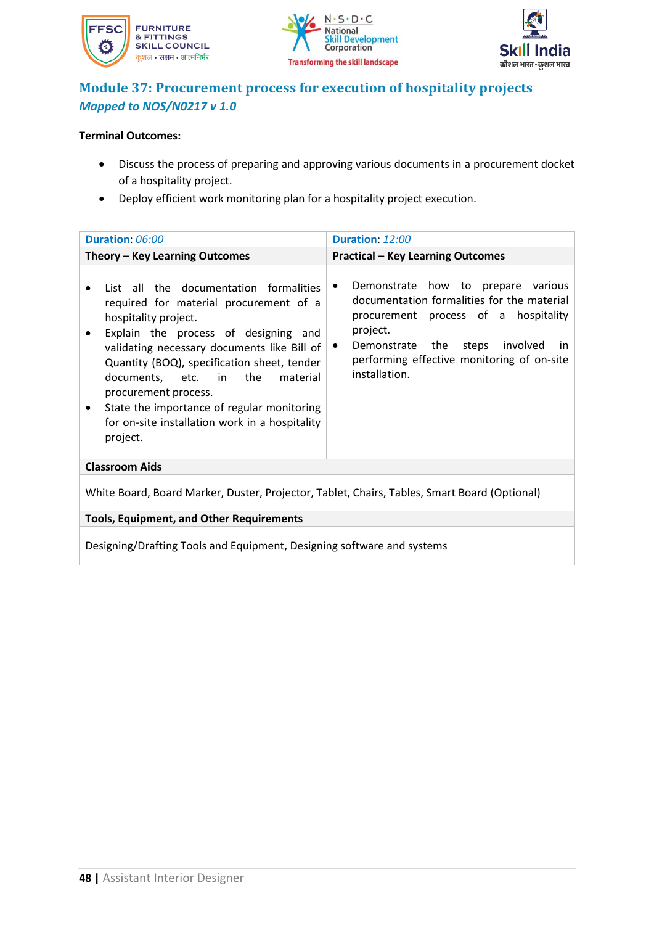





### **Module 37: Procurement process for execution of hospitality projects** *Mapped to NOS/N0217 v 1.0*

- Discuss the process of preparing and approving various documents in a procurement docket of a hospitality project.
- Deploy efficient work monitoring plan for a hospitality project execution.

| Duration: 06:00                                                                                                                                                                                                                                                                                                                                                                                                                          | Duration: 12:00                                                                                                                                                                                                                                                 |  |
|------------------------------------------------------------------------------------------------------------------------------------------------------------------------------------------------------------------------------------------------------------------------------------------------------------------------------------------------------------------------------------------------------------------------------------------|-----------------------------------------------------------------------------------------------------------------------------------------------------------------------------------------------------------------------------------------------------------------|--|
| Theory - Key Learning Outcomes                                                                                                                                                                                                                                                                                                                                                                                                           | <b>Practical - Key Learning Outcomes</b>                                                                                                                                                                                                                        |  |
| List all the documentation formalities<br>required for material procurement of a<br>hospitality project.<br>Explain the process of designing and<br>validating necessary documents like Bill of<br>Quantity (BOQ), specification sheet, tender<br>the<br>documents, etc. in<br>material<br>procurement process.<br>State the importance of regular monitoring<br>$\bullet$<br>for on-site installation work in a hospitality<br>project. | Demonstrate how to prepare various<br>documentation formalities for the material<br>procurement process of a hospitality<br>project.<br>Demonstrate the<br>involved<br>steps<br>-in<br>$\bullet$<br>performing effective monitoring of on-site<br>installation. |  |
| <b>Classroom Aids</b>                                                                                                                                                                                                                                                                                                                                                                                                                    |                                                                                                                                                                                                                                                                 |  |
| White Board, Board Marker, Duster, Projector, Tablet, Chairs, Tables, Smart Board (Optional)                                                                                                                                                                                                                                                                                                                                             |                                                                                                                                                                                                                                                                 |  |
| <b>Tools, Equipment, and Other Requirements</b>                                                                                                                                                                                                                                                                                                                                                                                          |                                                                                                                                                                                                                                                                 |  |
| Designing/Drafting Tools and Equipment, Designing software and systems                                                                                                                                                                                                                                                                                                                                                                   |                                                                                                                                                                                                                                                                 |  |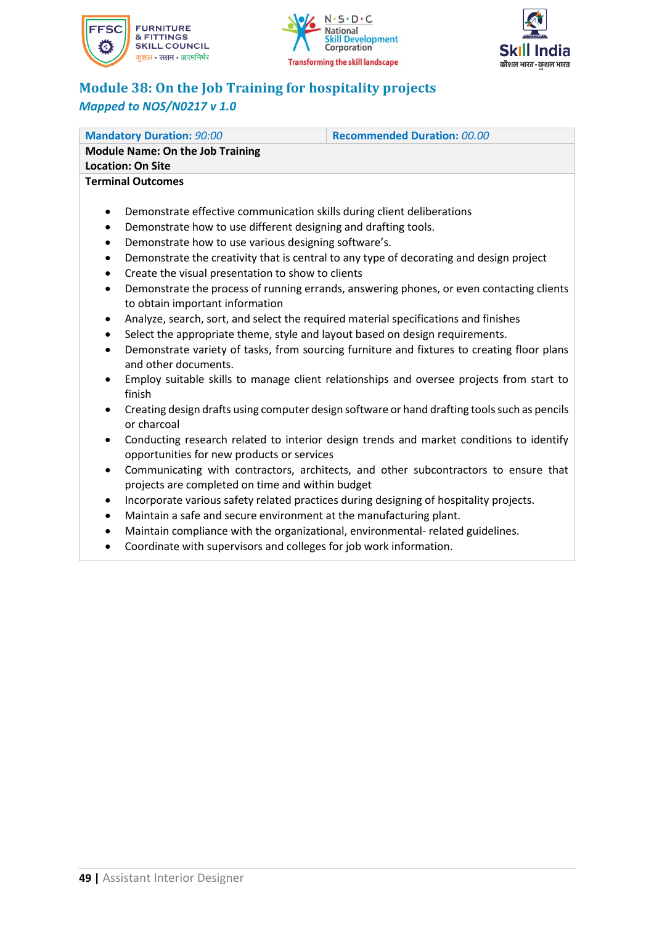





### **Module 38: On the Job Training for hospitality projects** *Mapped to NOS/N0217 v 1.0*

| <b>Mandatory Duration: 90:00</b>                                                                                                                                                                                                                                                                                            | <b>Recommended Duration: 00.00</b>                                                                                                                                                  |  |
|-----------------------------------------------------------------------------------------------------------------------------------------------------------------------------------------------------------------------------------------------------------------------------------------------------------------------------|-------------------------------------------------------------------------------------------------------------------------------------------------------------------------------------|--|
| <b>Module Name: On the Job Training</b>                                                                                                                                                                                                                                                                                     |                                                                                                                                                                                     |  |
| <b>Location: On Site</b>                                                                                                                                                                                                                                                                                                    |                                                                                                                                                                                     |  |
| <b>Terminal Outcomes</b>                                                                                                                                                                                                                                                                                                    |                                                                                                                                                                                     |  |
| Demonstrate effective communication skills during client deliberations<br>$\bullet$<br>Demonstrate how to use different designing and drafting tools.<br>٠<br>Demonstrate how to use various designing software's.<br>$\bullet$<br>$\bullet$<br>Create the visual presentation to show to clients<br>$\bullet$<br>$\bullet$ | Demonstrate the creativity that is central to any type of decorating and design project<br>Demonstrate the process of running errands, answering phones, or even contacting clients |  |
| to obtain important information<br>Analyze, search, sort, and select the required material specifications and finishes<br>٠                                                                                                                                                                                                 |                                                                                                                                                                                     |  |
| Select the appropriate theme, style and layout based on design requirements.<br>$\bullet$                                                                                                                                                                                                                                   |                                                                                                                                                                                     |  |
| Demonstrate variety of tasks, from sourcing furniture and fixtures to creating floor plans<br>$\bullet$<br>and other documents.                                                                                                                                                                                             |                                                                                                                                                                                     |  |
| $\bullet$<br>finish                                                                                                                                                                                                                                                                                                         | Employ suitable skills to manage client relationships and oversee projects from start to                                                                                            |  |
| $\bullet$<br>or charcoal                                                                                                                                                                                                                                                                                                    | Creating design drafts using computer design software or hand drafting tools such as pencils                                                                                        |  |
| $\bullet$                                                                                                                                                                                                                                                                                                                   | Conducting research related to interior design trends and market conditions to identify                                                                                             |  |

- opportunities for new products or services • Communicating with contractors, architects, and other subcontractors to ensure that projects are completed on time and within budget
- Incorporate various safety related practices during designing of hospitality projects.
- Maintain a safe and secure environment at the manufacturing plant.
- Maintain compliance with the organizational, environmental- related guidelines.
- Coordinate with supervisors and colleges for job work information.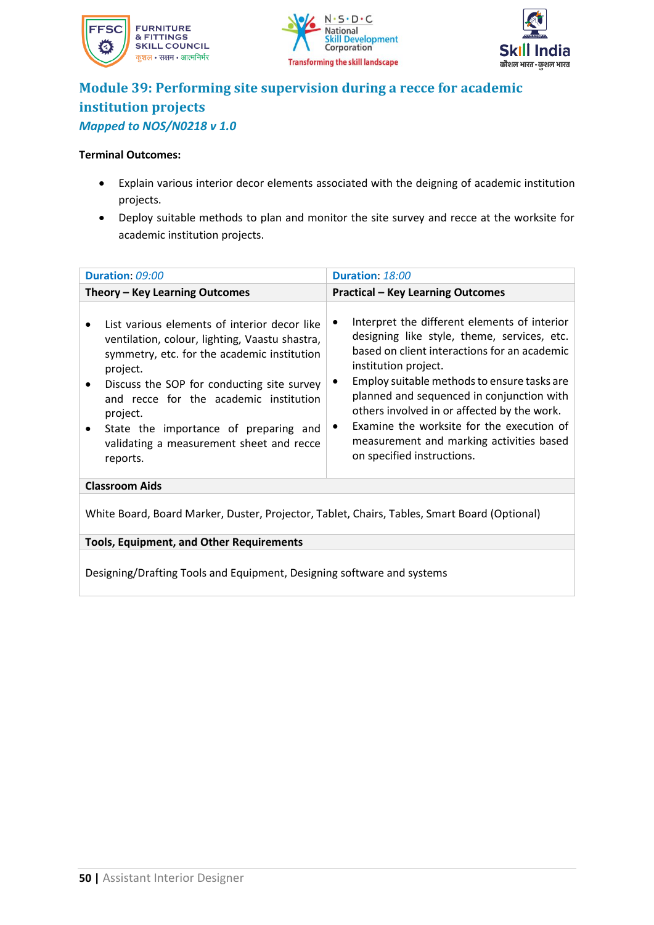





### **Module 39: Performing site supervision during a recce for academic institution projects** *Mapped to NOS/N0218 v 1.0*

- Explain various interior decor elements associated with the deigning of academic institution projects.
- Deploy suitable methods to plan and monitor the site survey and recce at the worksite for academic institution projects.

| Duration: 09:00                                                                                                                                                                                                                                                                                                                                                | Duration: 18:00                                                                                                                                                                                                                                                                                                                                                                                                                       |  |
|----------------------------------------------------------------------------------------------------------------------------------------------------------------------------------------------------------------------------------------------------------------------------------------------------------------------------------------------------------------|---------------------------------------------------------------------------------------------------------------------------------------------------------------------------------------------------------------------------------------------------------------------------------------------------------------------------------------------------------------------------------------------------------------------------------------|--|
| Theory - Key Learning Outcomes                                                                                                                                                                                                                                                                                                                                 | <b>Practical - Key Learning Outcomes</b>                                                                                                                                                                                                                                                                                                                                                                                              |  |
| List various elements of interior decor like<br>ventilation, colour, lighting, Vaastu shastra,<br>symmetry, etc. for the academic institution<br>project.<br>Discuss the SOP for conducting site survey<br>and recce for the academic institution<br>project.<br>State the importance of preparing and<br>validating a measurement sheet and recce<br>reports. | Interpret the different elements of interior<br>designing like style, theme, services, etc.<br>based on client interactions for an academic<br>institution project.<br>Employ suitable methods to ensure tasks are<br>planned and sequenced in conjunction with<br>others involved in or affected by the work.<br>Examine the worksite for the execution of<br>measurement and marking activities based<br>on specified instructions. |  |
| <b>Classroom Aids</b>                                                                                                                                                                                                                                                                                                                                          |                                                                                                                                                                                                                                                                                                                                                                                                                                       |  |
| White Board, Board Marker, Duster, Projector, Tablet, Chairs, Tables, Smart Board (Optional)                                                                                                                                                                                                                                                                   |                                                                                                                                                                                                                                                                                                                                                                                                                                       |  |
| <b>Tools, Equipment, and Other Requirements</b>                                                                                                                                                                                                                                                                                                                |                                                                                                                                                                                                                                                                                                                                                                                                                                       |  |
| Designing/Drafting Tools and Equipment, Designing software and systems                                                                                                                                                                                                                                                                                         |                                                                                                                                                                                                                                                                                                                                                                                                                                       |  |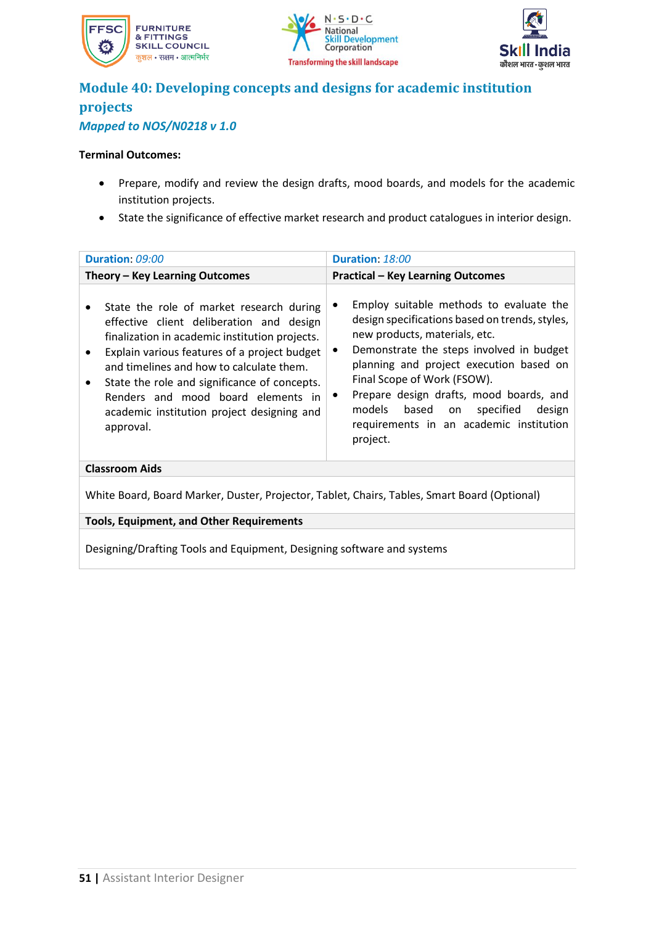





### **Module 40: Developing concepts and designs for academic institution projects** *Mapped to NOS/N0218 v 1.0*

- Prepare, modify and review the design drafts, mood boards, and models for the academic institution projects.
- State the significance of effective market research and product catalogues in interior design.

| <b>Duration: 09:00</b>                                                                                                                                                                                                                                                                                                                                                                           | Duration: 18:00                                                                                                                                                                                                                                                                                                                                                                                                     |  |
|--------------------------------------------------------------------------------------------------------------------------------------------------------------------------------------------------------------------------------------------------------------------------------------------------------------------------------------------------------------------------------------------------|---------------------------------------------------------------------------------------------------------------------------------------------------------------------------------------------------------------------------------------------------------------------------------------------------------------------------------------------------------------------------------------------------------------------|--|
| Theory - Key Learning Outcomes                                                                                                                                                                                                                                                                                                                                                                   | <b>Practical - Key Learning Outcomes</b>                                                                                                                                                                                                                                                                                                                                                                            |  |
| State the role of market research during<br>effective client deliberation and design<br>finalization in academic institution projects.<br>Explain various features of a project budget<br>and timelines and how to calculate them.<br>State the role and significance of concepts.<br>$\bullet$<br>Renders and mood board elements in<br>academic institution project designing and<br>approval. | Employ suitable methods to evaluate the<br>$\bullet$<br>design specifications based on trends, styles,<br>new products, materials, etc.<br>Demonstrate the steps involved in budget<br>٠<br>planning and project execution based on<br>Final Scope of Work (FSOW).<br>Prepare design drafts, mood boards, and<br>٠<br>models based on<br>specified<br>design<br>requirements in an academic institution<br>project. |  |
| <b>Classroom Aids</b>                                                                                                                                                                                                                                                                                                                                                                            |                                                                                                                                                                                                                                                                                                                                                                                                                     |  |
| White Board, Board Marker, Duster, Projector, Tablet, Chairs, Tables, Smart Board (Optional)                                                                                                                                                                                                                                                                                                     |                                                                                                                                                                                                                                                                                                                                                                                                                     |  |
| <b>Tools, Equipment, and Other Requirements</b>                                                                                                                                                                                                                                                                                                                                                  |                                                                                                                                                                                                                                                                                                                                                                                                                     |  |
| Designing/Drafting Tools and Equipment, Designing software and systems                                                                                                                                                                                                                                                                                                                           |                                                                                                                                                                                                                                                                                                                                                                                                                     |  |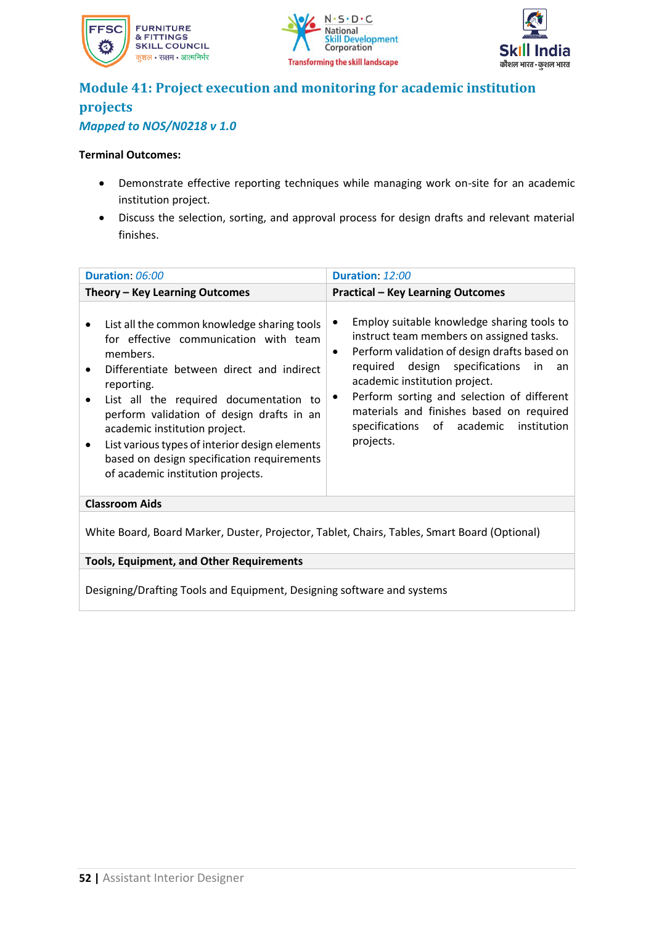





### **Module 41: Project execution and monitoring for academic institution projects** *Mapped to NOS/N0218 v 1.0*

- Demonstrate effective reporting techniques while managing work on-site for an academic institution project.
- Discuss the selection, sorting, and approval process for design drafts and relevant material finishes.

| Duration: 06:00                                                                                                                                                                                                                                                                                                                                                                                                                                         | Duration: 12:00                                                                                                                                                                                                                                                                                                                                                                                       |  |
|---------------------------------------------------------------------------------------------------------------------------------------------------------------------------------------------------------------------------------------------------------------------------------------------------------------------------------------------------------------------------------------------------------------------------------------------------------|-------------------------------------------------------------------------------------------------------------------------------------------------------------------------------------------------------------------------------------------------------------------------------------------------------------------------------------------------------------------------------------------------------|--|
| Theory - Key Learning Outcomes                                                                                                                                                                                                                                                                                                                                                                                                                          | <b>Practical - Key Learning Outcomes</b>                                                                                                                                                                                                                                                                                                                                                              |  |
| List all the common knowledge sharing tools<br>for effective communication with team<br>members.<br>Differentiate between direct and indirect<br>$\bullet$<br>reporting.<br>List all the required documentation to<br>$\bullet$<br>perform validation of design drafts in an<br>academic institution project.<br>List various types of interior design elements<br>٠<br>based on design specification requirements<br>of academic institution projects. | Employ suitable knowledge sharing tools to<br>٠<br>instruct team members on assigned tasks.<br>Perform validation of design drafts based on<br>$\bullet$<br>required design specifications<br>in an<br>academic institution project.<br>Perform sorting and selection of different<br>$\bullet$<br>materials and finishes based on required<br>specifications of academic<br>institution<br>projects. |  |
| <b>Classroom Aids</b>                                                                                                                                                                                                                                                                                                                                                                                                                                   |                                                                                                                                                                                                                                                                                                                                                                                                       |  |
| White Board, Board Marker, Duster, Projector, Tablet, Chairs, Tables, Smart Board (Optional)                                                                                                                                                                                                                                                                                                                                                            |                                                                                                                                                                                                                                                                                                                                                                                                       |  |
| <b>Tools, Equipment, and Other Requirements</b>                                                                                                                                                                                                                                                                                                                                                                                                         |                                                                                                                                                                                                                                                                                                                                                                                                       |  |
| Designing/Drafting Tools and Equipment, Designing software and systems                                                                                                                                                                                                                                                                                                                                                                                  |                                                                                                                                                                                                                                                                                                                                                                                                       |  |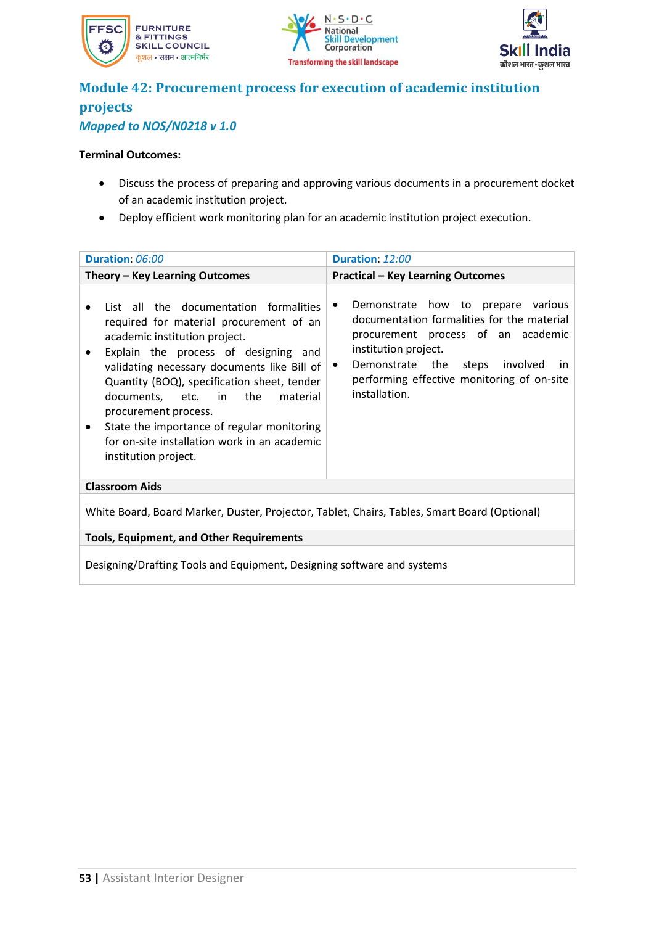





### **Module 42: Procurement process for execution of academic institution projects** *Mapped to NOS/N0218 v 1.0*

- Discuss the process of preparing and approving various documents in a procurement docket of an academic institution project.
- Deploy efficient work monitoring plan for an academic institution project execution.

| Duration: 06:00                                                                                                                                                                                                                                                                                                                                                                                                                                           | Duration: 12:00                                                                                                                                                                                                                                                                |  |
|-----------------------------------------------------------------------------------------------------------------------------------------------------------------------------------------------------------------------------------------------------------------------------------------------------------------------------------------------------------------------------------------------------------------------------------------------------------|--------------------------------------------------------------------------------------------------------------------------------------------------------------------------------------------------------------------------------------------------------------------------------|--|
| Theory - Key Learning Outcomes                                                                                                                                                                                                                                                                                                                                                                                                                            | <b>Practical - Key Learning Outcomes</b>                                                                                                                                                                                                                                       |  |
| List all the documentation formalities<br>required for material procurement of an<br>academic institution project.<br>Explain the process of designing and<br>validating necessary documents like Bill of<br>Quantity (BOQ), specification sheet, tender<br>documents, etc. in the<br>material<br>procurement process.<br>State the importance of regular monitoring<br>$\bullet$<br>for on-site installation work in an academic<br>institution project. | Demonstrate how to prepare various<br>٠<br>documentation formalities for the material<br>procurement process of an academic<br>institution project.<br>Demonstrate the<br>steps<br>involved<br>in.<br>$\bullet$<br>performing effective monitoring of on-site<br>installation. |  |
| <b>Classroom Aids</b>                                                                                                                                                                                                                                                                                                                                                                                                                                     |                                                                                                                                                                                                                                                                                |  |
| White Board, Board Marker, Duster, Projector, Tablet, Chairs, Tables, Smart Board (Optional)                                                                                                                                                                                                                                                                                                                                                              |                                                                                                                                                                                                                                                                                |  |
| <b>Tools, Equipment, and Other Requirements</b>                                                                                                                                                                                                                                                                                                                                                                                                           |                                                                                                                                                                                                                                                                                |  |
| Designing/Drafting Tools and Equipment, Designing software and systems                                                                                                                                                                                                                                                                                                                                                                                    |                                                                                                                                                                                                                                                                                |  |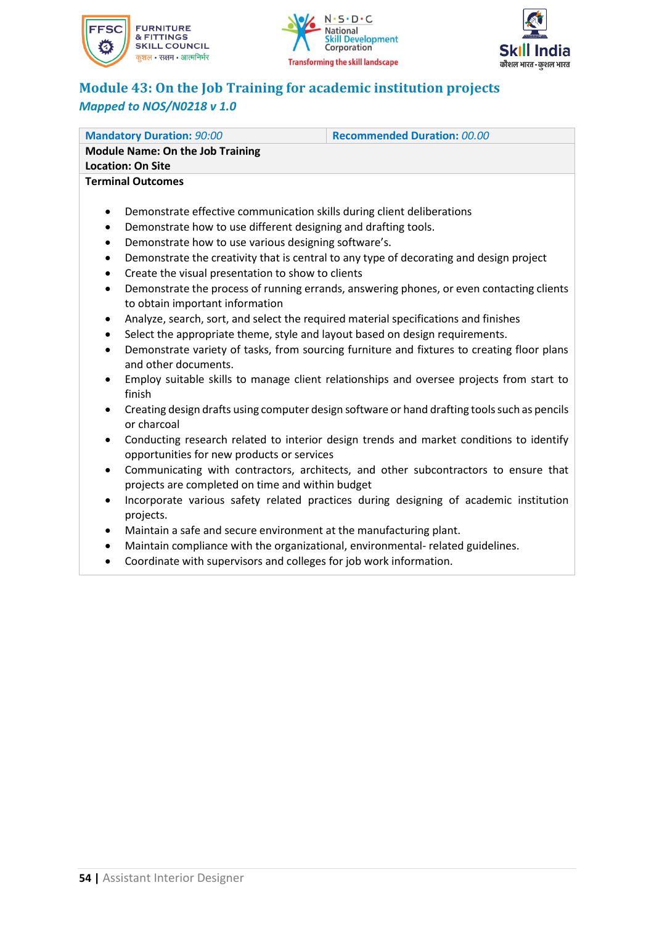





### **Module 43: On the Job Training for academic institution projects** *Mapped to NOS/N0218 v 1.0*

| <b>Mandatory Duration: 90:00</b>                                                                            | <b>Recommended Duration: 00.00</b>                                                      |  |  |
|-------------------------------------------------------------------------------------------------------------|-----------------------------------------------------------------------------------------|--|--|
| <b>Module Name: On the Job Training</b>                                                                     |                                                                                         |  |  |
| <b>Location: On Site</b>                                                                                    |                                                                                         |  |  |
| <b>Terminal Outcomes</b>                                                                                    |                                                                                         |  |  |
|                                                                                                             |                                                                                         |  |  |
| Demonstrate effective communication skills during client deliberations<br>$\bullet$                         |                                                                                         |  |  |
| Demonstrate how to use different designing and drafting tools.<br>$\bullet$                                 |                                                                                         |  |  |
| Demonstrate how to use various designing software's.<br>$\bullet$                                           |                                                                                         |  |  |
| Demonstrate the creativity that is central to any type of decorating and design project<br>$\bullet$        |                                                                                         |  |  |
| Create the visual presentation to show to clients<br>$\bullet$                                              |                                                                                         |  |  |
| Demonstrate the process of running errands, answering phones, or even contacting clients<br>$\bullet$       |                                                                                         |  |  |
| to obtain important information                                                                             |                                                                                         |  |  |
| Analyze, search, sort, and select the required material specifications and finishes<br>$\bullet$            |                                                                                         |  |  |
| Select the appropriate theme, style and layout based on design requirements.<br>$\bullet$                   |                                                                                         |  |  |
| Demonstrate variety of tasks, from sourcing furniture and fixtures to creating floor plans<br>$\bullet$     |                                                                                         |  |  |
| and other documents.                                                                                        |                                                                                         |  |  |
| ٠                                                                                                           |                                                                                         |  |  |
| Employ suitable skills to manage client relationships and oversee projects from start to<br>finish          |                                                                                         |  |  |
| ٠                                                                                                           |                                                                                         |  |  |
| Creating design drafts using computer design software or hand drafting tools such as pencils<br>or charcoal |                                                                                         |  |  |
|                                                                                                             |                                                                                         |  |  |
| $\bullet$                                                                                                   | Conducting research related to interior design trends and market conditions to identify |  |  |
| opportunities for new products or services                                                                  |                                                                                         |  |  |
| Communicating with contractors, architects, and other subcontractors to ensure that                         |                                                                                         |  |  |

- projects are completed on time and within budget
- Incorporate various safety related practices during designing of academic institution projects.
- Maintain a safe and secure environment at the manufacturing plant.
- Maintain compliance with the organizational, environmental- related guidelines.
- Coordinate with supervisors and colleges for job work information.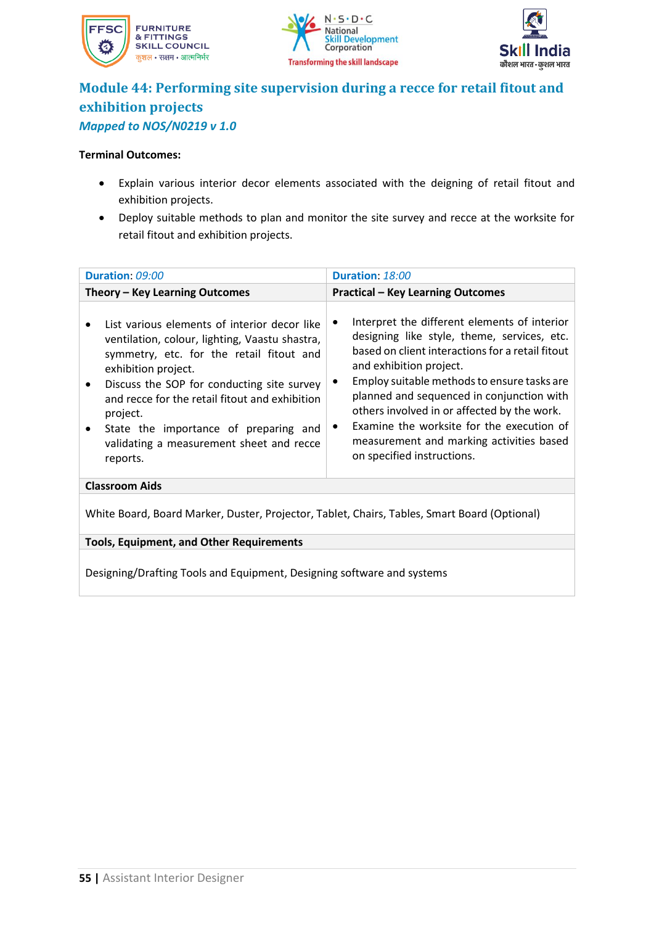





### **Module 44: Performing site supervision during a recce for retail fitout and exhibition projects** *Mapped to NOS/N0219 v 1.0*

- Explain various interior decor elements associated with the deigning of retail fitout and exhibition projects.
- Deploy suitable methods to plan and monitor the site survey and recce at the worksite for retail fitout and exhibition projects.

| Duration: 09:00                                                                                                                                                                                                                                                                                                                                                                                  | Duration: 18:00                                                                                                                                                                                                                                                                                                                                                                                                                                   |  |
|--------------------------------------------------------------------------------------------------------------------------------------------------------------------------------------------------------------------------------------------------------------------------------------------------------------------------------------------------------------------------------------------------|---------------------------------------------------------------------------------------------------------------------------------------------------------------------------------------------------------------------------------------------------------------------------------------------------------------------------------------------------------------------------------------------------------------------------------------------------|--|
| Theory - Key Learning Outcomes                                                                                                                                                                                                                                                                                                                                                                   | <b>Practical - Key Learning Outcomes</b>                                                                                                                                                                                                                                                                                                                                                                                                          |  |
| List various elements of interior decor like<br>ventilation, colour, lighting, Vaastu shastra,<br>symmetry, etc. for the retail fitout and<br>exhibition project.<br>Discuss the SOP for conducting site survey<br>$\bullet$<br>and recce for the retail fitout and exhibition<br>project.<br>State the importance of preparing and<br>٠<br>validating a measurement sheet and recce<br>reports. | Interpret the different elements of interior<br>designing like style, theme, services, etc.<br>based on client interactions for a retail fitout<br>and exhibition project.<br>Employ suitable methods to ensure tasks are<br>planned and sequenced in conjunction with<br>others involved in or affected by the work.<br>Examine the worksite for the execution of<br>٠<br>measurement and marking activities based<br>on specified instructions. |  |
| <b>Classroom Aids</b>                                                                                                                                                                                                                                                                                                                                                                            |                                                                                                                                                                                                                                                                                                                                                                                                                                                   |  |
| White Board, Board Marker, Duster, Projector, Tablet, Chairs, Tables, Smart Board (Optional)                                                                                                                                                                                                                                                                                                     |                                                                                                                                                                                                                                                                                                                                                                                                                                                   |  |
| <b>Tools, Equipment, and Other Requirements</b>                                                                                                                                                                                                                                                                                                                                                  |                                                                                                                                                                                                                                                                                                                                                                                                                                                   |  |
| Designing/Drafting Tools and Equipment, Designing software and systems                                                                                                                                                                                                                                                                                                                           |                                                                                                                                                                                                                                                                                                                                                                                                                                                   |  |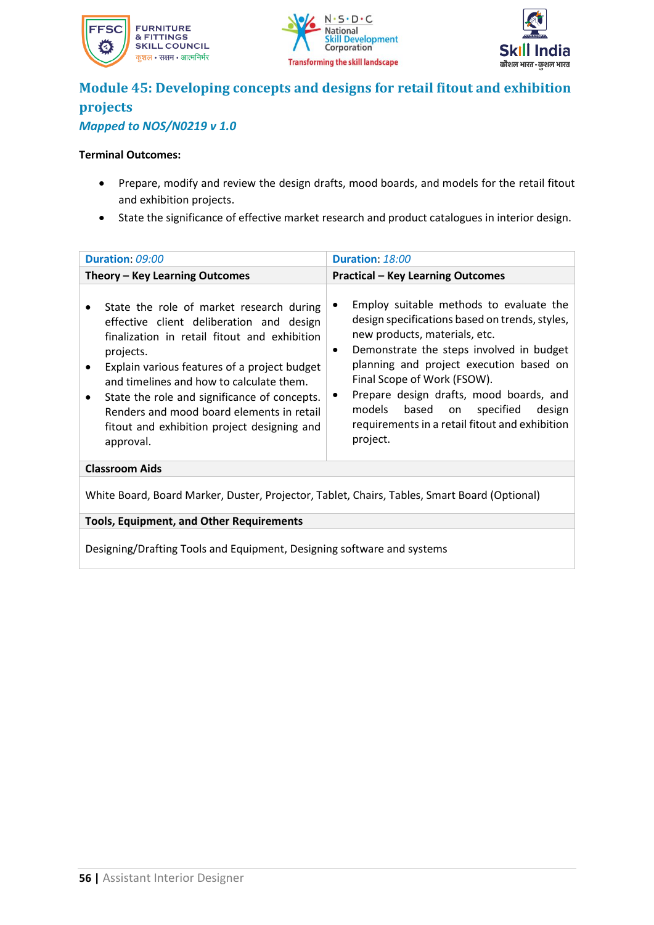





### **Module 45: Developing concepts and designs for retail fitout and exhibition projects** *Mapped to NOS/N0219 v 1.0*

#### **Terminal Outcomes:**

- Prepare, modify and review the design drafts, mood boards, and models for the retail fitout and exhibition projects.
- State the significance of effective market research and product catalogues in interior design.

| Duration: 09:00                                                                                                                                                                                                                                                                                                                                                                                                     | Duration: 18:00                                                                                                                                                                                                                                                                                                                                                                                               |  |  |  |
|---------------------------------------------------------------------------------------------------------------------------------------------------------------------------------------------------------------------------------------------------------------------------------------------------------------------------------------------------------------------------------------------------------------------|---------------------------------------------------------------------------------------------------------------------------------------------------------------------------------------------------------------------------------------------------------------------------------------------------------------------------------------------------------------------------------------------------------------|--|--|--|
| Theory – Key Learning Outcomes                                                                                                                                                                                                                                                                                                                                                                                      | <b>Practical - Key Learning Outcomes</b>                                                                                                                                                                                                                                                                                                                                                                      |  |  |  |
| State the role of market research during<br>effective client deliberation and design<br>finalization in retail fitout and exhibition<br>projects.<br>Explain various features of a project budget<br>and timelines and how to calculate them.<br>State the role and significance of concepts.<br>$\bullet$<br>Renders and mood board elements in retail<br>fitout and exhibition project designing and<br>approval. | Employ suitable methods to evaluate the<br>٠<br>design specifications based on trends, styles,<br>new products, materials, etc.<br>Demonstrate the steps involved in budget<br>٠<br>planning and project execution based on<br>Final Scope of Work (FSOW).<br>Prepare design drafts, mood boards, and<br>models based on<br>specified<br>design<br>requirements in a retail fitout and exhibition<br>project. |  |  |  |
| <b>Classroom Aids</b>                                                                                                                                                                                                                                                                                                                                                                                               |                                                                                                                                                                                                                                                                                                                                                                                                               |  |  |  |
| White Board, Board Marker, Duster, Projector, Tablet, Chairs, Tables, Smart Board (Optional)                                                                                                                                                                                                                                                                                                                        |                                                                                                                                                                                                                                                                                                                                                                                                               |  |  |  |
| <b>Tools, Equipment, and Other Requirements</b>                                                                                                                                                                                                                                                                                                                                                                     |                                                                                                                                                                                                                                                                                                                                                                                                               |  |  |  |
|                                                                                                                                                                                                                                                                                                                                                                                                                     |                                                                                                                                                                                                                                                                                                                                                                                                               |  |  |  |

Designing/Drafting Tools and Equipment, Designing software and systems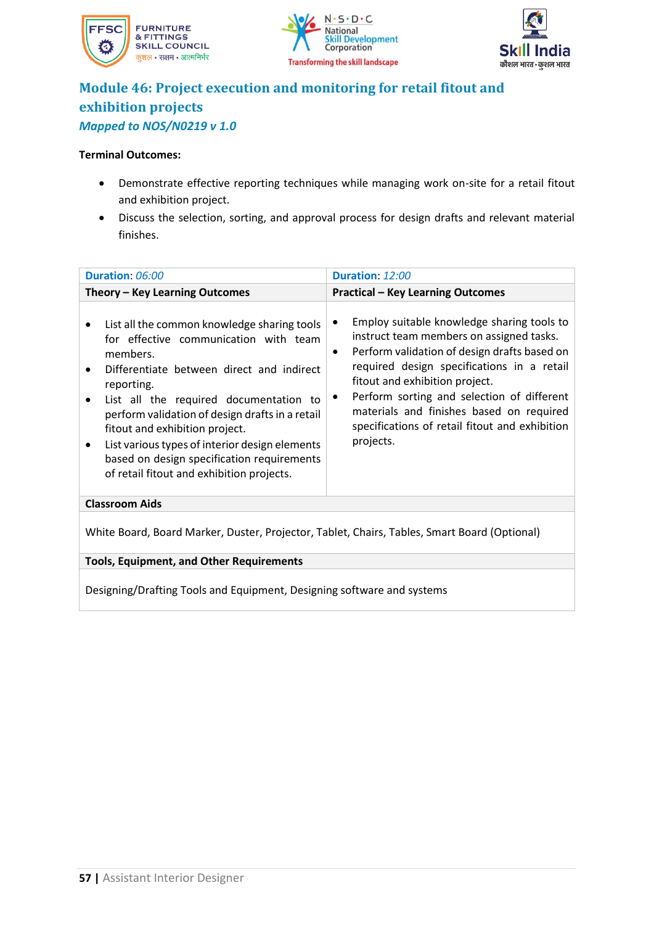





### **Module 46: Project execution and monitoring for retail fitout and exhibition projects** *Mapped to NOS/N0219 v 1.0*

- Demonstrate effective reporting techniques while managing work on-site for a retail fitout and exhibition project.
- Discuss the selection, sorting, and approval process for design drafts and relevant material finishes.

| Duration: 06:00                                                                                                                                                                                                                                                                                                                                                                                                                                           | Duration: 12:00                                                                                                                                                                                                                                                                                                                                                                                                |  |  |  |
|-----------------------------------------------------------------------------------------------------------------------------------------------------------------------------------------------------------------------------------------------------------------------------------------------------------------------------------------------------------------------------------------------------------------------------------------------------------|----------------------------------------------------------------------------------------------------------------------------------------------------------------------------------------------------------------------------------------------------------------------------------------------------------------------------------------------------------------------------------------------------------------|--|--|--|
| Theory - Key Learning Outcomes                                                                                                                                                                                                                                                                                                                                                                                                                            | <b>Practical - Key Learning Outcomes</b>                                                                                                                                                                                                                                                                                                                                                                       |  |  |  |
| List all the common knowledge sharing tools<br>for effective communication with team<br>members.<br>Differentiate between direct and indirect<br>reporting.<br>List all the required documentation to<br>$\bullet$<br>perform validation of design drafts in a retail<br>fitout and exhibition project.<br>List various types of interior design elements<br>٠<br>based on design specification requirements<br>of retail fitout and exhibition projects. | Employ suitable knowledge sharing tools to<br>$\bullet$<br>instruct team members on assigned tasks.<br>Perform validation of design drafts based on<br>٠<br>required design specifications in a retail<br>fitout and exhibition project.<br>Perform sorting and selection of different<br>$\bullet$<br>materials and finishes based on required<br>specifications of retail fitout and exhibition<br>projects. |  |  |  |
| <b>Classroom Aids</b>                                                                                                                                                                                                                                                                                                                                                                                                                                     |                                                                                                                                                                                                                                                                                                                                                                                                                |  |  |  |
| White Board, Board Marker, Duster, Projector, Tablet, Chairs, Tables, Smart Board (Optional)                                                                                                                                                                                                                                                                                                                                                              |                                                                                                                                                                                                                                                                                                                                                                                                                |  |  |  |
| <b>Tools, Equipment, and Other Requirements</b>                                                                                                                                                                                                                                                                                                                                                                                                           |                                                                                                                                                                                                                                                                                                                                                                                                                |  |  |  |
| Designing/Drafting Tools and Equipment, Designing software and systems                                                                                                                                                                                                                                                                                                                                                                                    |                                                                                                                                                                                                                                                                                                                                                                                                                |  |  |  |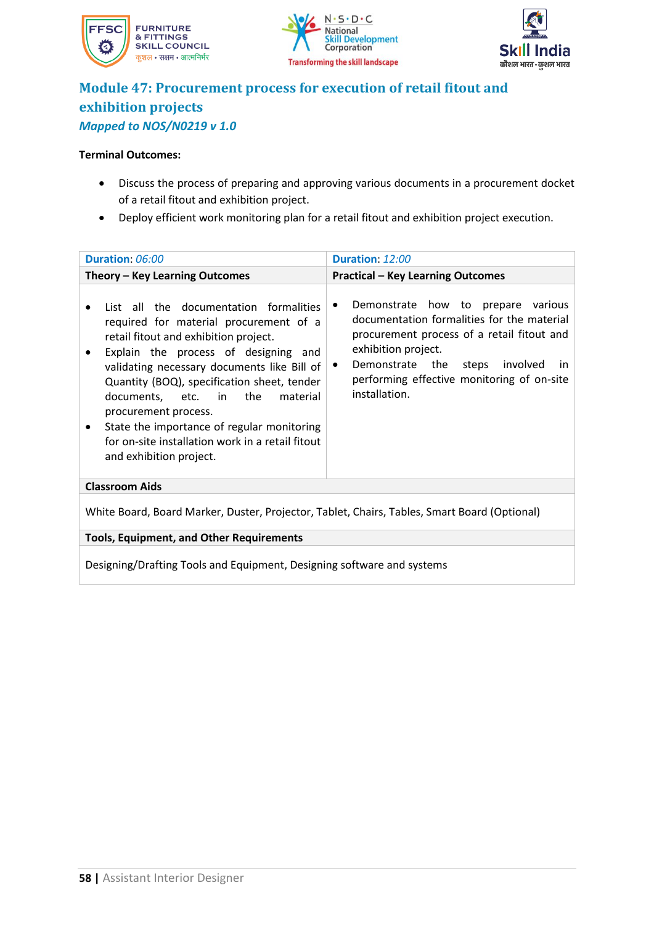





### **Module 47: Procurement process for execution of retail fitout and exhibition projects** *Mapped to NOS/N0219 v 1.0*

- Discuss the process of preparing and approving various documents in a procurement docket of a retail fitout and exhibition project.
- Deploy efficient work monitoring plan for a retail fitout and exhibition project execution.

| Duration: 06:00<br>Duration: 12:00                                                                                                                                                                                                                                                                                                                                                                                                                                      |                                                                                                                                                                                                                                                                                       |  |  |  |
|-------------------------------------------------------------------------------------------------------------------------------------------------------------------------------------------------------------------------------------------------------------------------------------------------------------------------------------------------------------------------------------------------------------------------------------------------------------------------|---------------------------------------------------------------------------------------------------------------------------------------------------------------------------------------------------------------------------------------------------------------------------------------|--|--|--|
| Theory – Key Learning Outcomes                                                                                                                                                                                                                                                                                                                                                                                                                                          | <b>Practical - Key Learning Outcomes</b>                                                                                                                                                                                                                                              |  |  |  |
| List all the documentation formalities<br>required for material procurement of a<br>retail fitout and exhibition project.<br>Explain the process of designing and<br>$\bullet$<br>validating necessary documents like Bill of<br>Quantity (BOQ), specification sheet, tender<br>documents, etc. in the<br>material<br>procurement process.<br>State the importance of regular monitoring<br>for on-site installation work in a retail fitout<br>and exhibition project. | Demonstrate how to prepare various<br>٠<br>documentation formalities for the material<br>procurement process of a retail fitout and<br>exhibition project.<br>Demonstrate the<br>steps<br>involved<br>in.<br>$\bullet$<br>performing effective monitoring of on-site<br>installation. |  |  |  |
| <b>Classroom Aids</b>                                                                                                                                                                                                                                                                                                                                                                                                                                                   |                                                                                                                                                                                                                                                                                       |  |  |  |
| White Board, Board Marker, Duster, Projector, Tablet, Chairs, Tables, Smart Board (Optional)                                                                                                                                                                                                                                                                                                                                                                            |                                                                                                                                                                                                                                                                                       |  |  |  |
| <b>Tools, Equipment, and Other Requirements</b>                                                                                                                                                                                                                                                                                                                                                                                                                         |                                                                                                                                                                                                                                                                                       |  |  |  |
| Designing/Drafting Tools and Equipment, Designing software and systems                                                                                                                                                                                                                                                                                                                                                                                                  |                                                                                                                                                                                                                                                                                       |  |  |  |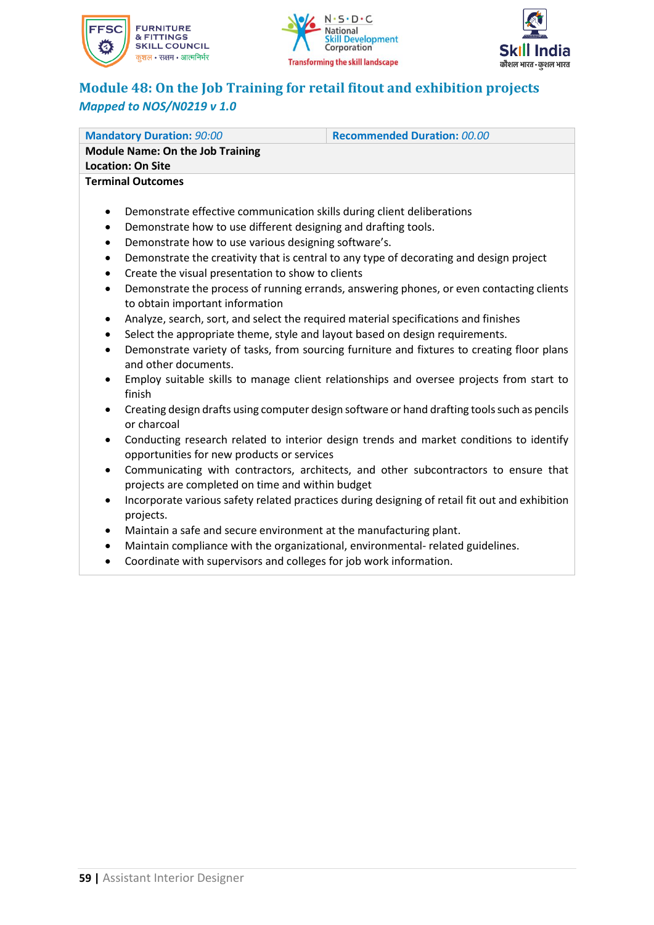





### **Module 48: On the Job Training for retail fitout and exhibition projects** *Mapped to NOS/N0219 v 1.0*

| <b>Mandatory Duration: 90:00</b>                                                                      | <b>Recommended Duration: 00.00</b>                                                           |  |  |  |
|-------------------------------------------------------------------------------------------------------|----------------------------------------------------------------------------------------------|--|--|--|
| <b>Module Name: On the Job Training</b>                                                               |                                                                                              |  |  |  |
| <b>Location: On Site</b>                                                                              |                                                                                              |  |  |  |
| <b>Terminal Outcomes</b>                                                                              |                                                                                              |  |  |  |
|                                                                                                       |                                                                                              |  |  |  |
| Demonstrate effective communication skills during client deliberations<br>$\bullet$                   |                                                                                              |  |  |  |
| Demonstrate how to use different designing and drafting tools.<br>$\bullet$                           |                                                                                              |  |  |  |
| Demonstrate how to use various designing software's.<br>$\bullet$                                     |                                                                                              |  |  |  |
| Demonstrate the creativity that is central to any type of decorating and design project<br>$\bullet$  |                                                                                              |  |  |  |
| Create the visual presentation to show to clients<br>$\bullet$                                        |                                                                                              |  |  |  |
| Demonstrate the process of running errands, answering phones, or even contacting clients<br>$\bullet$ |                                                                                              |  |  |  |
| to obtain important information                                                                       |                                                                                              |  |  |  |
| Analyze, search, sort, and select the required material specifications and finishes<br>$\bullet$      |                                                                                              |  |  |  |
| Select the appropriate theme, style and layout based on design requirements.<br>$\bullet$             |                                                                                              |  |  |  |
| $\bullet$                                                                                             | Demonstrate variety of tasks, from sourcing furniture and fixtures to creating floor plans   |  |  |  |
| and other documents.                                                                                  |                                                                                              |  |  |  |
| ٠                                                                                                     | Employ suitable skills to manage client relationships and oversee projects from start to     |  |  |  |
| finish                                                                                                |                                                                                              |  |  |  |
| $\bullet$                                                                                             | Creating design drafts using computer design software or hand drafting tools such as pencils |  |  |  |
| or charcoal                                                                                           |                                                                                              |  |  |  |
| $\bullet$                                                                                             | Conducting research related to interior design trends and market conditions to identify      |  |  |  |
| opportunities for new products or services                                                            |                                                                                              |  |  |  |
|                                                                                                       | Communicating with contractors, architects, and other subcontractors to ensure that          |  |  |  |

- projects are completed on time and within budget
- Incorporate various safety related practices during designing of retail fit out and exhibition projects.
- Maintain a safe and secure environment at the manufacturing plant.
- Maintain compliance with the organizational, environmental- related guidelines.
- Coordinate with supervisors and colleges for job work information.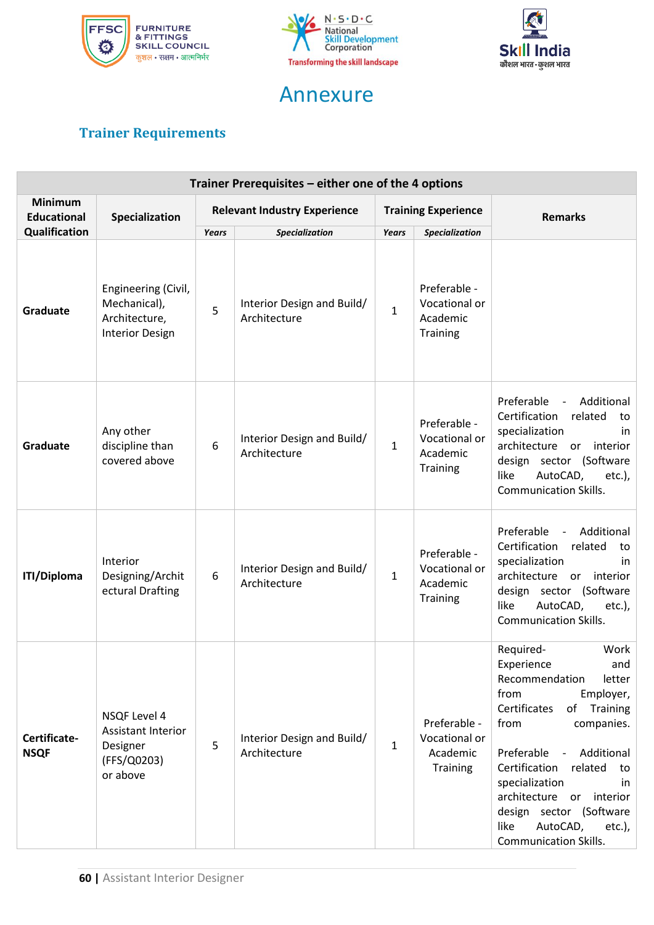



### Annexure



### <span id="page-60-0"></span>**Trainer Requirements**

| Trainer Prerequisites - either one of the 4 options |                                                                                         |                                     |                                            |                            |                                                              |                                                                                                                                                                                                                                                                                                                                                        |
|-----------------------------------------------------|-----------------------------------------------------------------------------------------|-------------------------------------|--------------------------------------------|----------------------------|--------------------------------------------------------------|--------------------------------------------------------------------------------------------------------------------------------------------------------------------------------------------------------------------------------------------------------------------------------------------------------------------------------------------------------|
| <b>Minimum</b><br><b>Educational</b>                | Specialization                                                                          | <b>Relevant Industry Experience</b> |                                            | <b>Training Experience</b> |                                                              | <b>Remarks</b>                                                                                                                                                                                                                                                                                                                                         |
| Qualification                                       |                                                                                         |                                     | <b>Specialization</b>                      | <b>Years</b>               | Specialization                                               |                                                                                                                                                                                                                                                                                                                                                        |
| <b>Graduate</b>                                     | Engineering (Civil,<br>Mechanical),<br>Architecture,<br><b>Interior Design</b>          | 5                                   | Interior Design and Build/<br>Architecture | $\mathbf{1}$               | Preferable -<br>Vocational or<br>Academic<br>Training        |                                                                                                                                                                                                                                                                                                                                                        |
| Graduate                                            | Any other<br>discipline than<br>covered above                                           | 6                                   | Interior Design and Build/<br>Architecture | $\mathbf{1}$               | Preferable -<br>Vocational or<br>Academic<br>Training        | Preferable<br>Additional<br>$\sim$<br>Certification<br>related<br>to<br>specialization<br>in<br>architecture or<br>interior<br>design sector (Software<br>like<br>AutoCAD,<br>$etc.$ ),<br><b>Communication Skills.</b>                                                                                                                                |
| <b>ITI/Diploma</b>                                  | Interior<br>Designing/Archit<br>ectural Drafting                                        | 6                                   | Interior Design and Build/<br>Architecture | $\mathbf{1}$               | Preferable -<br>Vocational or<br>Academic<br>Training        | Preferable<br>Additional<br>$\overline{\phantom{a}}$<br>Certification<br>related<br>to<br>specialization<br>in.<br>architecture or<br>interior<br>design sector (Software<br>like<br>AutoCAD,<br>$etc.$ ),<br><b>Communication Skills.</b>                                                                                                             |
| Certificate-<br><b>NSQF</b>                         | <b>NSQF Level 4</b><br><b>Assistant Interior</b><br>Designer<br>(FFS/Q0203)<br>or above | 5                                   | Interior Design and Build/<br>Architecture | $\mathbf{1}$               | Preferable -<br>Vocational or<br>Academic<br><b>Training</b> | Work<br>Required-<br>Experience<br>and<br>Recommendation<br>letter<br>from<br>Employer,<br>Certificates<br>of Training<br>from<br>companies.<br>Preferable - Additional<br>Certification related<br>to<br>specialization<br>in<br>architecture or interior<br>design sector (Software<br>like<br>AutoCAD,<br>$etc.$ ),<br><b>Communication Skills.</b> |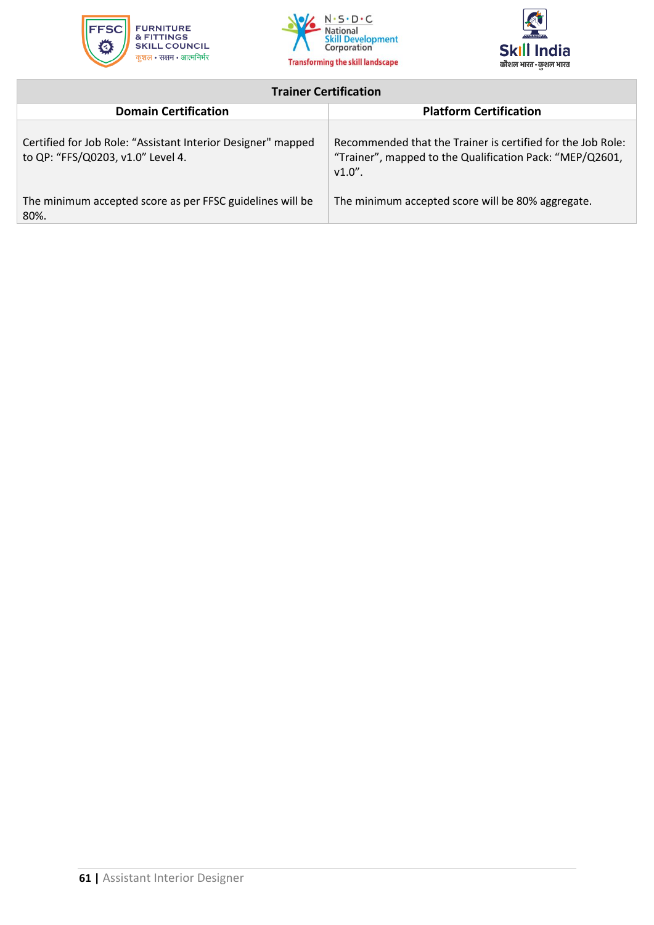





### **Trainer Certification**

<span id="page-61-0"></span>

| <b>Domain Certification</b>                                                                       | <b>Platform Certification</b>                                                                                                        |
|---------------------------------------------------------------------------------------------------|--------------------------------------------------------------------------------------------------------------------------------------|
| Certified for Job Role: "Assistant Interior Designer" mapped<br>to QP: "FFS/Q0203, v1.0" Level 4. | Recommended that the Trainer is certified for the Job Role:<br>"Trainer", mapped to the Qualification Pack: "MEP/Q2601,<br>$v1.0"$ . |
| The minimum accepted score as per FFSC guidelines will be<br>80%.                                 | The minimum accepted score will be 80% aggregate.                                                                                    |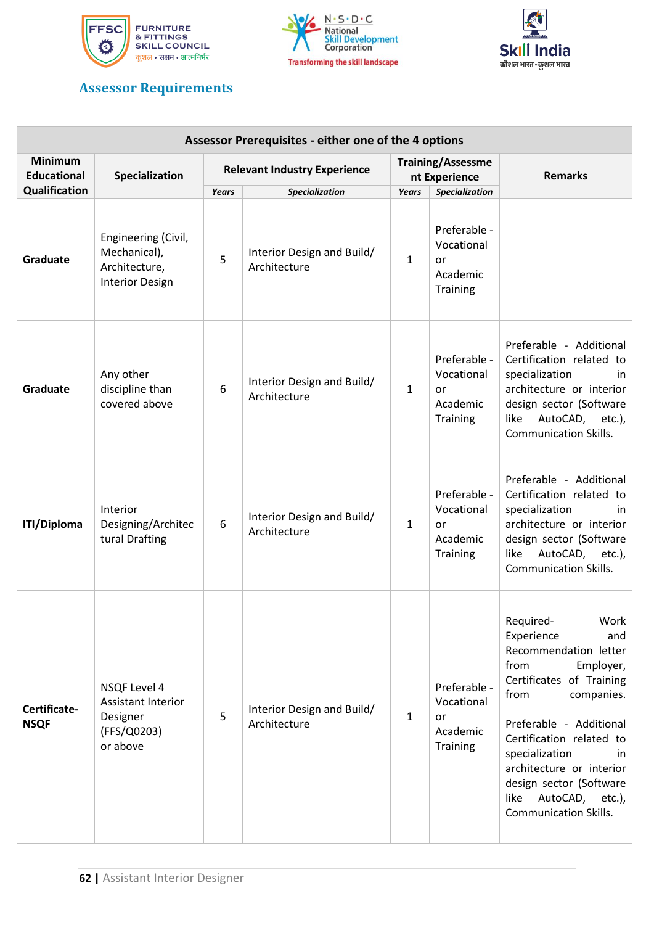





### **Assessor Requirements**

| Assessor Prerequisites - either one of the 4 options |                                                                                  |                                     |                                            |                                           |                                                          |                                                                                                                                                                                                                                                                                                                                          |
|------------------------------------------------------|----------------------------------------------------------------------------------|-------------------------------------|--------------------------------------------|-------------------------------------------|----------------------------------------------------------|------------------------------------------------------------------------------------------------------------------------------------------------------------------------------------------------------------------------------------------------------------------------------------------------------------------------------------------|
| <b>Minimum</b><br><b>Educational</b>                 | Specialization                                                                   | <b>Relevant Industry Experience</b> |                                            | <b>Training/Assessme</b><br>nt Experience |                                                          | <b>Remarks</b>                                                                                                                                                                                                                                                                                                                           |
| Qualification                                        |                                                                                  |                                     | Specialization<br>Years                    |                                           | <b>Specialization</b>                                    |                                                                                                                                                                                                                                                                                                                                          |
| Graduate                                             | Engineering (Civil,<br>Mechanical),<br>Architecture,<br><b>Interior Design</b>   | 5                                   | Interior Design and Build/<br>Architecture | $\mathbf{1}$                              | Preferable -<br>Vocational<br>or<br>Academic<br>Training |                                                                                                                                                                                                                                                                                                                                          |
| Graduate                                             | Any other<br>discipline than<br>covered above                                    | 6                                   | Interior Design and Build/<br>Architecture | $\mathbf{1}$                              | Preferable -<br>Vocational<br>or<br>Academic<br>Training | Preferable - Additional<br>Certification related to<br>specialization<br>in<br>architecture or interior<br>design sector (Software<br>AutoCAD, etc.),<br>like<br><b>Communication Skills.</b>                                                                                                                                            |
| <b>ITI/Diploma</b>                                   | Interior<br>Designing/Architec<br>tural Drafting                                 | 6                                   | Interior Design and Build/<br>Architecture | $\mathbf{1}$                              | Preferable -<br>Vocational<br>or<br>Academic<br>Training | Preferable - Additional<br>Certification related to<br>specialization<br>in.<br>architecture or interior<br>design sector (Software<br>AutoCAD, etc.),<br>like<br><b>Communication Skills.</b>                                                                                                                                           |
| Certificate-<br><b>NSQF</b>                          | <b>NSQF Level 4</b><br>Assistant Interior<br>Designer<br>(FFS/Q0203)<br>or above | 5                                   | Interior Design and Build/<br>Architecture | $\mathbf{1}$                              | Preferable -<br>Vocational<br>or<br>Academic<br>Training | Required-<br>Work<br>Experience<br>and<br>Recommendation letter<br>from<br>Employer,<br>Certificates of Training<br>from<br>companies.<br>Preferable - Additional<br>Certification related to<br>specialization<br>in.<br>architecture or interior<br>design sector (Software<br>AutoCAD, etc.),<br>like<br><b>Communication Skills.</b> |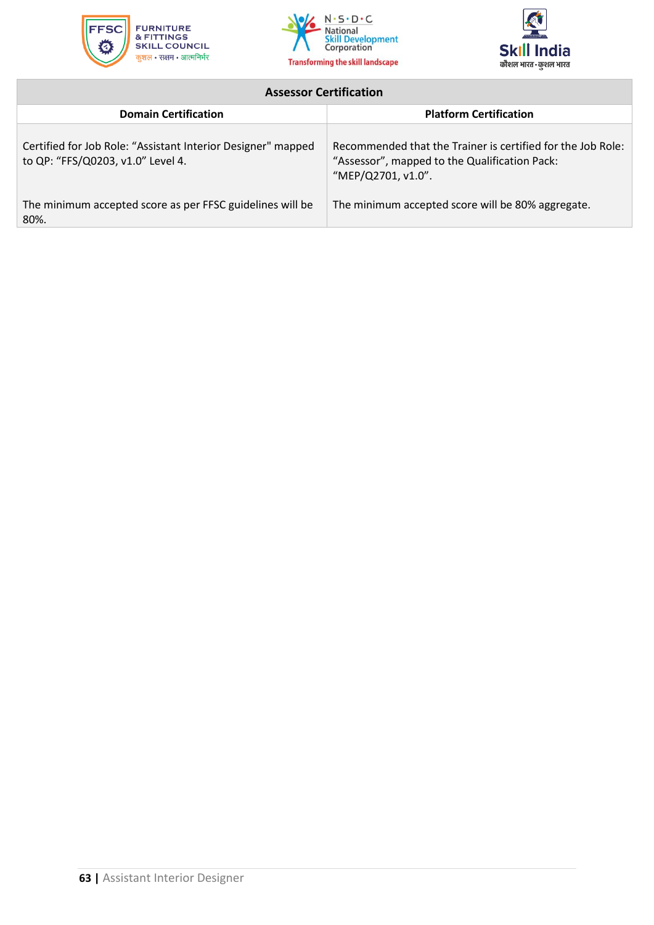





### **Assessor Certification**

<span id="page-63-0"></span>

| <b>Domain Certification</b>                                                                       | <b>Platform Certification</b>                                                                                                      |
|---------------------------------------------------------------------------------------------------|------------------------------------------------------------------------------------------------------------------------------------|
| Certified for Job Role: "Assistant Interior Designer" mapped<br>to QP: "FFS/Q0203, v1.0" Level 4. | Recommended that the Trainer is certified for the Job Role:<br>"Assessor", mapped to the Qualification Pack:<br>"MEP/Q2701, v1.0". |
| The minimum accepted score as per FFSC guidelines will be<br>80%.                                 | The minimum accepted score will be 80% aggregate.                                                                                  |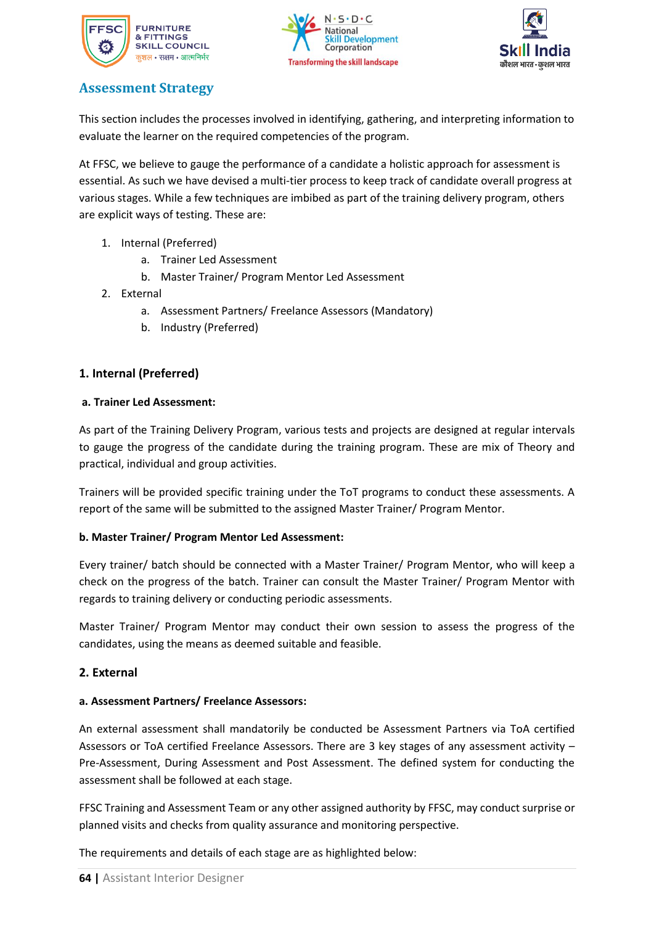





### **Assessment Strategy**

This section includes the processes involved in identifying, gathering, and interpreting information to evaluate the learner on the required competencies of the program.

At FFSC, we believe to gauge the performance of a candidate a holistic approach for assessment is essential. As such we have devised a multi-tier process to keep track of candidate overall progress at various stages. While a few techniques are imbibed as part of the training delivery program, others are explicit ways of testing. These are:

- 1. Internal (Preferred)
	- a. Trainer Led Assessment
	- b. Master Trainer/ Program Mentor Led Assessment
- 2. External
	- a. Assessment Partners/ Freelance Assessors (Mandatory)
	- b. Industry (Preferred)

### **1. Internal (Preferred)**

#### **a. Trainer Led Assessment:**

As part of the Training Delivery Program, various tests and projects are designed at regular intervals to gauge the progress of the candidate during the training program. These are mix of Theory and practical, individual and group activities.

Trainers will be provided specific training under the ToT programs to conduct these assessments. A report of the same will be submitted to the assigned Master Trainer/ Program Mentor.

### **b. Master Trainer/ Program Mentor Led Assessment:**

Every trainer/ batch should be connected with a Master Trainer/ Program Mentor, who will keep a check on the progress of the batch. Trainer can consult the Master Trainer/ Program Mentor with regards to training delivery or conducting periodic assessments.

Master Trainer/ Program Mentor may conduct their own session to assess the progress of the candidates, using the means as deemed suitable and feasible.

### **2. External**

### **a. Assessment Partners/ Freelance Assessors:**

An external assessment shall mandatorily be conducted be Assessment Partners via ToA certified Assessors or ToA certified Freelance Assessors. There are 3 key stages of any assessment activity – Pre-Assessment, During Assessment and Post Assessment. The defined system for conducting the assessment shall be followed at each stage.

FFSC Training and Assessment Team or any other assigned authority by FFSC, may conduct surprise or planned visits and checks from quality assurance and monitoring perspective.

The requirements and details of each stage are as highlighted below: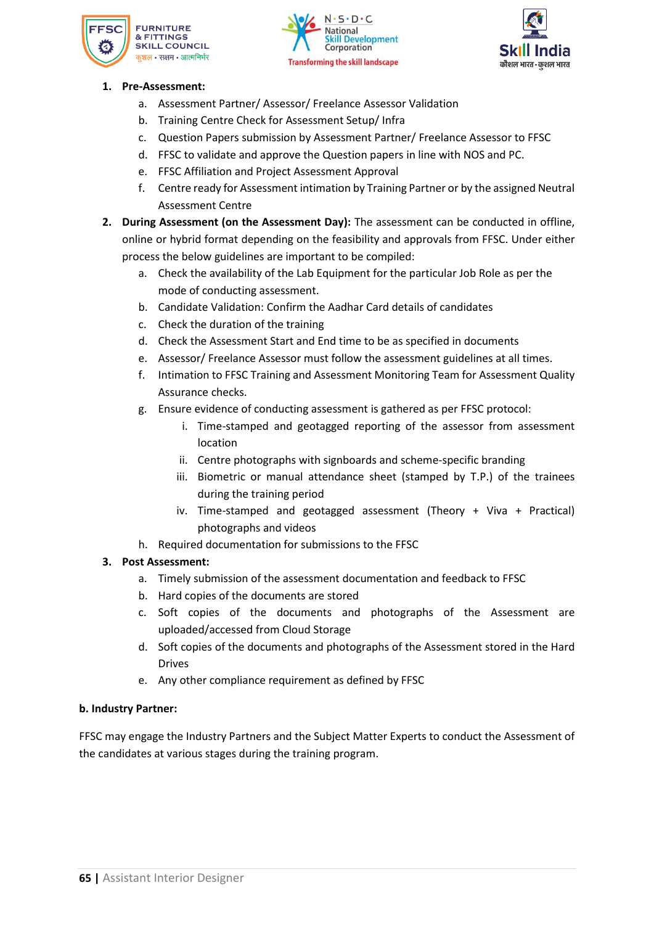





### **1. Pre-Assessment:**

- a. Assessment Partner/ Assessor/ Freelance Assessor Validation
- b. Training Centre Check for Assessment Setup/ Infra
- c. Question Papers submission by Assessment Partner/ Freelance Assessor to FFSC
- d. FFSC to validate and approve the Question papers in line with NOS and PC.
- e. FFSC Affiliation and Project Assessment Approval
- f. Centre ready for Assessment intimation by Training Partner or by the assigned Neutral Assessment Centre
- **2. During Assessment (on the Assessment Day):** The assessment can be conducted in offline, online or hybrid format depending on the feasibility and approvals from FFSC. Under either process the below guidelines are important to be compiled:
	- a. Check the availability of the Lab Equipment for the particular Job Role as per the mode of conducting assessment.
	- b. Candidate Validation: Confirm the Aadhar Card details of candidates
	- c. Check the duration of the training
	- d. Check the Assessment Start and End time to be as specified in documents
	- e. Assessor/ Freelance Assessor must follow the assessment guidelines at all times.
	- f. Intimation to FFSC Training and Assessment Monitoring Team for Assessment Quality Assurance checks.
	- g. Ensure evidence of conducting assessment is gathered as per FFSC protocol:
		- i. Time-stamped and geotagged reporting of the assessor from assessment location
		- ii. Centre photographs with signboards and scheme-specific branding
		- iii. Biometric or manual attendance sheet (stamped by T.P.) of the trainees during the training period
		- iv. Time-stamped and geotagged assessment (Theory + Viva + Practical) photographs and videos
	- h. Required documentation for submissions to the FFSC

### **3. Post Assessment:**

- a. Timely submission of the assessment documentation and feedback to FFSC
- b. Hard copies of the documents are stored
- c. Soft copies of the documents and photographs of the Assessment are uploaded/accessed from Cloud Storage
- d. Soft copies of the documents and photographs of the Assessment stored in the Hard Drives
- e. Any other compliance requirement as defined by FFSC

### **b. Industry Partner:**

FFSC may engage the Industry Partners and the Subject Matter Experts to conduct the Assessment of the candidates at various stages during the training program.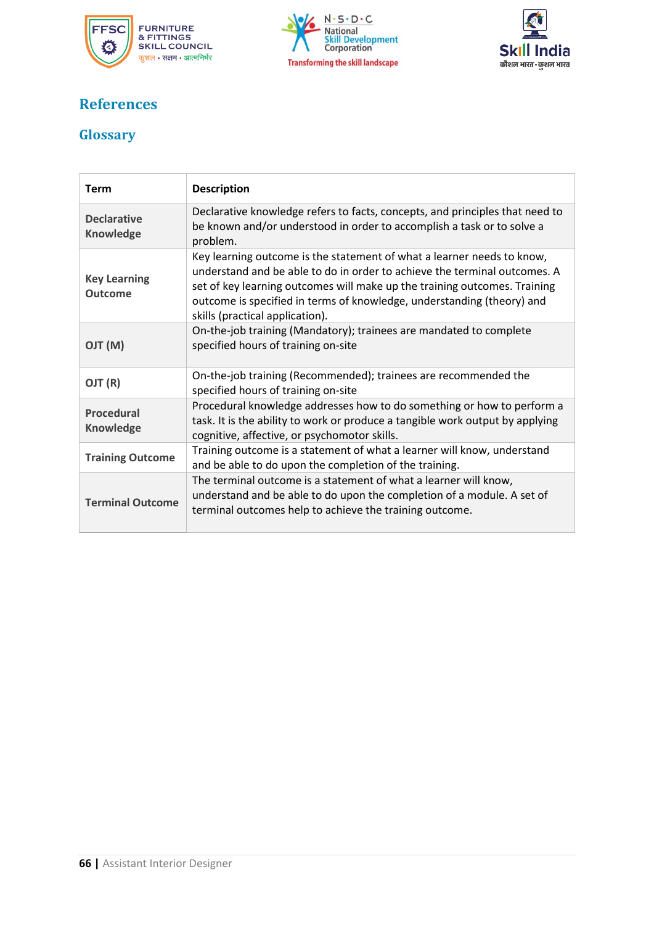





### <span id="page-66-0"></span>**References**

### <span id="page-66-1"></span>**Glossary**

| <b>Term</b>                           | <b>Description</b>                                                                                                                                                                                                                                                                                                                            |
|---------------------------------------|-----------------------------------------------------------------------------------------------------------------------------------------------------------------------------------------------------------------------------------------------------------------------------------------------------------------------------------------------|
| <b>Declarative</b><br>Knowledge       | Declarative knowledge refers to facts, concepts, and principles that need to<br>be known and/or understood in order to accomplish a task or to solve a<br>problem.                                                                                                                                                                            |
| <b>Key Learning</b><br><b>Outcome</b> | Key learning outcome is the statement of what a learner needs to know,<br>understand and be able to do in order to achieve the terminal outcomes. A<br>set of key learning outcomes will make up the training outcomes. Training<br>outcome is specified in terms of knowledge, understanding (theory) and<br>skills (practical application). |
| (M) TLO                               | On-the-job training (Mandatory); trainees are mandated to complete<br>specified hours of training on-site                                                                                                                                                                                                                                     |
| OJT (R)                               | On-the-job training (Recommended); trainees are recommended the<br>specified hours of training on-site                                                                                                                                                                                                                                        |
| <b>Procedural</b><br><b>Knowledge</b> | Procedural knowledge addresses how to do something or how to perform a<br>task. It is the ability to work or produce a tangible work output by applying<br>cognitive, affective, or psychomotor skills.                                                                                                                                       |
| <b>Training Outcome</b>               | Training outcome is a statement of what a learner will know, understand<br>and be able to do upon the completion of the training.                                                                                                                                                                                                             |
| <b>Terminal Outcome</b>               | The terminal outcome is a statement of what a learner will know,<br>understand and be able to do upon the completion of a module. A set of<br>terminal outcomes help to achieve the training outcome.                                                                                                                                         |